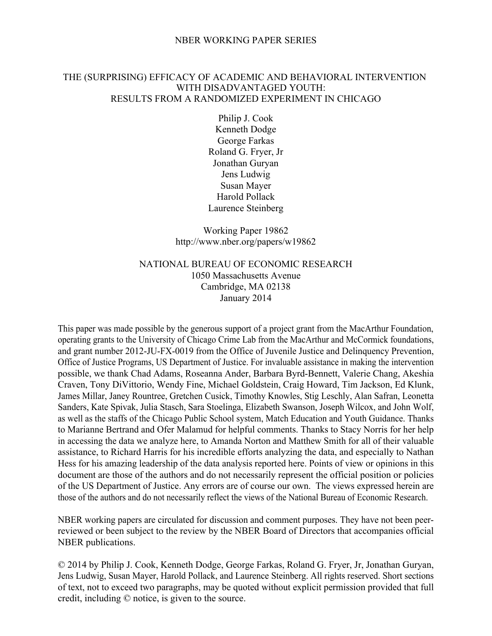## NBER WORKING PAPER SERIES

## THE (SURPRISING) EFFICACY OF ACADEMIC AND BEHAVIORAL INTERVENTION WITH DISADVANTAGED YOUTH: RESULTS FROM A RANDOMIZED EXPERIMENT IN CHICAGO

Philip J. Cook Kenneth Dodge George Farkas Roland G. Fryer, Jr Jonathan Guryan Jens Ludwig Susan Mayer Harold Pollack Laurence Steinberg

Working Paper 19862 http://www.nber.org/papers/w19862

# NATIONAL BUREAU OF ECONOMIC RESEARCH 1050 Massachusetts Avenue Cambridge, MA 02138 January 2014

This paper was made possible by the generous support of a project grant from the MacArthur Foundation, operating grants to the University of Chicago Crime Lab from the MacArthur and McCormick foundations, and grant number 2012-JU-FX-0019 from the Office of Juvenile Justice and Delinquency Prevention, Office of Justice Programs, US Department of Justice. For invaluable assistance in making the intervention possible, we thank Chad Adams, Roseanna Ander, Barbara Byrd-Bennett, Valerie Chang, Akeshia Craven, Tony DiVittorio, Wendy Fine, Michael Goldstein, Craig Howard, Tim Jackson, Ed Klunk, James Millar, Janey Rountree, Gretchen Cusick, Timothy Knowles, Stig Leschly, Alan Safran, Leonetta Sanders, Kate Spivak, Julia Stasch, Sara Stoelinga, Elizabeth Swanson, Joseph Wilcox, and John Wolf, as well as the staffs of the Chicago Public School system, Match Education and Youth Guidance. Thanks to Marianne Bertrand and Ofer Malamud for helpful comments. Thanks to Stacy Norris for her help in accessing the data we analyze here, to Amanda Norton and Matthew Smith for all of their valuable assistance, to Richard Harris for his incredible efforts analyzing the data, and especially to Nathan Hess for his amazing leadership of the data analysis reported here. Points of view or opinions in this document are those of the authors and do not necessarily represent the official position or policies of the US Department of Justice. Any errors are of course our own. The views expressed herein are those of the authors and do not necessarily reflect the views of the National Bureau of Economic Research.

NBER working papers are circulated for discussion and comment purposes. They have not been peerreviewed or been subject to the review by the NBER Board of Directors that accompanies official NBER publications.

© 2014 by Philip J. Cook, Kenneth Dodge, George Farkas, Roland G. Fryer, Jr, Jonathan Guryan, Jens Ludwig, Susan Mayer, Harold Pollack, and Laurence Steinberg. All rights reserved. Short sections of text, not to exceed two paragraphs, may be quoted without explicit permission provided that full credit, including © notice, is given to the source.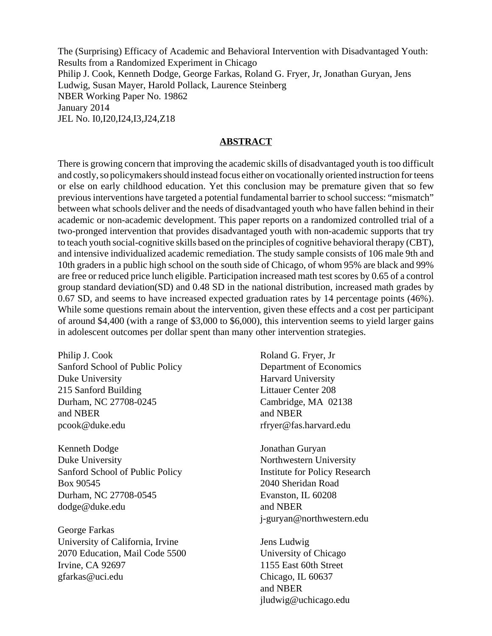The (Surprising) Efficacy of Academic and Behavioral Intervention with Disadvantaged Youth: Results from a Randomized Experiment in Chicago Philip J. Cook, Kenneth Dodge, George Farkas, Roland G. Fryer, Jr, Jonathan Guryan, Jens Ludwig, Susan Mayer, Harold Pollack, Laurence Steinberg NBER Working Paper No. 19862 January 2014 JEL No. I0,I20,I24,I3,J24,Z18

#### **ABSTRACT**

There is growing concern that improving the academic skills of disadvantaged youth is too difficult and costly, so policymakers should instead focus either on vocationally oriented instruction for teens or else on early childhood education. Yet this conclusion may be premature given that so few previous interventions have targeted a potential fundamental barrier to school success: "mismatch" between what schools deliver and the needs of disadvantaged youth who have fallen behind in their academic or non-academic development. This paper reports on a randomized controlled trial of a two-pronged intervention that provides disadvantaged youth with non-academic supports that try to teach youth social-cognitive skills based on the principles of cognitive behavioral therapy (CBT), and intensive individualized academic remediation. The study sample consists of 106 male 9th and 10th graders in a public high school on the south side of Chicago, of whom 95% are black and 99% are free or reduced price lunch eligible. Participation increased math test scores by 0.65 of a control group standard deviation(SD) and 0.48 SD in the national distribution, increased math grades by 0.67 SD, and seems to have increased expected graduation rates by 14 percentage points (46%). While some questions remain about the intervention, given these effects and a cost per participant of around \$4,400 (with a range of \$3,000 to \$6,000), this intervention seems to yield larger gains in adolescent outcomes per dollar spent than many other intervention strategies.

Philip J. Cook Sanford School of Public Policy Duke University 215 Sanford Building Durham, NC 27708-0245 and NBER pcook@duke.edu

Kenneth Dodge Duke University Sanford School of Public Policy Box 90545 Durham, NC 27708-0545 dodge@duke.edu

George Farkas University of California, Irvine 2070 Education, Mail Code 5500 Irvine, CA 92697 gfarkas@uci.edu

Roland G. Fryer, Jr Department of Economics Harvard University Littauer Center 208 Cambridge, MA 02138 and NBER rfryer@fas.harvard.edu

Jonathan Guryan Northwestern University Institute for Policy Research 2040 Sheridan Road Evanston, IL 60208 and NBER j-guryan@northwestern.edu

Jens Ludwig University of Chicago 1155 East 60th Street Chicago, IL 60637 and NBER jludwig@uchicago.edu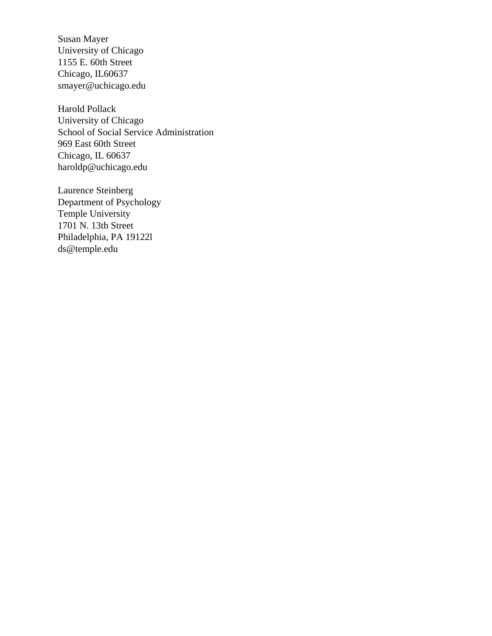Susan Mayer University of Chicago 1155 E. 60th Street Chicago, IL60637 smayer@uchicago.edu

Harold Pollack University of Chicago School of Social Service Administration 969 East 60th Street Chicago, IL 60637 haroldp@uchicago.edu

Laurence Steinberg Department of Psychology Temple University 1701 N. 13th Street Philadelphia, PA 19122l ds@temple.edu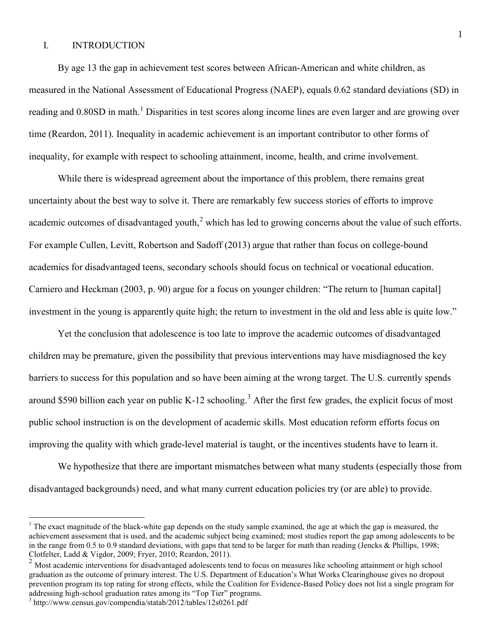## I. INTRODUCTION

By age 13 the gap in achievement test scores between African-American and white children, as measured in the National Assessment of Educational Progress (NAEP), equals 0.62 standard deviations (SD) in reading and 0.80SD in math.<sup>[1](#page-3-0)</sup> Disparities in test scores along income lines are even larger and are growing over time (Reardon, 2011). Inequality in academic achievement is an important contributor to other forms of inequality, for example with respect to schooling attainment, income, health, and crime involvement.

While there is widespread agreement about the importance of this problem, there remains great uncertainty about the best way to solve it. There are remarkably few success stories of efforts to improve academic outcomes of disadvantaged youth,<sup>[2](#page-3-1)</sup> which has led to growing concerns about the value of such efforts. For example Cullen, Levitt, Robertson and Sadoff (2013) argue that rather than focus on college-bound academics for disadvantaged teens, secondary schools should focus on technical or vocational education. Carniero and Heckman (2003, p. 90) argue for a focus on younger children: "The return to [human capital] investment in the young is apparently quite high; the return to investment in the old and less able is quite low."

Yet the conclusion that adolescence is too late to improve the academic outcomes of disadvantaged children may be premature, given the possibility that previous interventions may have misdiagnosed the key barriers to success for this population and so have been aiming at the wrong target. The U.S. currently spends around \$590 billion each year on public K-12 schooling.<sup>[3](#page-3-2)</sup> After the first few grades, the explicit focus of most public school instruction is on the development of academic skills. Most education reform efforts focus on improving the quality with which grade-level material is taught, or the incentives students have to learn it.

We hypothesize that there are important mismatches between what many students (especially those from disadvantaged backgrounds) need, and what many current education policies try (or are able) to provide.

 $\overline{a}$ 

<span id="page-3-0"></span> $1$ <sup>1</sup> The exact magnitude of the black-white gap depends on the study sample examined, the age at which the gap is measured, the achievement assessment that is used, and the academic subject being examined; most studies report the gap among adolescents to be in the range from 0.5 to 0.9 standard deviations, with gaps that tend to be larger for math than reading (Jencks & Phillips, 1998; Clotfelter, Ladd & Vigdor, 2009; Fryer, 2010; Reardon, 2011).

<span id="page-3-1"></span><sup>2</sup> Most academic interventions for disadvantaged adolescents tend to focus on measures like schooling attainment or high school graduation as the outcome of primary interest. The U.S. Department of Education's What Works Clearinghouse gives no dropout prevention program its top rating for strong effects, while the Coalition for Evidence-Based Policy does not list a single program for addressing high-school graduation rates among its "Top Tier" programs.

<span id="page-3-2"></span><sup>3</sup> http://www.census.gov/compendia/statab/2012/tables/12s0261.pdf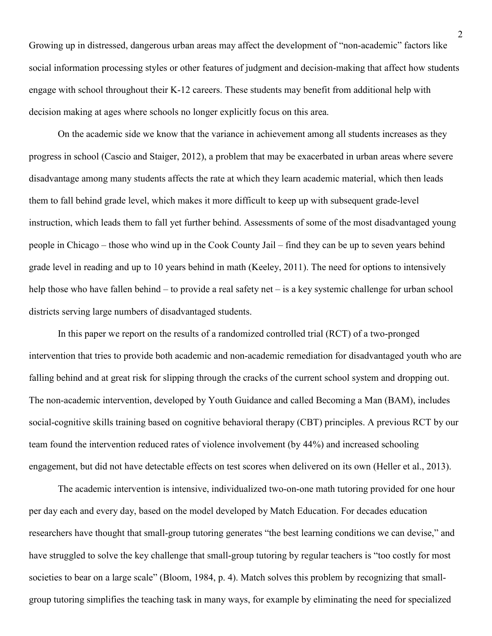Growing up in distressed, dangerous urban areas may affect the development of "non-academic" factors like social information processing styles or other features of judgment and decision-making that affect how students engage with school throughout their K-12 careers. These students may benefit from additional help with decision making at ages where schools no longer explicitly focus on this area.

On the academic side we know that the variance in achievement among all students increases as they progress in school (Cascio and Staiger, 2012), a problem that may be exacerbated in urban areas where severe disadvantage among many students affects the rate at which they learn academic material, which then leads them to fall behind grade level, which makes it more difficult to keep up with subsequent grade-level instruction, which leads them to fall yet further behind. Assessments of some of the most disadvantaged young people in Chicago – those who wind up in the Cook County Jail – find they can be up to seven years behind grade level in reading and up to 10 years behind in math (Keeley, 2011). The need for options to intensively help those who have fallen behind – to provide a real safety net – is a key systemic challenge for urban school districts serving large numbers of disadvantaged students.

In this paper we report on the results of a randomized controlled trial (RCT) of a two-pronged intervention that tries to provide both academic and non-academic remediation for disadvantaged youth who are falling behind and at great risk for slipping through the cracks of the current school system and dropping out. The non-academic intervention, developed by Youth Guidance and called Becoming a Man (BAM), includes social-cognitive skills training based on cognitive behavioral therapy (CBT) principles. A previous RCT by our team found the intervention reduced rates of violence involvement (by 44%) and increased schooling engagement, but did not have detectable effects on test scores when delivered on its own (Heller et al., 2013).

The academic intervention is intensive, individualized two-on-one math tutoring provided for one hour per day each and every day, based on the model developed by Match Education. For decades education researchers have thought that small-group tutoring generates "the best learning conditions we can devise," and have struggled to solve the key challenge that small-group tutoring by regular teachers is "too costly for most societies to bear on a large scale" (Bloom, 1984, p. 4). Match solves this problem by recognizing that smallgroup tutoring simplifies the teaching task in many ways, for example by eliminating the need for specialized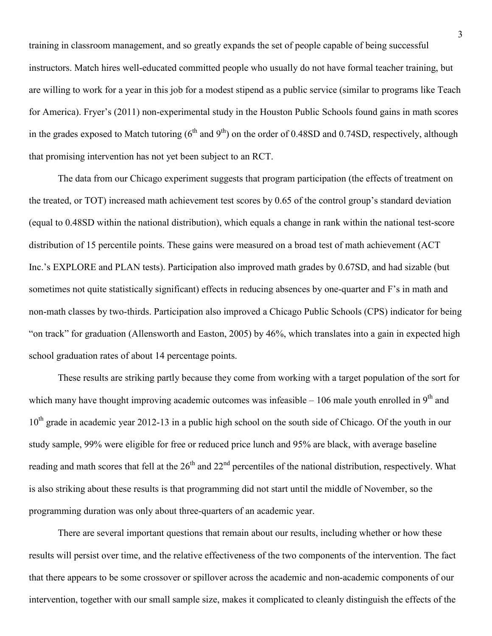training in classroom management, and so greatly expands the set of people capable of being successful instructors. Match hires well-educated committed people who usually do not have formal teacher training, but are willing to work for a year in this job for a modest stipend as a public service (similar to programs like Teach for America). Fryer's (2011) non-experimental study in the Houston Public Schools found gains in math scores in the grades exposed to Match tutoring  $(6^{th}$  and  $9^{th})$  on the order of 0.48SD and 0.74SD, respectively, although that promising intervention has not yet been subject to an RCT.

The data from our Chicago experiment suggests that program participation (the effects of treatment on the treated, or TOT) increased math achievement test scores by 0.65 of the control group's standard deviation (equal to 0.48SD within the national distribution), which equals a change in rank within the national test-score distribution of 15 percentile points. These gains were measured on a broad test of math achievement (ACT) Inc.'s EXPLORE and PLAN tests). Participation also improved math grades by 0.67SD, and had sizable (but sometimes not quite statistically significant) effects in reducing absences by one-quarter and F's in math and non-math classes by two-thirds. Participation also improved a Chicago Public Schools (CPS) indicator for being "on track" for graduation (Allensworth and Easton, 2005) by 46%, which translates into a gain in expected high school graduation rates of about 14 percentage points.

These results are striking partly because they come from working with a target population of the sort for which many have thought improving academic outcomes was infeasible  $-106$  male youth enrolled in 9<sup>th</sup> and 10<sup>th</sup> grade in academic year 2012-13 in a public high school on the south side of Chicago. Of the youth in our study sample, 99% were eligible for free or reduced price lunch and 95% are black, with average baseline reading and math scores that fell at the  $26<sup>th</sup>$  and  $22<sup>nd</sup>$  percentiles of the national distribution, respectively. What is also striking about these results is that programming did not start until the middle of November, so the programming duration was only about three-quarters of an academic year.

There are several important questions that remain about our results, including whether or how these results will persist over time, and the relative effectiveness of the two components of the intervention. The fact that there appears to be some crossover or spillover across the academic and non-academic components of our intervention, together with our small sample size, makes it complicated to cleanly distinguish the effects of the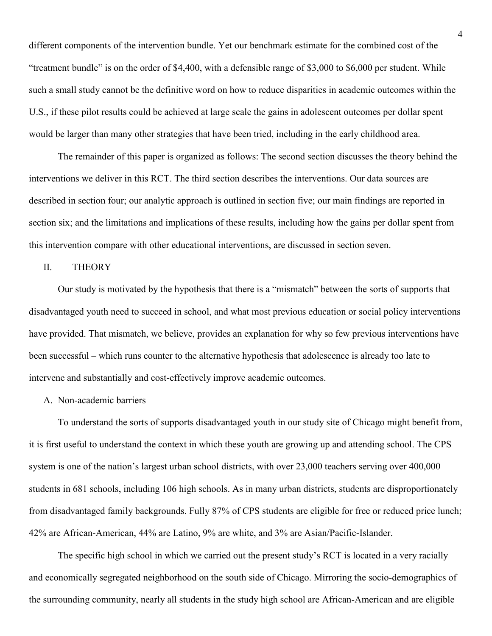different components of the intervention bundle. Yet our benchmark estimate for the combined cost of the "treatment bundle" is on the order of \$4,400, with a defensible range of \$3,000 to \$6,000 per student. While such a small study cannot be the definitive word on how to reduce disparities in academic outcomes within the U.S., if these pilot results could be achieved at large scale the gains in adolescent outcomes per dollar spent would be larger than many other strategies that have been tried, including in the early childhood area.

The remainder of this paper is organized as follows: The second section discusses the theory behind the interventions we deliver in this RCT. The third section describes the interventions. Our data sources are described in section four; our analytic approach is outlined in section five; our main findings are reported in section six; and the limitations and implications of these results, including how the gains per dollar spent from this intervention compare with other educational interventions, are discussed in section seven.

## II. THEORY

Our study is motivated by the hypothesis that there is a "mismatch" between the sorts of supports that disadvantaged youth need to succeed in school, and what most previous education or social policy interventions have provided. That mismatch, we believe, provides an explanation for why so few previous interventions have been successful – which runs counter to the alternative hypothesis that adolescence is already too late to intervene and substantially and cost-effectively improve academic outcomes.

#### A. Non-academic barriers

To understand the sorts of supports disadvantaged youth in our study site of Chicago might benefit from, it is first useful to understand the context in which these youth are growing up and attending school. The CPS system is one of the nation's largest urban school districts, with over 23,000 teachers serving over 400,000 students in 681 schools, including 106 high schools. As in many urban districts, students are disproportionately from disadvantaged family backgrounds. Fully 87% of CPS students are eligible for free or reduced price lunch; 42% are African-American, 44% are Latino, 9% are white, and 3% are Asian/Pacific-Islander.

The specific high school in which we carried out the present study's RCT is located in a very racially and economically segregated neighborhood on the south side of Chicago. Mirroring the socio-demographics of the surrounding community, nearly all students in the study high school are African-American and are eligible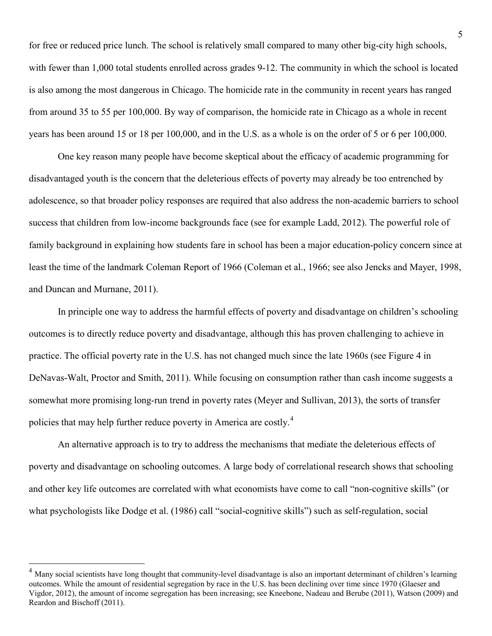for free or reduced price lunch. The school is relatively small compared to many other big-city high schools, with fewer than 1,000 total students enrolled across grades 9-12. The community in which the school is located is also among the most dangerous in Chicago. The homicide rate in the community in recent years has ranged from around 35 to 55 per 100,000. By way of comparison, the homicide rate in Chicago as a whole in recent years has been around 15 or 18 per 100,000, and in the U.S. as a whole is on the order of 5 or 6 per 100,000.

One key reason many people have become skeptical about the efficacy of academic programming for disadvantaged youth is the concern that the deleterious effects of poverty may already be too entrenched by adolescence, so that broader policy responses are required that also address the non-academic barriers to school success that children from low-income backgrounds face (see for example Ladd, 2012). The powerful role of family background in explaining how students fare in school has been a major education-policy concern since at least the time of the landmark Coleman Report of 1966 (Coleman et al., 1966; see also Jencks and Mayer, 1998, and Duncan and Murnane, 2011).

In principle one way to address the harmful effects of poverty and disadvantage on children's schooling outcomes is to directly reduce poverty and disadvantage, although this has proven challenging to achieve in practice. The official poverty rate in the U.S. has not changed much since the late 1960s (see Figure 4 in DeNavas-Walt, Proctor and Smith, 2011). While focusing on consumption rather than cash income suggests a somewhat more promising long-run trend in poverty rates (Meyer and Sullivan, 2013), the sorts of transfer policies that may help further reduce poverty in America are costly.<sup>[4](#page-7-0)</sup>

An alternative approach is to try to address the mechanisms that mediate the deleterious effects of poverty and disadvantage on schooling outcomes. A large body of correlational research shows that schooling and other key life outcomes are correlated with what economists have come to call "non-cognitive skills" (or what psychologists like Dodge et al. (1986) call "social-cognitive skills") such as self-regulation, social

 $\overline{a}$ 

<span id="page-7-0"></span><sup>&</sup>lt;sup>4</sup> Many social scientists have long thought that community-level disadvantage is also an important determinant of children's learning outcomes. While the amount of residential segregation by race in the U.S. has been declining over time since 1970 (Glaeser and Vigdor, 2012), the amount of income segregation has been increasing; see Kneebone, Nadeau and Berube (2011), Watson (2009) and Reardon and Bischoff (2011).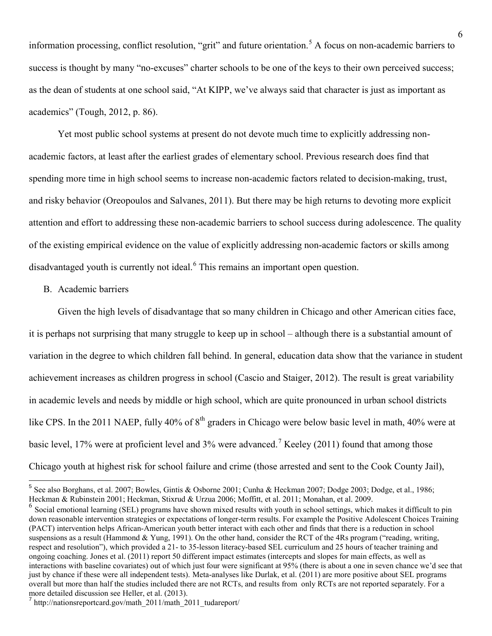information processing, conflict resolution, "grit" and future orientation.<sup>[5](#page-8-0)</sup> A focus on non-academic barriers to success is thought by many "no-excuses" charter schools to be one of the keys to their own perceived success; as the dean of students at one school said, "At KIPP, we've always said that character is just as important as academics" (Tough, 2012, p. 86).

Yet most public school systems at present do not devote much time to explicitly addressing nonacademic factors, at least after the earliest grades of elementary school. Previous research does find that spending more time in high school seems to increase non-academic factors related to decision-making, trust, and risky behavior (Oreopoulos and Salvanes, 2011). But there may be high returns to devoting more explicit attention and effort to addressing these non-academic barriers to school success during adolescence. The quality of the existing empirical evidence on the value of explicitly addressing non-academic factors or skills among disadvantaged youth is currently not ideal.<sup>[6](#page-8-1)</sup> This remains an important open question.

# B. Academic barriers

 $\overline{a}$ 

Given the high levels of disadvantage that so many children in Chicago and other American cities face, it is perhaps not surprising that many struggle to keep up in school – although there is a substantial amount of variation in the degree to which children fall behind. In general, education data show that the variance in student achievement increases as children progress in school (Cascio and Staiger, 2012). The result is great variability in academic levels and needs by middle or high school, which are quite pronounced in urban school districts like CPS. In the 2011 NAEP, fully 40% of 8<sup>th</sup> graders in Chicago were below basic level in math, 40% were at basic level, 1[7](#page-8-2)% were at proficient level and 3% were advanced.<sup>7</sup> Keeley (2011) found that among those Chicago youth at highest risk for school failure and crime (those arrested and sent to the Cook County Jail),

<span id="page-8-0"></span> $5$  See also Borghans, et al. 2007; Bowles, Gintis & Osborne 2001; Cunha & Heckman 2007; Dodge 2003; Dodge, et al., 1986;

<span id="page-8-1"></span>Heckman & Rubinstein 2001; Heckman, Stixrud & Urzua 2006; Moffitt, et al. 2011; Monahan, et al. 2009.<br><sup>6</sup> Social emotional learning (SEL) programs have shown mixed results with youth in school settings, which makes it diff down reasonable intervention strategies or expectations of longer-term results. For example the Positive Adolescent Choices Training (PACT) intervention helps African-American youth better interact with each other and finds that there is a reduction in school suspensions as a result (Hammond & Yung, 1991). On the other hand, consider the RCT of the 4Rs program ("reading, writing, respect and resolution"), which provided a 21- to 35-lesson literacy-based SEL curriculum and 25 hours of teacher training and ongoing coaching. Jones et al. (2011) report 50 different impact estimates (intercepts and slopes for main effects, as well as interactions with baseline covariates) out of which just four were significant at 95% (there is about a one in seven chance we'd see that just by chance if these were all independent tests). Meta-analyses like Durlak, et al. (2011) are more positive about SEL programs overall but more than half the studies included there are not RCTs, and results from only RCTs are not reported separately. For a more detailed discussion see Heller, et al. (2013).

<span id="page-8-2"></span> $\frac{1}{\pi}$ http://nationsreportcard.gov/math\_2011/math\_2011\_tudareport/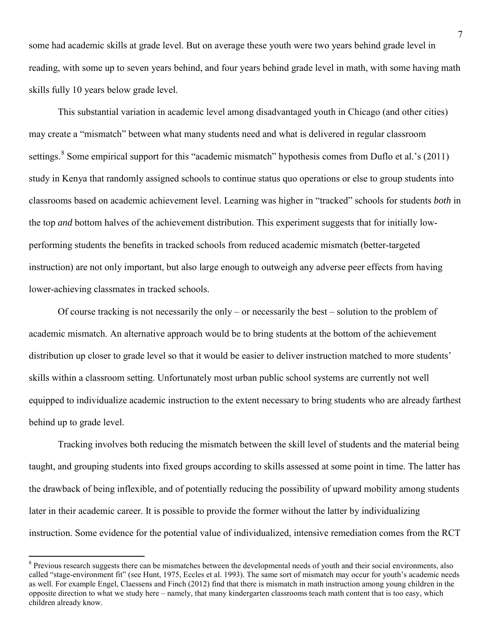some had academic skills at grade level. But on average these youth were two years behind grade level in reading, with some up to seven years behind, and four years behind grade level in math, with some having math skills fully 10 years below grade level.

 This substantial variation in academic level among disadvantaged youth in Chicago (and other cities) may create a "mismatch" between what many students need and what is delivered in regular classroom settings.<sup>[8](#page-9-0)</sup> Some empirical support for this "academic mismatch" hypothesis comes from Duflo et al.'s (2011) study in Kenya that randomly assigned schools to continue status quo operations or else to group students into classrooms based on academic achievement level. Learning was higher in "tracked" schools for students *both* in the top *and* bottom halves of the achievement distribution. This experiment suggests that for initially lowperforming students the benefits in tracked schools from reduced academic mismatch (better-targeted instruction) are not only important, but also large enough to outweigh any adverse peer effects from having lower-achieving classmates in tracked schools.

Of course tracking is not necessarily the only – or necessarily the best – solution to the problem of academic mismatch. An alternative approach would be to bring students at the bottom of the achievement distribution up closer to grade level so that it would be easier to deliver instruction matched to more students' skills within a classroom setting. Unfortunately most urban public school systems are currently not well equipped to individualize academic instruction to the extent necessary to bring students who are already farthest behind up to grade level.

 Tracking involves both reducing the mismatch between the skill level of students and the material being taught, and grouping students into fixed groups according to skills assessed at some point in time. The latter has the drawback of being inflexible, and of potentially reducing the possibility of upward mobility among students later in their academic career. It is possible to provide the former without the latter by individualizing instruction. Some evidence for the potential value of individualized, intensive remediation comes from the RCT

 $\overline{a}$ 

<span id="page-9-0"></span><sup>&</sup>lt;sup>8</sup> Previous research suggests there can be mismatches between the developmental needs of youth and their social environments, also called "stage-environment fit" (see Hunt, 1975, Eccles et al. 1993). The same sort of mismatch may occur for youth's academic needs as well. For example Engel, Claessens and Finch (2012) find that there is mismatch in math instruction among young children in the opposite direction to what we study here – namely, that many kindergarten classrooms teach math content that is too easy, which children already know.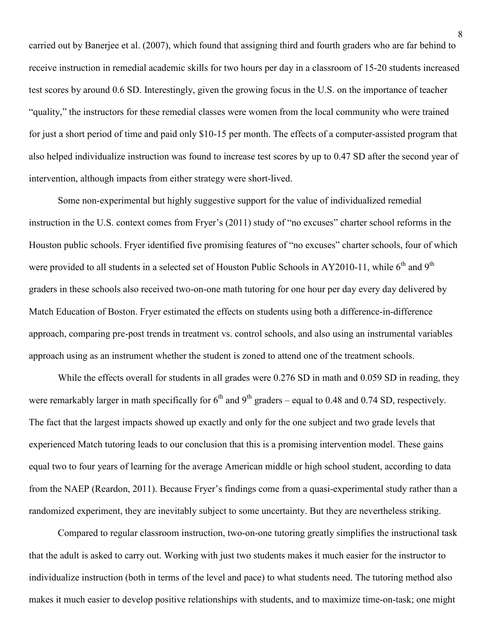carried out by Banerjee et al. (2007), which found that assigning third and fourth graders who are far behind to receive instruction in remedial academic skills for two hours per day in a classroom of 15-20 students increased test scores by around 0.6 SD. Interestingly, given the growing focus in the U.S. on the importance of teacher "quality," the instructors for these remedial classes were women from the local community who were trained for just a short period of time and paid only \$10-15 per month. The effects of a computer-assisted program that also helped individualize instruction was found to increase test scores by up to 0.47 SD after the second year of intervention, although impacts from either strategy were short-lived.

 Some non-experimental but highly suggestive support for the value of individualized remedial instruction in the U.S. context comes from Fryer's (2011) study of "no excuses" charter school reforms in the Houston public schools. Fryer identified five promising features of "no excuses" charter schools, four of which were provided to all students in a selected set of Houston Public Schools in AY2010-11, while  $6<sup>th</sup>$  and  $9<sup>th</sup>$ graders in these schools also received two-on-one math tutoring for one hour per day every day delivered by Match Education of Boston. Fryer estimated the effects on students using both a difference-in-difference approach, comparing pre-post trends in treatment vs. control schools, and also using an instrumental variables approach using as an instrument whether the student is zoned to attend one of the treatment schools.

While the effects overall for students in all grades were 0.276 SD in math and 0.059 SD in reading, they were remarkably larger in math specifically for  $6<sup>th</sup>$  and  $9<sup>th</sup>$  graders – equal to 0.48 and 0.74 SD, respectively. The fact that the largest impacts showed up exactly and only for the one subject and two grade levels that experienced Match tutoring leads to our conclusion that this is a promising intervention model. These gains equal two to four years of learning for the average American middle or high school student, according to data from the NAEP (Reardon, 2011). Because Fryer's findings come from a quasi-experimental study rather than a randomized experiment, they are inevitably subject to some uncertainty. But they are nevertheless striking.

Compared to regular classroom instruction, two-on-one tutoring greatly simplifies the instructional task that the adult is asked to carry out. Working with just two students makes it much easier for the instructor to individualize instruction (both in terms of the level and pace) to what students need. The tutoring method also makes it much easier to develop positive relationships with students, and to maximize time-on-task; one might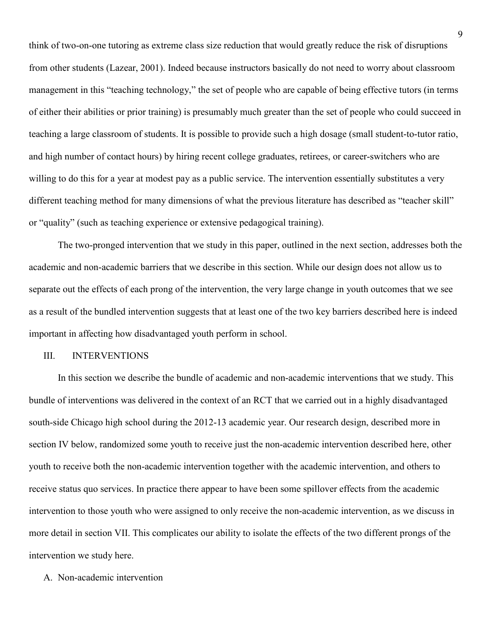think of two-on-one tutoring as extreme class size reduction that would greatly reduce the risk of disruptions from other students (Lazear, 2001). Indeed because instructors basically do not need to worry about classroom management in this "teaching technology," the set of people who are capable of being effective tutors (in terms of either their abilities or prior training) is presumably much greater than the set of people who could succeed in teaching a large classroom of students. It is possible to provide such a high dosage (small student-to-tutor ratio, and high number of contact hours) by hiring recent college graduates, retirees, or career-switchers who are willing to do this for a year at modest pay as a public service. The intervention essentially substitutes a very different teaching method for many dimensions of what the previous literature has described as "teacher skill" or "quality" (such as teaching experience or extensive pedagogical training).

The two-pronged intervention that we study in this paper, outlined in the next section, addresses both the academic and non-academic barriers that we describe in this section. While our design does not allow us to separate out the effects of each prong of the intervention, the very large change in youth outcomes that we see as a result of the bundled intervention suggests that at least one of the two key barriers described here is indeed important in affecting how disadvantaged youth perform in school.

## III. INTERVENTIONS

In this section we describe the bundle of academic and non-academic interventions that we study. This bundle of interventions was delivered in the context of an RCT that we carried out in a highly disadvantaged south-side Chicago high school during the 2012-13 academic year. Our research design, described more in section IV below, randomized some youth to receive just the non-academic intervention described here, other youth to receive both the non-academic intervention together with the academic intervention, and others to receive status quo services. In practice there appear to have been some spillover effects from the academic intervention to those youth who were assigned to only receive the non-academic intervention, as we discuss in more detail in section VII. This complicates our ability to isolate the effects of the two different prongs of the intervention we study here.

# A. Non-academic intervention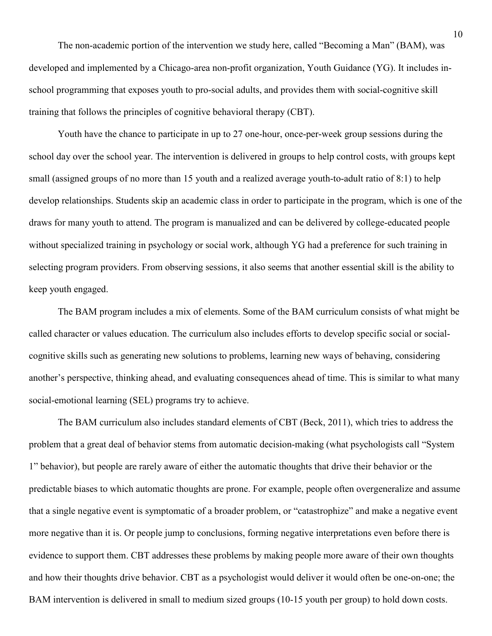The non-academic portion of the intervention we study here, called "Becoming a Man" (BAM), was developed and implemented by a Chicago-area non-profit organization, Youth Guidance (YG). It includes inschool programming that exposes youth to pro-social adults, and provides them with social-cognitive skill training that follows the principles of cognitive behavioral therapy (CBT).

Youth have the chance to participate in up to 27 one-hour, once-per-week group sessions during the school day over the school year. The intervention is delivered in groups to help control costs, with groups kept small (assigned groups of no more than 15 youth and a realized average youth-to-adult ratio of 8:1) to help develop relationships. Students skip an academic class in order to participate in the program, which is one of the draws for many youth to attend. The program is manualized and can be delivered by college-educated people without specialized training in psychology or social work, although YG had a preference for such training in selecting program providers. From observing sessions, it also seems that another essential skill is the ability to keep youth engaged.

The BAM program includes a mix of elements. Some of the BAM curriculum consists of what might be called character or values education. The curriculum also includes efforts to develop specific social or socialcognitive skills such as generating new solutions to problems, learning new ways of behaving, considering another's perspective, thinking ahead, and evaluating consequences ahead of time. This is similar to what many social-emotional learning (SEL) programs try to achieve.

The BAM curriculum also includes standard elements of CBT (Beck, 2011), which tries to address the problem that a great deal of behavior stems from automatic decision-making (what psychologists call "System 1" behavior), but people are rarely aware of either the automatic thoughts that drive their behavior or the predictable biases to which automatic thoughts are prone. For example, people often overgeneralize and assume that a single negative event is symptomatic of a broader problem, or "catastrophize" and make a negative event more negative than it is. Or people jump to conclusions, forming negative interpretations even before there is evidence to support them. CBT addresses these problems by making people more aware of their own thoughts and how their thoughts drive behavior. CBT as a psychologist would deliver it would often be one-on-one; the BAM intervention is delivered in small to medium sized groups (10-15 youth per group) to hold down costs.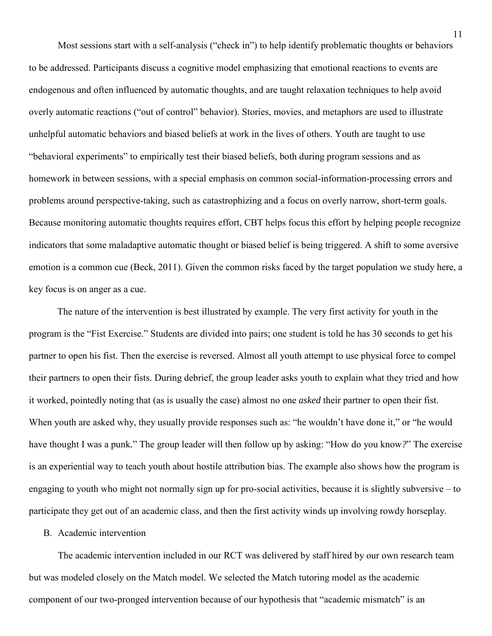Most sessions start with a self-analysis ("check in") to help identify problematic thoughts or behaviors to be addressed. Participants discuss a cognitive model emphasizing that emotional reactions to events are endogenous and often influenced by automatic thoughts, and are taught relaxation techniques to help avoid overly automatic reactions ("out of control" behavior). Stories, movies, and metaphors are used to illustrate unhelpful automatic behaviors and biased beliefs at work in the lives of others. Youth are taught to use "behavioral experiments" to empirically test their biased beliefs, both during program sessions and as homework in between sessions, with a special emphasis on common social-information-processing errors and problems around perspective-taking, such as catastrophizing and a focus on overly narrow, short-term goals. Because monitoring automatic thoughts requires effort, CBT helps focus this effort by helping people recognize indicators that some maladaptive automatic thought or biased belief is being triggered. A shift to some aversive emotion is a common cue (Beck, 2011). Given the common risks faced by the target population we study here, a key focus is on anger as a cue.

The nature of the intervention is best illustrated by example. The very first activity for youth in the program is the "Fist Exercise." Students are divided into pairs; one student is told he has 30 seconds to get his partner to open his fist. Then the exercise is reversed. Almost all youth attempt to use physical force to compel their partners to open their fists. During debrief, the group leader asks youth to explain what they tried and how it worked, pointedly noting that (as is usually the case) almost no one *asked* their partner to open their fist. When youth are asked why, they usually provide responses such as: "he wouldn't have done it," or "he would have thought I was a punk*.*" The group leader will then follow up by asking: "How do you know*?*" The exercise is an experiential way to teach youth about hostile attribution bias. The example also shows how the program is engaging to youth who might not normally sign up for pro-social activities, because it is slightly subversive – to participate they get out of an academic class, and then the first activity winds up involving rowdy horseplay.

#### B. Academic intervention

The academic intervention included in our RCT was delivered by staff hired by our own research team but was modeled closely on the Match model. We selected the Match tutoring model as the academic component of our two-pronged intervention because of our hypothesis that "academic mismatch" is an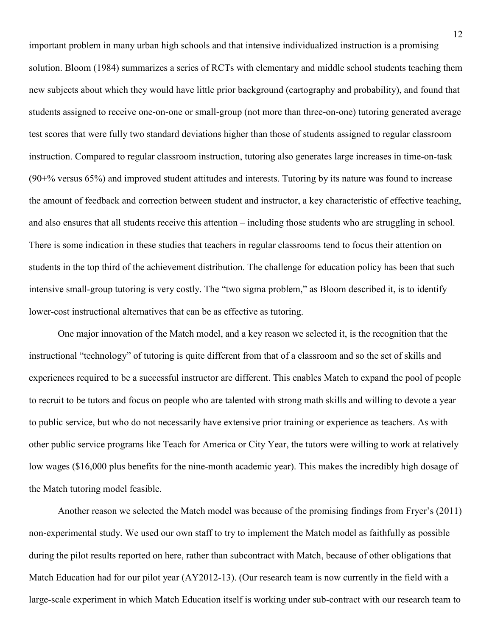important problem in many urban high schools and that intensive individualized instruction is a promising solution. Bloom (1984) summarizes a series of RCTs with elementary and middle school students teaching them new subjects about which they would have little prior background (cartography and probability), and found that students assigned to receive one-on-one or small-group (not more than three-on-one) tutoring generated average test scores that were fully two standard deviations higher than those of students assigned to regular classroom instruction. Compared to regular classroom instruction, tutoring also generates large increases in time-on-task (90+% versus 65%) and improved student attitudes and interests. Tutoring by its nature was found to increase the amount of feedback and correction between student and instructor, a key characteristic of effective teaching, and also ensures that all students receive this attention – including those students who are struggling in school. There is some indication in these studies that teachers in regular classrooms tend to focus their attention on students in the top third of the achievement distribution. The challenge for education policy has been that such intensive small-group tutoring is very costly. The "two sigma problem," as Bloom described it, is to identify lower-cost instructional alternatives that can be as effective as tutoring.

One major innovation of the Match model, and a key reason we selected it, is the recognition that the instructional "technology" of tutoring is quite different from that of a classroom and so the set of skills and experiences required to be a successful instructor are different. This enables Match to expand the pool of people to recruit to be tutors and focus on people who are talented with strong math skills and willing to devote a year to public service, but who do not necessarily have extensive prior training or experience as teachers. As with other public service programs like Teach for America or City Year, the tutors were willing to work at relatively low wages (\$16,000 plus benefits for the nine-month academic year). This makes the incredibly high dosage of the Match tutoring model feasible.

Another reason we selected the Match model was because of the promising findings from Fryer's (2011) non-experimental study. We used our own staff to try to implement the Match model as faithfully as possible during the pilot results reported on here, rather than subcontract with Match, because of other obligations that Match Education had for our pilot year (AY2012-13). (Our research team is now currently in the field with a large-scale experiment in which Match Education itself is working under sub-contract with our research team to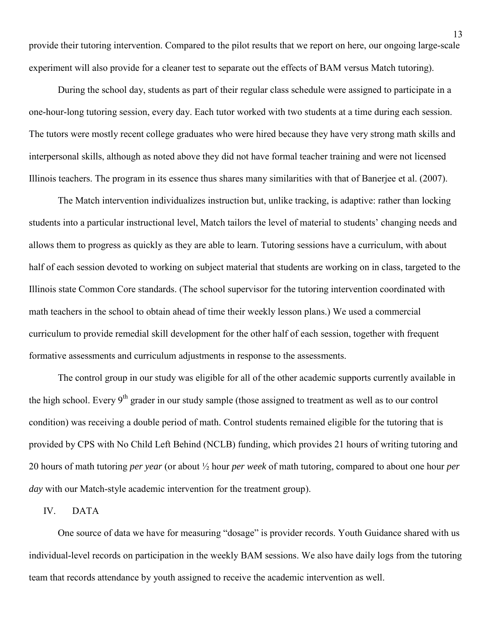provide their tutoring intervention. Compared to the pilot results that we report on here, our ongoing large-scale experiment will also provide for a cleaner test to separate out the effects of BAM versus Match tutoring).

During the school day, students as part of their regular class schedule were assigned to participate in a one-hour-long tutoring session, every day. Each tutor worked with two students at a time during each session. The tutors were mostly recent college graduates who were hired because they have very strong math skills and interpersonal skills, although as noted above they did not have formal teacher training and were not licensed Illinois teachers. The program in its essence thus shares many similarities with that of Banerjee et al. (2007).

The Match intervention individualizes instruction but, unlike tracking, is adaptive: rather than locking students into a particular instructional level, Match tailors the level of material to students' changing needs and allows them to progress as quickly as they are able to learn. Tutoring sessions have a curriculum, with about half of each session devoted to working on subject material that students are working on in class, targeted to the Illinois state Common Core standards. (The school supervisor for the tutoring intervention coordinated with math teachers in the school to obtain ahead of time their weekly lesson plans.) We used a commercial curriculum to provide remedial skill development for the other half of each session, together with frequent formative assessments and curriculum adjustments in response to the assessments.

 The control group in our study was eligible for all of the other academic supports currently available in the high school. Every  $9<sup>th</sup>$  grader in our study sample (those assigned to treatment as well as to our control condition) was receiving a double period of math. Control students remained eligible for the tutoring that is provided by CPS with No Child Left Behind (NCLB) funding, which provides 21 hours of writing tutoring and 20 hours of math tutoring *per year* (or about ½ hour *per week* of math tutoring, compared to about one hour *per day* with our Match-style academic intervention for the treatment group).

#### IV. DATA

One source of data we have for measuring "dosage" is provider records. Youth Guidance shared with us individual-level records on participation in the weekly BAM sessions. We also have daily logs from the tutoring team that records attendance by youth assigned to receive the academic intervention as well.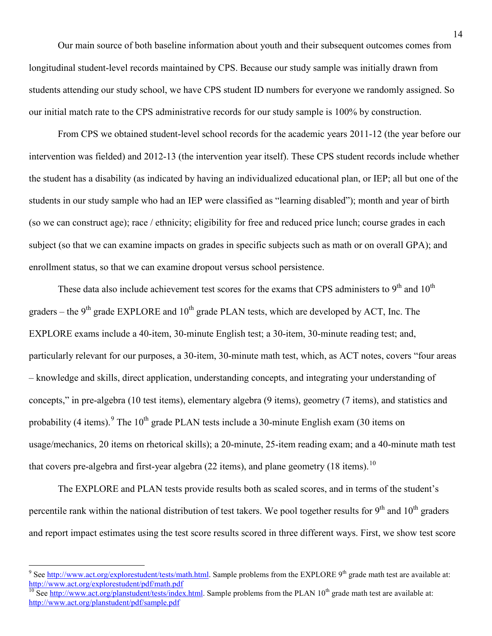Our main source of both baseline information about youth and their subsequent outcomes comes from longitudinal student-level records maintained by CPS. Because our study sample was initially drawn from students attending our study school, we have CPS student ID numbers for everyone we randomly assigned. So our initial match rate to the CPS administrative records for our study sample is 100% by construction.

From CPS we obtained student-level school records for the academic years 2011-12 (the year before our intervention was fielded) and 2012-13 (the intervention year itself). These CPS student records include whether the student has a disability (as indicated by having an individualized educational plan, or IEP; all but one of the students in our study sample who had an IEP were classified as "learning disabled"); month and year of birth (so we can construct age); race / ethnicity; eligibility for free and reduced price lunch; course grades in each subject (so that we can examine impacts on grades in specific subjects such as math or on overall GPA); and enrollment status, so that we can examine dropout versus school persistence.

These data also include achievement test scores for the exams that CPS administers to  $9<sup>th</sup>$  and  $10<sup>th</sup>$ graders – the  $9<sup>th</sup>$  grade EXPLORE and  $10<sup>th</sup>$  grade PLAN tests, which are developed by ACT, Inc. The EXPLORE exams include a 40-item, 30-minute English test; a 30-item, 30-minute reading test; and, particularly relevant for our purposes, a 30-item, 30-minute math test, which, as ACT notes, covers "four areas – knowledge and skills, direct application, understanding concepts, and integrating your understanding of concepts," in pre-algebra (10 test items), elementary algebra (9 items), geometry (7 items), and statistics and probability (4 items). <sup>[9](#page-16-0)</sup> The 10<sup>th</sup> grade PLAN tests include a 30-minute English exam (30 items on usage/mechanics, 20 items on rhetorical skills); a 20-minute, 25-item reading exam; and a 40-minute math test that covers pre-algebra and first-year algebra (22 items), and plane geometry (18 items).<sup>[10](#page-16-1)</sup>

The EXPLORE and PLAN tests provide results both as scaled scores, and in terms of the student's percentile rank within the national distribution of test takers. We pool together results for  $9<sup>th</sup>$  and  $10<sup>th</sup>$  graders and report impact estimates using the test score results scored in three different ways. First, we show test score

 $\overline{a}$ 

<span id="page-16-0"></span><sup>&</sup>lt;sup>9</sup> Se[e http://www.act.org/explorestudent/tests/math.html.](http://www.act.org/explorestudent/tests/math.html) Sample problems from the EXPLORE 9<sup>th</sup> grade math test are available at: http://www.act.org/explorestudent/pdf/math.pdf<br><sup>10</sup> See [http://www.act.org/planstudent/tests/index.html.](http://www.act.org/planstudent/tests/index.html) Sample problems from the PLAN 10<sup>th</sup> grade math test are available at:

<span id="page-16-1"></span><http://www.act.org/planstudent/pdf/sample.pdf>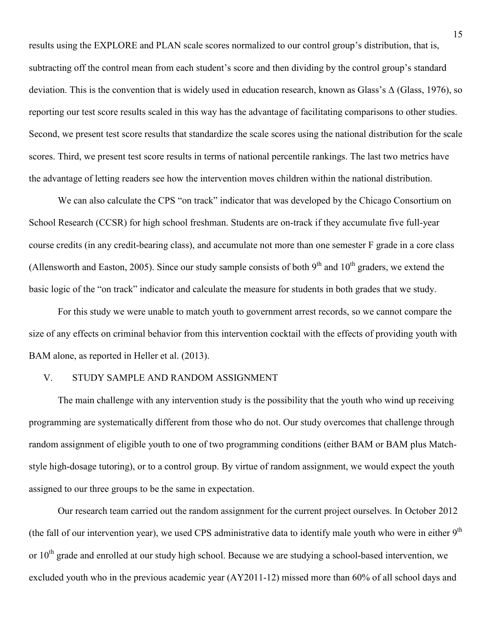results using the EXPLORE and PLAN scale scores normalized to our control group's distribution, that is, subtracting off the control mean from each student's score and then dividing by the control group's standard deviation. This is the convention that is widely used in education research, known as Glass's Δ (Glass, 1976), so reporting our test score results scaled in this way has the advantage of facilitating comparisons to other studies. Second, we present test score results that standardize the scale scores using the national distribution for the scale scores. Third, we present test score results in terms of national percentile rankings. The last two metrics have the advantage of letting readers see how the intervention moves children within the national distribution.

We can also calculate the CPS "on track" indicator that was developed by the Chicago Consortium on School Research (CCSR) for high school freshman. Students are on-track if they accumulate five full-year course credits (in any credit-bearing class), and accumulate not more than one semester F grade in a core class (Allensworth and Easton, 2005). Since our study sample consists of both  $9<sup>th</sup>$  and  $10<sup>th</sup>$  graders, we extend the basic logic of the "on track" indicator and calculate the measure for students in both grades that we study.

For this study we were unable to match youth to government arrest records, so we cannot compare the size of any effects on criminal behavior from this intervention cocktail with the effects of providing youth with BAM alone, as reported in Heller et al. (2013).

#### V. STUDY SAMPLE AND RANDOM ASSIGNMENT

The main challenge with any intervention study is the possibility that the youth who wind up receiving programming are systematically different from those who do not. Our study overcomes that challenge through random assignment of eligible youth to one of two programming conditions (either BAM or BAM plus Matchstyle high-dosage tutoring), or to a control group. By virtue of random assignment, we would expect the youth assigned to our three groups to be the same in expectation.

Our research team carried out the random assignment for the current project ourselves. In October 2012 (the fall of our intervention year), we used CPS administrative data to identify male youth who were in either  $9<sup>th</sup>$ or  $10<sup>th</sup>$  grade and enrolled at our study high school. Because we are studying a school-based intervention, we excluded youth who in the previous academic year (AY2011-12) missed more than 60% of all school days and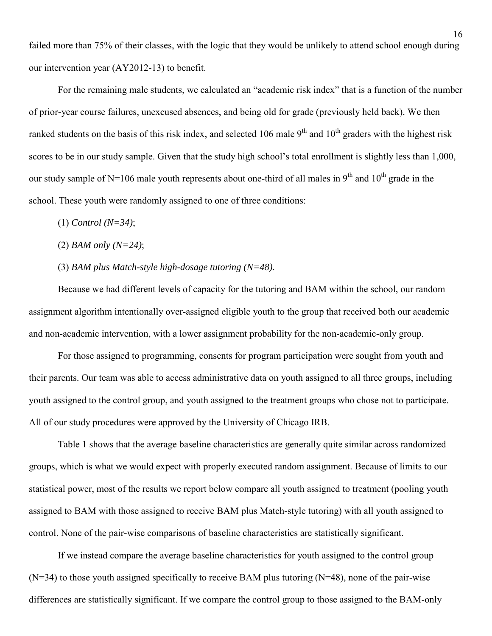failed more than 75% of their classes, with the logic that they would be unlikely to attend school enough during our intervention year (AY2012-13) to benefit.

For the remaining male students, we calculated an "academic risk index" that is a function of the number of prior-year course failures, unexcused absences, and being old for grade (previously held back). We then ranked students on the basis of this risk index, and selected 106 male  $9<sup>th</sup>$  and  $10<sup>th</sup>$  graders with the highest risk scores to be in our study sample. Given that the study high school's total enrollment is slightly less than 1,000, our study sample of N=106 male youth represents about one-third of all males in  $9<sup>th</sup>$  and  $10<sup>th</sup>$  grade in the school. These youth were randomly assigned to one of three conditions:

- (1) *Control (N=34)*;
- (2) *BAM only (N=24)*;
- (3) *BAM plus Match-style high-dosage tutoring (N=48)*.

Because we had different levels of capacity for the tutoring and BAM within the school, our random assignment algorithm intentionally over-assigned eligible youth to the group that received both our academic and non-academic intervention, with a lower assignment probability for the non-academic-only group.

For those assigned to programming, consents for program participation were sought from youth and their parents. Our team was able to access administrative data on youth assigned to all three groups, including youth assigned to the control group, and youth assigned to the treatment groups who chose not to participate. All of our study procedures were approved by the University of Chicago IRB.

Table 1 shows that the average baseline characteristics are generally quite similar across randomized groups, which is what we would expect with properly executed random assignment. Because of limits to our statistical power, most of the results we report below compare all youth assigned to treatment (pooling youth assigned to BAM with those assigned to receive BAM plus Match-style tutoring) with all youth assigned to control. None of the pair-wise comparisons of baseline characteristics are statistically significant.

If we instead compare the average baseline characteristics for youth assigned to the control group  $(N=34)$  to those youth assigned specifically to receive BAM plus tutoring  $(N=48)$ , none of the pair-wise differences are statistically significant. If we compare the control group to those assigned to the BAM-only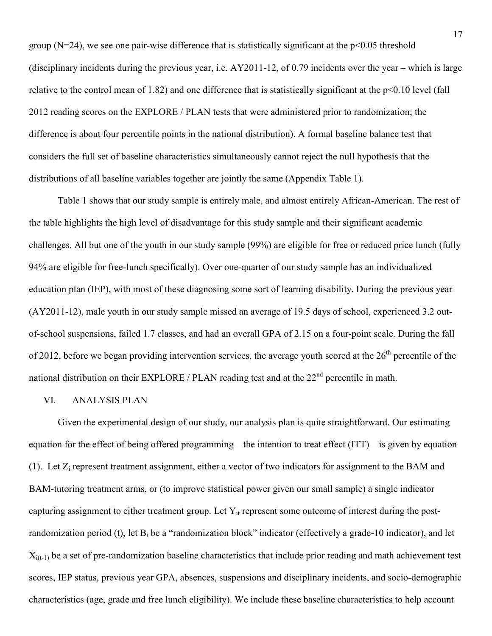group ( $N=24$ ), we see one pair-wise difference that is statistically significant at the  $p<0.05$  threshold (disciplinary incidents during the previous year, i.e. AY2011-12, of 0.79 incidents over the year – which is large relative to the control mean of 1.82) and one difference that is statistically significant at the p<0.10 level (fall 2012 reading scores on the EXPLORE / PLAN tests that were administered prior to randomization; the difference is about four percentile points in the national distribution). A formal baseline balance test that considers the full set of baseline characteristics simultaneously cannot reject the null hypothesis that the distributions of all baseline variables together are jointly the same (Appendix Table 1).

Table 1 shows that our study sample is entirely male, and almost entirely African-American. The rest of the table highlights the high level of disadvantage for this study sample and their significant academic challenges. All but one of the youth in our study sample (99%) are eligible for free or reduced price lunch (fully 94% are eligible for free-lunch specifically). Over one-quarter of our study sample has an individualized education plan (IEP), with most of these diagnosing some sort of learning disability. During the previous year (AY2011-12), male youth in our study sample missed an average of 19.5 days of school, experienced 3.2 outof-school suspensions, failed 1.7 classes, and had an overall GPA of 2.15 on a four-point scale. During the fall of 2012, before we began providing intervention services, the average youth scored at the  $26<sup>th</sup>$  percentile of the national distribution on their EXPLORE / PLAN reading test and at the  $22<sup>nd</sup>$  percentile in math.

## VI. ANALYSIS PLAN

Given the experimental design of our study, our analysis plan is quite straightforward. Our estimating equation for the effect of being offered programming – the intention to treat effect (ITT) – is given by equation (1). Let Zi represent treatment assignment, either a vector of two indicators for assignment to the BAM and BAM-tutoring treatment arms, or (to improve statistical power given our small sample) a single indicator capturing assignment to either treatment group. Let  $Y_{it}$  represent some outcome of interest during the postrandomization period (t), let  $B_i$  be a "randomization block" indicator (effectively a grade-10 indicator), and let  $X_{i(t-1)}$  be a set of pre-randomization baseline characteristics that include prior reading and math achievement test scores, IEP status, previous year GPA, absences, suspensions and disciplinary incidents, and socio-demographic characteristics (age, grade and free lunch eligibility). We include these baseline characteristics to help account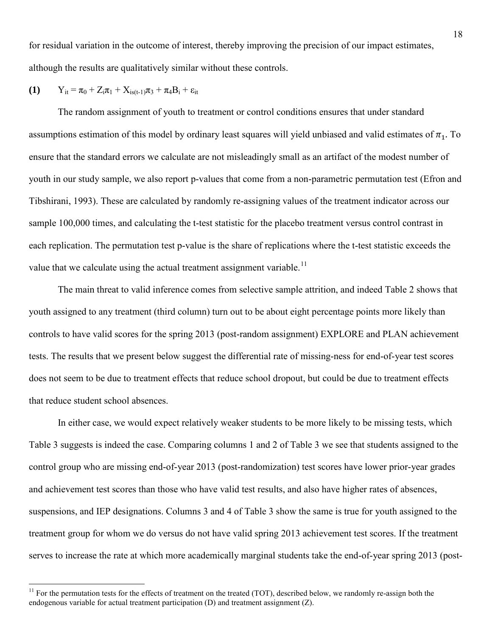for residual variation in the outcome of interest, thereby improving the precision of our impact estimates, although the results are qualitatively similar without these controls.

(1) 
$$
Y_{it} = \pi_0 + Z_i \pi_1 + X_{is(t-1)} \pi_3 + \pi_4 B_i + \epsilon_{it}
$$

 $\overline{a}$ 

The random assignment of youth to treatment or control conditions ensures that under standard assumptions estimation of this model by ordinary least squares will yield unbiased and valid estimates of  $\pi_1$ . To ensure that the standard errors we calculate are not misleadingly small as an artifact of the modest number of youth in our study sample, we also report p-values that come from a non-parametric permutation test (Efron and Tibshirani, 1993). These are calculated by randomly re-assigning values of the treatment indicator across our sample 100,000 times, and calculating the t-test statistic for the placebo treatment versus control contrast in each replication. The permutation test p-value is the share of replications where the t-test statistic exceeds the value that we calculate using the actual treatment assignment variable.<sup>[11](#page-20-0)</sup>

The main threat to valid inference comes from selective sample attrition, and indeed Table 2 shows that youth assigned to any treatment (third column) turn out to be about eight percentage points more likely than controls to have valid scores for the spring 2013 (post-random assignment) EXPLORE and PLAN achievement tests. The results that we present below suggest the differential rate of missing-ness for end-of-year test scores does not seem to be due to treatment effects that reduce school dropout, but could be due to treatment effects that reduce student school absences.

In either case, we would expect relatively weaker students to be more likely to be missing tests, which Table 3 suggests is indeed the case. Comparing columns 1 and 2 of Table 3 we see that students assigned to the control group who are missing end-of-year 2013 (post-randomization) test scores have lower prior-year grades and achievement test scores than those who have valid test results, and also have higher rates of absences, suspensions, and IEP designations. Columns 3 and 4 of Table 3 show the same is true for youth assigned to the treatment group for whom we do versus do not have valid spring 2013 achievement test scores. If the treatment serves to increase the rate at which more academically marginal students take the end-of-year spring 2013 (post-

<span id="page-20-0"></span> $11$  For the permutation tests for the effects of treatment on the treated (TOT), described below, we randomly re-assign both the endogenous variable for actual treatment participation (D) and treatment assignment (Z).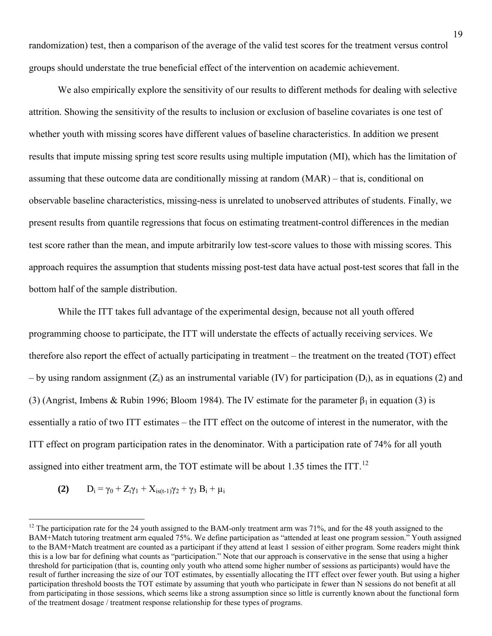randomization) test, then a comparison of the average of the valid test scores for the treatment versus control groups should understate the true beneficial effect of the intervention on academic achievement.

We also empirically explore the sensitivity of our results to different methods for dealing with selective attrition. Showing the sensitivity of the results to inclusion or exclusion of baseline covariates is one test of whether youth with missing scores have different values of baseline characteristics. In addition we present results that impute missing spring test score results using multiple imputation (MI), which has the limitation of assuming that these outcome data are conditionally missing at random (MAR) – that is, conditional on observable baseline characteristics, missing-ness is unrelated to unobserved attributes of students. Finally, we present results from quantile regressions that focus on estimating treatment-control differences in the median test score rather than the mean, and impute arbitrarily low test-score values to those with missing scores. This approach requires the assumption that students missing post-test data have actual post-test scores that fall in the bottom half of the sample distribution.

While the ITT takes full advantage of the experimental design, because not all youth offered programming choose to participate, the ITT will understate the effects of actually receiving services. We therefore also report the effect of actually participating in treatment – the treatment on the treated (TOT) effect – by using random assignment  $(Z_i)$  as an instrumental variable (IV) for participation (D<sub>i</sub>), as in equations (2) and (3) (Angrist, Imbens & Rubin 1996; Bloom 1984). The IV estimate for the parameter  $\beta_1$  in equation (3) is essentially a ratio of two ITT estimates – the ITT effect on the outcome of interest in the numerator, with the ITT effect on program participation rates in the denominator. With a participation rate of 74% for all youth assigned into either treatment arm, the TOT estimate will be about 1.35 times the ITT.<sup>[12](#page-21-0)</sup>

(2) 
$$
D_i = \gamma_0 + Z_i \gamma_1 + X_{is(t-1)} \gamma_2 + \gamma_3 B_i + \mu_i
$$

 $\overline{a}$ 

<span id="page-21-0"></span><sup>&</sup>lt;sup>12</sup> The participation rate for the 24 youth assigned to the BAM-only treatment arm was  $71\%$ , and for the 48 youth assigned to the BAM+Match tutoring treatment arm equaled 75%. We define participation as "attended at least one program session." Youth assigned to the BAM+Match treatment are counted as a participant if they attend at least 1 session of either program. Some readers might think this is a low bar for defining what counts as "participation." Note that our approach is conservative in the sense that using a higher threshold for participation (that is, counting only youth who attend some higher number of sessions as participants) would have the result of further increasing the size of our TOT estimates, by essentially allocating the ITT effect over fewer youth. But using a higher participation threshold boosts the TOT estimate by assuming that youth who participate in fewer than N sessions do not benefit at all from participating in those sessions, which seems like a strong assumption since so little is currently known about the functional form of the treatment dosage / treatment response relationship for these types of programs.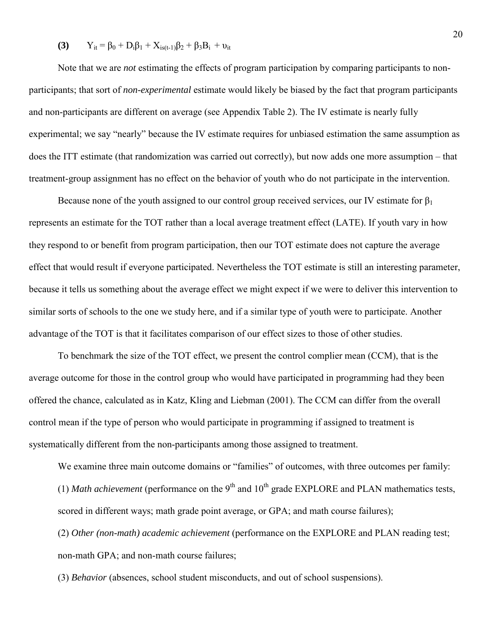## **(3)**  $Y_{it} = \beta_0 + D_i\beta_1 + X_{is(t-1)}\beta_2 + \beta_3B_i + v_{it}$

Note that we are *not* estimating the effects of program participation by comparing participants to nonparticipants; that sort of *non-experimental* estimate would likely be biased by the fact that program participants and non-participants are different on average (see Appendix Table 2). The IV estimate is nearly fully experimental; we say "nearly" because the IV estimate requires for unbiased estimation the same assumption as does the ITT estimate (that randomization was carried out correctly), but now adds one more assumption – that treatment-group assignment has no effect on the behavior of youth who do not participate in the intervention.

Because none of the youth assigned to our control group received services, our IV estimate for  $\beta_1$ represents an estimate for the TOT rather than a local average treatment effect (LATE). If youth vary in how they respond to or benefit from program participation, then our TOT estimate does not capture the average effect that would result if everyone participated. Nevertheless the TOT estimate is still an interesting parameter, because it tells us something about the average effect we might expect if we were to deliver this intervention to similar sorts of schools to the one we study here, and if a similar type of youth were to participate. Another advantage of the TOT is that it facilitates comparison of our effect sizes to those of other studies.

To benchmark the size of the TOT effect, we present the control complier mean (CCM), that is the average outcome for those in the control group who would have participated in programming had they been offered the chance, calculated as in Katz, Kling and Liebman (2001). The CCM can differ from the overall control mean if the type of person who would participate in programming if assigned to treatment is systematically different from the non-participants among those assigned to treatment.

We examine three main outcome domains or "families" of outcomes, with three outcomes per family:

(1) *Math achievement* (performance on the  $9<sup>th</sup>$  and  $10<sup>th</sup>$  grade EXPLORE and PLAN mathematics tests, scored in different ways; math grade point average, or GPA; and math course failures);

(2) *Other (non-math) academic achievement* (performance on the EXPLORE and PLAN reading test; non-math GPA; and non-math course failures;

(3) *Behavior* (absences, school student misconducts, and out of school suspensions).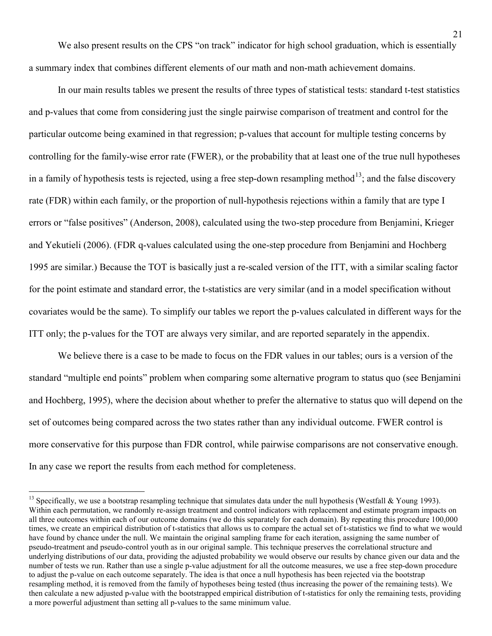We also present results on the CPS "on track" indicator for high school graduation, which is essentially a summary index that combines different elements of our math and non-math achievement domains.

In our main results tables we present the results of three types of statistical tests: standard t-test statistics and p-values that come from considering just the single pairwise comparison of treatment and control for the particular outcome being examined in that regression; p-values that account for multiple testing concerns by controlling for the family-wise error rate (FWER), or the probability that at least one of the true null hypotheses in a family of hypothesis tests is rejected, using a free step-down resampling method<sup>[13](#page-23-0)</sup>; and the false discovery rate (FDR) within each family, or the proportion of null-hypothesis rejections within a family that are type I errors or "false positives" (Anderson, 2008), calculated using the two-step procedure from Benjamini, Krieger and Yekutieli (2006). (FDR q-values calculated using the one-step procedure from Benjamini and Hochberg 1995 are similar.) Because the TOT is basically just a re-scaled version of the ITT, with a similar scaling factor for the point estimate and standard error, the t-statistics are very similar (and in a model specification without covariates would be the same). To simplify our tables we report the p-values calculated in different ways for the ITT only; the p-values for the TOT are always very similar, and are reported separately in the appendix.

We believe there is a case to be made to focus on the FDR values in our tables; ours is a version of the standard "multiple end points" problem when comparing some alternative program to status quo (see Benjamini and Hochberg, 1995), where the decision about whether to prefer the alternative to status quo will depend on the set of outcomes being compared across the two states rather than any individual outcome. FWER control is more conservative for this purpose than FDR control, while pairwise comparisons are not conservative enough. In any case we report the results from each method for completeness.

 $\overline{a}$ 

<span id="page-23-0"></span><sup>&</sup>lt;sup>13</sup> Specifically, we use a bootstrap resampling technique that simulates data under the null hypothesis (Westfall & Young 1993). Within each permutation, we randomly re-assign treatment and control indicators with replacement and estimate program impacts on all three outcomes within each of our outcome domains (we do this separately for each domain). By repeating this procedure 100,000 times, we create an empirical distribution of t-statistics that allows us to compare the actual set of t-statistics we find to what we would have found by chance under the null. We maintain the original sampling frame for each iteration, assigning the same number of pseudo-treatment and pseudo-control youth as in our original sample. This technique preserves the correlational structure and underlying distributions of our data, providing the adjusted probability we would observe our results by chance given our data and the number of tests we run. Rather than use a single p-value adjustment for all the outcome measures, we use a free step-down procedure to adjust the p-value on each outcome separately. The idea is that once a null hypothesis has been rejected via the bootstrap resampling method, it is removed from the family of hypotheses being tested (thus increasing the power of the remaining tests). We then calculate a new adjusted p-value with the bootstrapped empirical distribution of t-statistics for only the remaining tests, providing a more powerful adjustment than setting all p-values to the same minimum value.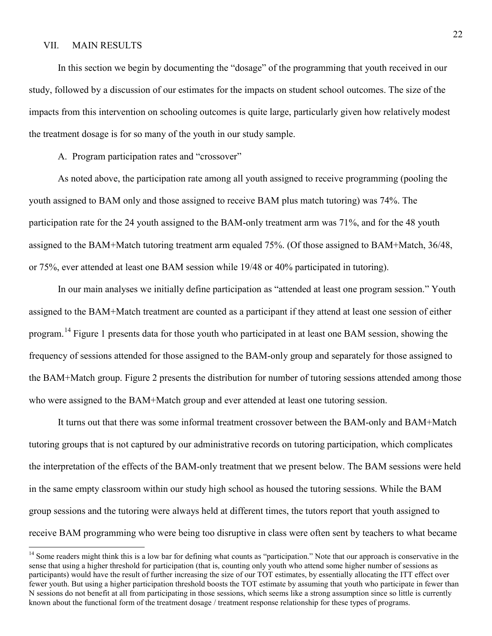# VII. MAIN RESULTS

 $\overline{a}$ 

In this section we begin by documenting the "dosage" of the programming that youth received in our study, followed by a discussion of our estimates for the impacts on student school outcomes. The size of the impacts from this intervention on schooling outcomes is quite large, particularly given how relatively modest the treatment dosage is for so many of the youth in our study sample.

A. Program participation rates and "crossover"

As noted above, the participation rate among all youth assigned to receive programming (pooling the youth assigned to BAM only and those assigned to receive BAM plus match tutoring) was 74%. The participation rate for the 24 youth assigned to the BAM-only treatment arm was 71%, and for the 48 youth assigned to the BAM+Match tutoring treatment arm equaled 75%. (Of those assigned to BAM+Match, 36/48, or 75%, ever attended at least one BAM session while 19/48 or 40% participated in tutoring).

In our main analyses we initially define participation as "attended at least one program session." Youth assigned to the BAM+Match treatment are counted as a participant if they attend at least one session of either program.[14](#page-24-0) Figure 1 presents data for those youth who participated in at least one BAM session, showing the frequency of sessions attended for those assigned to the BAM-only group and separately for those assigned to the BAM+Match group. Figure 2 presents the distribution for number of tutoring sessions attended among those who were assigned to the BAM+Match group and ever attended at least one tutoring session.

It turns out that there was some informal treatment crossover between the BAM-only and BAM+Match tutoring groups that is not captured by our administrative records on tutoring participation, which complicates the interpretation of the effects of the BAM-only treatment that we present below. The BAM sessions were held in the same empty classroom within our study high school as housed the tutoring sessions. While the BAM group sessions and the tutoring were always held at different times, the tutors report that youth assigned to receive BAM programming who were being too disruptive in class were often sent by teachers to what became

<span id="page-24-0"></span><sup>&</sup>lt;sup>14</sup> Some readers might think this is a low bar for defining what counts as "participation." Note that our approach is conservative in the sense that using a higher threshold for participation (that is, counting only youth who attend some higher number of sessions as participants) would have the result of further increasing the size of our TOT estimates, by essentially allocating the ITT effect over fewer youth. But using a higher participation threshold boosts the TOT estimate by assuming that youth who participate in fewer than N sessions do not benefit at all from participating in those sessions, which seems like a strong assumption since so little is currently known about the functional form of the treatment dosage / treatment response relationship for these types of programs.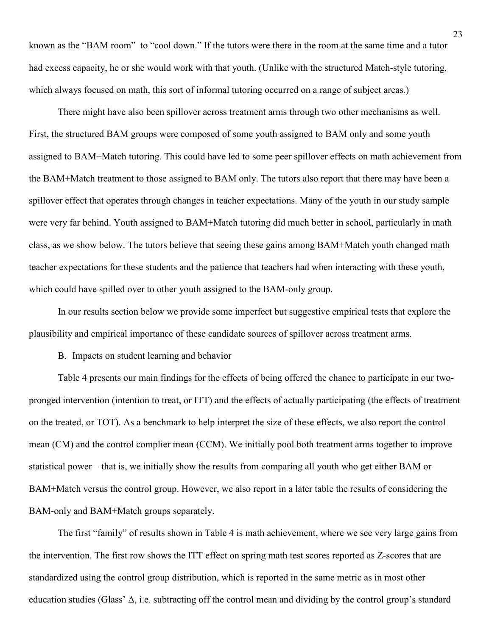known as the "BAM room" to "cool down." If the tutors were there in the room at the same time and a tutor had excess capacity, he or she would work with that youth. (Unlike with the structured Match-style tutoring, which always focused on math, this sort of informal tutoring occurred on a range of subject areas.)

There might have also been spillover across treatment arms through two other mechanisms as well. First, the structured BAM groups were composed of some youth assigned to BAM only and some youth assigned to BAM+Match tutoring. This could have led to some peer spillover effects on math achievement from the BAM+Match treatment to those assigned to BAM only. The tutors also report that there may have been a spillover effect that operates through changes in teacher expectations. Many of the youth in our study sample were very far behind. Youth assigned to BAM+Match tutoring did much better in school, particularly in math class, as we show below. The tutors believe that seeing these gains among BAM+Match youth changed math teacher expectations for these students and the patience that teachers had when interacting with these youth, which could have spilled over to other youth assigned to the BAM-only group.

In our results section below we provide some imperfect but suggestive empirical tests that explore the plausibility and empirical importance of these candidate sources of spillover across treatment arms.

B. Impacts on student learning and behavior

Table 4 presents our main findings for the effects of being offered the chance to participate in our twopronged intervention (intention to treat, or ITT) and the effects of actually participating (the effects of treatment on the treated, or TOT). As a benchmark to help interpret the size of these effects, we also report the control mean (CM) and the control complier mean (CCM). We initially pool both treatment arms together to improve statistical power – that is, we initially show the results from comparing all youth who get either BAM or BAM+Match versus the control group. However, we also report in a later table the results of considering the BAM-only and BAM+Match groups separately.

The first "family" of results shown in Table 4 is math achievement, where we see very large gains from the intervention. The first row shows the ITT effect on spring math test scores reported as Z-scores that are standardized using the control group distribution, which is reported in the same metric as in most other education studies (Glass'  $\Delta$ , i.e. subtracting off the control mean and dividing by the control group's standard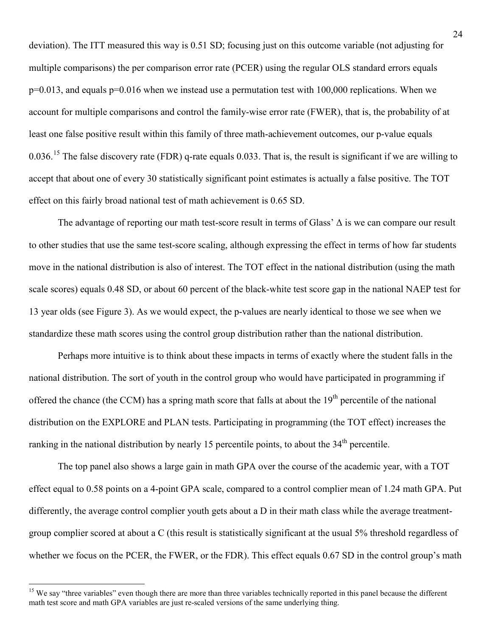deviation). The ITT measured this way is 0.51 SD; focusing just on this outcome variable (not adjusting for multiple comparisons) the per comparison error rate (PCER) using the regular OLS standard errors equals p=0.013, and equals p=0.016 when we instead use a permutation test with 100,000 replications. When we account for multiple comparisons and control the family-wise error rate (FWER), that is, the probability of at least one false positive result within this family of three math-achievement outcomes, our p-value equals 0.036.<sup>[15](#page-26-0)</sup> The false discovery rate (FDR) q-rate equals 0.033. That is, the result is significant if we are willing to accept that about one of every 30 statistically significant point estimates is actually a false positive. The TOT effect on this fairly broad national test of math achievement is 0.65 SD.

The advantage of reporting our math test-score result in terms of Glass' Δ is we can compare our result to other studies that use the same test-score scaling, although expressing the effect in terms of how far students move in the national distribution is also of interest. The TOT effect in the national distribution (using the math scale scores) equals 0.48 SD, or about 60 percent of the black-white test score gap in the national NAEP test for 13 year olds (see Figure 3). As we would expect, the p-values are nearly identical to those we see when we standardize these math scores using the control group distribution rather than the national distribution.

Perhaps more intuitive is to think about these impacts in terms of exactly where the student falls in the national distribution. The sort of youth in the control group who would have participated in programming if offered the chance (the CCM) has a spring math score that falls at about the  $19<sup>th</sup>$  percentile of the national distribution on the EXPLORE and PLAN tests. Participating in programming (the TOT effect) increases the ranking in the national distribution by nearly 15 percentile points, to about the 34<sup>th</sup> percentile.

The top panel also shows a large gain in math GPA over the course of the academic year, with a TOT effect equal to 0.58 points on a 4-point GPA scale, compared to a control complier mean of 1.24 math GPA. Put differently, the average control complier youth gets about a D in their math class while the average treatmentgroup complier scored at about a C (this result is statistically significant at the usual 5% threshold regardless of whether we focus on the PCER, the FWER, or the FDR). This effect equals 0.67 SD in the control group's math

 $\overline{a}$ 

<span id="page-26-0"></span><sup>&</sup>lt;sup>15</sup> We say "three variables" even though there are more than three variables technically reported in this panel because the different math test score and math GPA variables are just re-scaled versions of the same underlying thing.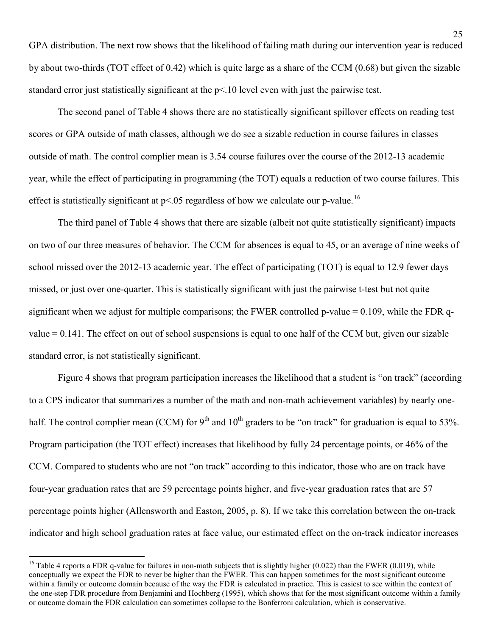GPA distribution. The next row shows that the likelihood of failing math during our intervention year is reduced by about two-thirds (TOT effect of 0.42) which is quite large as a share of the CCM (0.68) but given the sizable standard error just statistically significant at the p<.10 level even with just the pairwise test.

The second panel of Table 4 shows there are no statistically significant spillover effects on reading test scores or GPA outside of math classes, although we do see a sizable reduction in course failures in classes outside of math. The control complier mean is 3.54 course failures over the course of the 2012-13 academic year, while the effect of participating in programming (the TOT) equals a reduction of two course failures. This effect is statistically significant at  $p<0.05$  regardless of how we calculate our p-value.<sup>[16](#page-27-0)</sup>

The third panel of Table 4 shows that there are sizable (albeit not quite statistically significant) impacts on two of our three measures of behavior. The CCM for absences is equal to 45, or an average of nine weeks of school missed over the 2012-13 academic year. The effect of participating (TOT) is equal to 12.9 fewer days missed, or just over one-quarter. This is statistically significant with just the pairwise t-test but not quite significant when we adjust for multiple comparisons; the FWER controlled p-value  $= 0.109$ , while the FDR qvalue = 0.141. The effect on out of school suspensions is equal to one half of the CCM but, given our sizable standard error, is not statistically significant.

Figure 4 shows that program participation increases the likelihood that a student is "on track" (according to a CPS indicator that summarizes a number of the math and non-math achievement variables) by nearly onehalf. The control complier mean (CCM) for  $9<sup>th</sup>$  and  $10<sup>th</sup>$  graders to be "on track" for graduation is equal to 53%. Program participation (the TOT effect) increases that likelihood by fully 24 percentage points, or 46% of the CCM. Compared to students who are not "on track" according to this indicator, those who are on track have four-year graduation rates that are 59 percentage points higher, and five-year graduation rates that are 57 percentage points higher (Allensworth and Easton, 2005, p. 8). If we take this correlation between the on-track indicator and high school graduation rates at face value, our estimated effect on the on-track indicator increases

 $\overline{a}$ 

<span id="page-27-0"></span><sup>&</sup>lt;sup>16</sup> Table 4 reports a FDR q-value for failures in non-math subjects that is slightly higher (0.022) than the FWER (0.019), while conceptually we expect the FDR to never be higher than the FWER. This can happen sometimes for the most significant outcome within a family or outcome domain because of the way the FDR is calculated in practice. This is easiest to see within the context of the one-step FDR procedure from Benjamini and Hochberg (1995), which shows that for the most significant outcome within a family or outcome domain the FDR calculation can sometimes collapse to the Bonferroni calculation, which is conservative.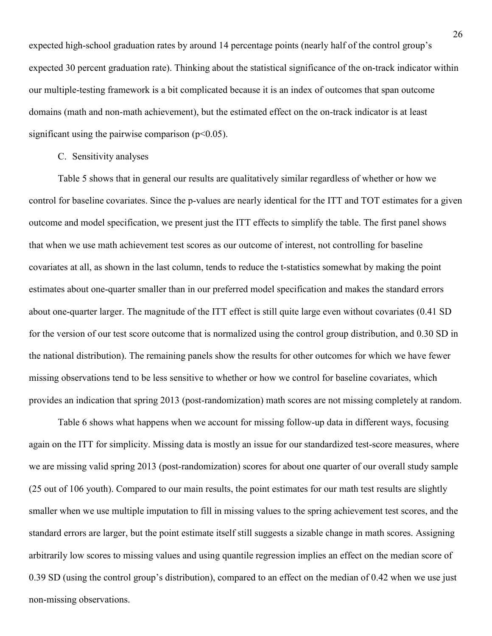expected high-school graduation rates by around 14 percentage points (nearly half of the control group's expected 30 percent graduation rate). Thinking about the statistical significance of the on-track indicator within our multiple-testing framework is a bit complicated because it is an index of outcomes that span outcome domains (math and non-math achievement), but the estimated effect on the on-track indicator is at least significant using the pairwise comparison  $(p<0.05)$ .

## C. Sensitivity analyses

Table 5 shows that in general our results are qualitatively similar regardless of whether or how we control for baseline covariates. Since the p-values are nearly identical for the ITT and TOT estimates for a given outcome and model specification, we present just the ITT effects to simplify the table. The first panel shows that when we use math achievement test scores as our outcome of interest, not controlling for baseline covariates at all, as shown in the last column, tends to reduce the t-statistics somewhat by making the point estimates about one-quarter smaller than in our preferred model specification and makes the standard errors about one-quarter larger. The magnitude of the ITT effect is still quite large even without covariates (0.41 SD for the version of our test score outcome that is normalized using the control group distribution, and 0.30 SD in the national distribution). The remaining panels show the results for other outcomes for which we have fewer missing observations tend to be less sensitive to whether or how we control for baseline covariates, which provides an indication that spring 2013 (post-randomization) math scores are not missing completely at random.

Table 6 shows what happens when we account for missing follow-up data in different ways, focusing again on the ITT for simplicity. Missing data is mostly an issue for our standardized test-score measures, where we are missing valid spring 2013 (post-randomization) scores for about one quarter of our overall study sample (25 out of 106 youth). Compared to our main results, the point estimates for our math test results are slightly smaller when we use multiple imputation to fill in missing values to the spring achievement test scores, and the standard errors are larger, but the point estimate itself still suggests a sizable change in math scores. Assigning arbitrarily low scores to missing values and using quantile regression implies an effect on the median score of 0.39 SD (using the control group's distribution), compared to an effect on the median of 0.42 when we use just non-missing observations.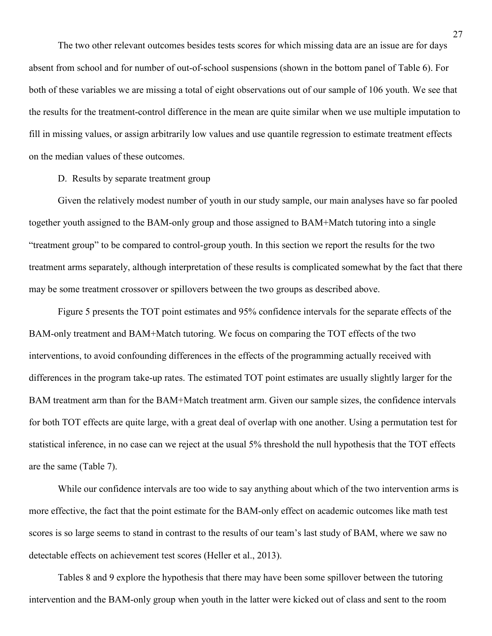The two other relevant outcomes besides tests scores for which missing data are an issue are for days absent from school and for number of out-of-school suspensions (shown in the bottom panel of Table 6). For both of these variables we are missing a total of eight observations out of our sample of 106 youth. We see that the results for the treatment-control difference in the mean are quite similar when we use multiple imputation to fill in missing values, or assign arbitrarily low values and use quantile regression to estimate treatment effects on the median values of these outcomes.

D. Results by separate treatment group

 Given the relatively modest number of youth in our study sample, our main analyses have so far pooled together youth assigned to the BAM-only group and those assigned to BAM+Match tutoring into a single "treatment group" to be compared to control-group youth. In this section we report the results for the two treatment arms separately, although interpretation of these results is complicated somewhat by the fact that there may be some treatment crossover or spillovers between the two groups as described above.

Figure 5 presents the TOT point estimates and 95% confidence intervals for the separate effects of the BAM-only treatment and BAM+Match tutoring. We focus on comparing the TOT effects of the two interventions, to avoid confounding differences in the effects of the programming actually received with differences in the program take-up rates. The estimated TOT point estimates are usually slightly larger for the BAM treatment arm than for the BAM+Match treatment arm. Given our sample sizes, the confidence intervals for both TOT effects are quite large, with a great deal of overlap with one another. Using a permutation test for statistical inference, in no case can we reject at the usual 5% threshold the null hypothesis that the TOT effects are the same (Table 7).

While our confidence intervals are too wide to say anything about which of the two intervention arms is more effective, the fact that the point estimate for the BAM-only effect on academic outcomes like math test scores is so large seems to stand in contrast to the results of our team's last study of BAM, where we saw no detectable effects on achievement test scores (Heller et al., 2013).

Tables 8 and 9 explore the hypothesis that there may have been some spillover between the tutoring intervention and the BAM-only group when youth in the latter were kicked out of class and sent to the room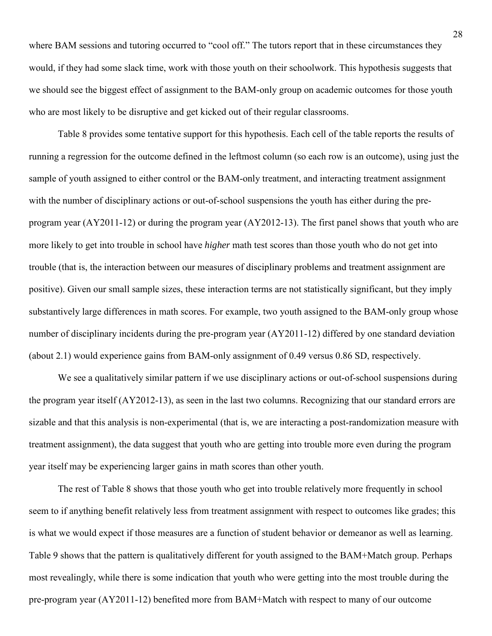where BAM sessions and tutoring occurred to "cool off." The tutors report that in these circumstances they would, if they had some slack time, work with those youth on their schoolwork. This hypothesis suggests that we should see the biggest effect of assignment to the BAM-only group on academic outcomes for those youth who are most likely to be disruptive and get kicked out of their regular classrooms.

Table 8 provides some tentative support for this hypothesis. Each cell of the table reports the results of running a regression for the outcome defined in the leftmost column (so each row is an outcome), using just the sample of youth assigned to either control or the BAM-only treatment, and interacting treatment assignment with the number of disciplinary actions or out-of-school suspensions the youth has either during the preprogram year (AY2011-12) or during the program year (AY2012-13). The first panel shows that youth who are more likely to get into trouble in school have *higher* math test scores than those youth who do not get into trouble (that is, the interaction between our measures of disciplinary problems and treatment assignment are positive). Given our small sample sizes, these interaction terms are not statistically significant, but they imply substantively large differences in math scores. For example, two youth assigned to the BAM-only group whose number of disciplinary incidents during the pre-program year (AY2011-12) differed by one standard deviation (about 2.1) would experience gains from BAM-only assignment of 0.49 versus 0.86 SD, respectively.

We see a qualitatively similar pattern if we use disciplinary actions or out-of-school suspensions during the program year itself (AY2012-13), as seen in the last two columns. Recognizing that our standard errors are sizable and that this analysis is non-experimental (that is, we are interacting a post-randomization measure with treatment assignment), the data suggest that youth who are getting into trouble more even during the program year itself may be experiencing larger gains in math scores than other youth.

The rest of Table 8 shows that those youth who get into trouble relatively more frequently in school seem to if anything benefit relatively less from treatment assignment with respect to outcomes like grades; this is what we would expect if those measures are a function of student behavior or demeanor as well as learning. Table 9 shows that the pattern is qualitatively different for youth assigned to the BAM+Match group. Perhaps most revealingly, while there is some indication that youth who were getting into the most trouble during the pre-program year (AY2011-12) benefited more from BAM+Match with respect to many of our outcome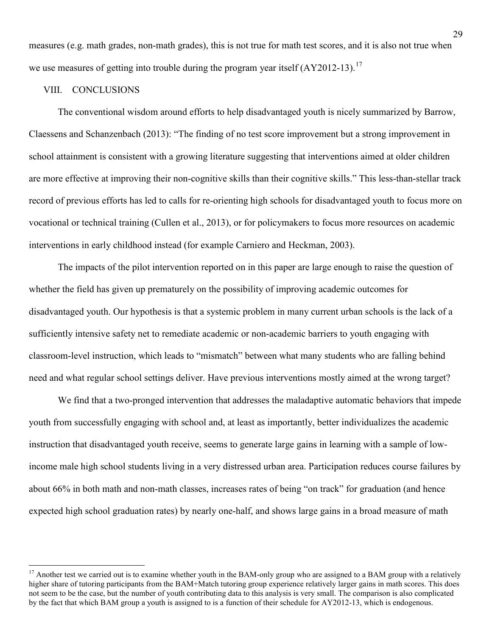measures (e.g. math grades, non-math grades), this is not true for math test scores, and it is also not true when we use measures of getting into trouble during the program year itself (AY2012-13).<sup>[17](#page-31-0)</sup>

#### VIII. CONCLUSIONS

 $\overline{a}$ 

The conventional wisdom around efforts to help disadvantaged youth is nicely summarized by Barrow, Claessens and Schanzenbach (2013): "The finding of no test score improvement but a strong improvement in school attainment is consistent with a growing literature suggesting that interventions aimed at older children are more effective at improving their non-cognitive skills than their cognitive skills." This less-than-stellar track record of previous efforts has led to calls for re-orienting high schools for disadvantaged youth to focus more on vocational or technical training (Cullen et al., 2013), or for policymakers to focus more resources on academic interventions in early childhood instead (for example Carniero and Heckman, 2003).

The impacts of the pilot intervention reported on in this paper are large enough to raise the question of whether the field has given up prematurely on the possibility of improving academic outcomes for disadvantaged youth. Our hypothesis is that a systemic problem in many current urban schools is the lack of a sufficiently intensive safety net to remediate academic or non-academic barriers to youth engaging with classroom-level instruction, which leads to "mismatch" between what many students who are falling behind need and what regular school settings deliver. Have previous interventions mostly aimed at the wrong target?

We find that a two-pronged intervention that addresses the maladaptive automatic behaviors that impede youth from successfully engaging with school and, at least as importantly, better individualizes the academic instruction that disadvantaged youth receive, seems to generate large gains in learning with a sample of lowincome male high school students living in a very distressed urban area. Participation reduces course failures by about 66% in both math and non-math classes, increases rates of being "on track" for graduation (and hence expected high school graduation rates) by nearly one-half, and shows large gains in a broad measure of math

<span id="page-31-0"></span><sup>&</sup>lt;sup>17</sup> Another test we carried out is to examine whether youth in the BAM-only group who are assigned to a BAM group with a relatively higher share of tutoring participants from the BAM+Match tutoring group experience relatively larger gains in math scores. This does not seem to be the case, but the number of youth contributing data to this analysis is very small. The comparison is also complicated by the fact that which BAM group a youth is assigned to is a function of their schedule for AY2012-13, which is endogenous.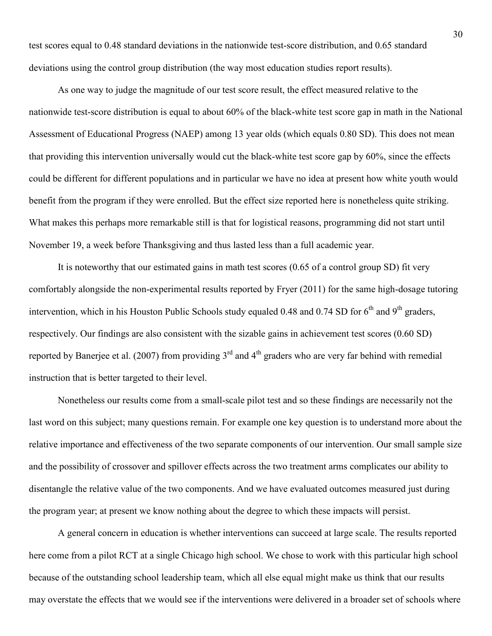test scores equal to 0.48 standard deviations in the nationwide test-score distribution, and 0.65 standard deviations using the control group distribution (the way most education studies report results).

As one way to judge the magnitude of our test score result, the effect measured relative to the nationwide test-score distribution is equal to about 60% of the black-white test score gap in math in the National Assessment of Educational Progress (NAEP) among 13 year olds (which equals 0.80 SD). This does not mean that providing this intervention universally would cut the black-white test score gap by 60%, since the effects could be different for different populations and in particular we have no idea at present how white youth would benefit from the program if they were enrolled. But the effect size reported here is nonetheless quite striking. What makes this perhaps more remarkable still is that for logistical reasons, programming did not start until November 19, a week before Thanksgiving and thus lasted less than a full academic year.

It is noteworthy that our estimated gains in math test scores (0.65 of a control group SD) fit very comfortably alongside the non-experimental results reported by Fryer (2011) for the same high-dosage tutoring intervention, which in his Houston Public Schools study equaled 0.48 and 0.74 SD for  $6<sup>th</sup>$  and  $9<sup>th</sup>$  graders, respectively. Our findings are also consistent with the sizable gains in achievement test scores (0.60 SD) reported by Banerjee et al. (2007) from providing  $3<sup>rd</sup>$  and  $4<sup>th</sup>$  graders who are very far behind with remedial instruction that is better targeted to their level.

Nonetheless our results come from a small-scale pilot test and so these findings are necessarily not the last word on this subject; many questions remain. For example one key question is to understand more about the relative importance and effectiveness of the two separate components of our intervention. Our small sample size and the possibility of crossover and spillover effects across the two treatment arms complicates our ability to disentangle the relative value of the two components. And we have evaluated outcomes measured just during the program year; at present we know nothing about the degree to which these impacts will persist.

A general concern in education is whether interventions can succeed at large scale. The results reported here come from a pilot RCT at a single Chicago high school. We chose to work with this particular high school because of the outstanding school leadership team, which all else equal might make us think that our results may overstate the effects that we would see if the interventions were delivered in a broader set of schools where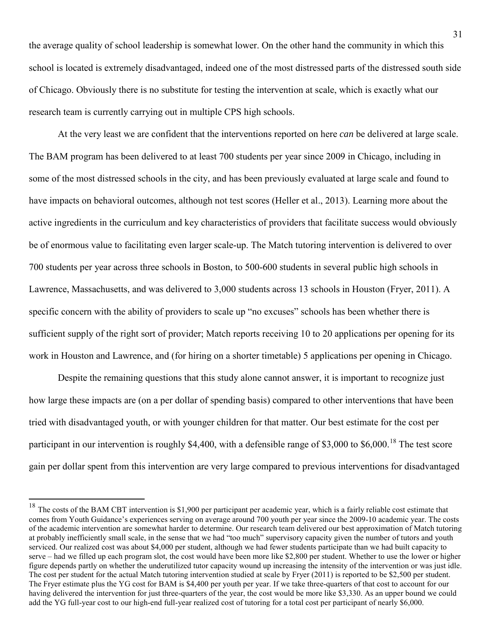the average quality of school leadership is somewhat lower. On the other hand the community in which this school is located is extremely disadvantaged, indeed one of the most distressed parts of the distressed south side of Chicago. Obviously there is no substitute for testing the intervention at scale, which is exactly what our research team is currently carrying out in multiple CPS high schools.

At the very least we are confident that the interventions reported on here *can* be delivered at large scale. The BAM program has been delivered to at least 700 students per year since 2009 in Chicago, including in some of the most distressed schools in the city, and has been previously evaluated at large scale and found to have impacts on behavioral outcomes, although not test scores (Heller et al., 2013). Learning more about the active ingredients in the curriculum and key characteristics of providers that facilitate success would obviously be of enormous value to facilitating even larger scale-up. The Match tutoring intervention is delivered to over 700 students per year across three schools in Boston, to 500-600 students in several public high schools in Lawrence, Massachusetts, and was delivered to 3,000 students across 13 schools in Houston (Fryer, 2011). A specific concern with the ability of providers to scale up "no excuses" schools has been whether there is sufficient supply of the right sort of provider; Match reports receiving 10 to 20 applications per opening for its work in Houston and Lawrence, and (for hiring on a shorter timetable) 5 applications per opening in Chicago.

Despite the remaining questions that this study alone cannot answer, it is important to recognize just how large these impacts are (on a per dollar of spending basis) compared to other interventions that have been tried with disadvantaged youth, or with younger children for that matter. Our best estimate for the cost per participant in our intervention is roughly \$4,400, with a defensible range of \$3,000 to \$6,000.<sup>[18](#page-33-0)</sup> The test score gain per dollar spent from this intervention are very large compared to previous interventions for disadvantaged

 $\overline{a}$ 

<span id="page-33-0"></span> $18$  The costs of the BAM CBT intervention is \$1,900 per participant per academic year, which is a fairly reliable cost estimate that comes from Youth Guidance's experiences serving on average around 700 youth per year since the 2009-10 academic year. The costs of the academic intervention are somewhat harder to determine. Our research team delivered our best approximation of Match tutoring at probably inefficiently small scale, in the sense that we had "too much" supervisory capacity given the number of tutors and youth serviced. Our realized cost was about \$4,000 per student, although we had fewer students participate than we had built capacity to serve – had we filled up each program slot, the cost would have been more like \$2,800 per student. Whether to use the lower or higher figure depends partly on whether the underutilized tutor capacity wound up increasing the intensity of the intervention or was just idle. The cost per student for the actual Match tutoring intervention studied at scale by Fryer (2011) is reported to be \$2,500 per student. The Fryer estimate plus the YG cost for BAM is \$4,400 per youth per year. If we take three-quarters of that cost to account for our having delivered the intervention for just three-quarters of the year, the cost would be more like \$3,330. As an upper bound we could add the YG full-year cost to our high-end full-year realized cost of tutoring for a total cost per participant of nearly \$6,000.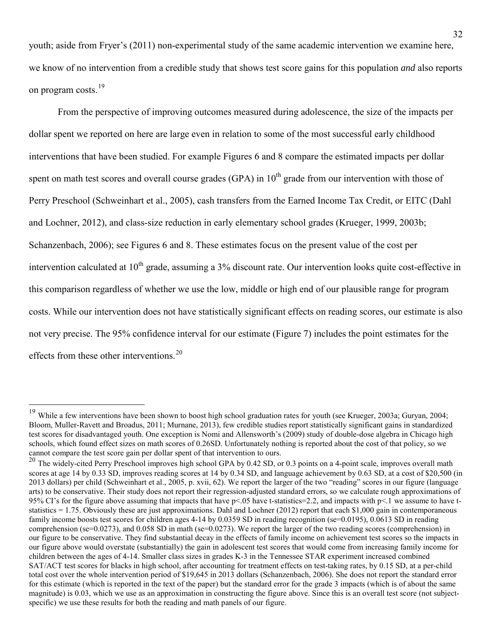youth; aside from Fryer's (2011) non-experimental study of the same academic intervention we examine here, we know of no intervention from a credible study that shows test score gains for this population *and* also reports on program costs.<sup>[19](#page-34-0)</sup>

From the perspective of improving outcomes measured during adolescence, the size of the impacts per dollar spent we reported on here are large even in relation to some of the most successful early childhood interventions that have been studied. For example Figures 6 and 8 compare the estimated impacts per dollar spent on math test scores and overall course grades (GPA) in  $10<sup>th</sup>$  grade from our intervention with those of Perry Preschool (Schweinhart et al., 2005), cash transfers from the Earned Income Tax Credit, or EITC (Dahl and Lochner, 2012), and class-size reduction in early elementary school grades (Krueger, 1999, 2003b; Schanzenbach, 2006); see Figures 6 and 8. These estimates focus on the present value of the cost per intervention calculated at  $10^{th}$  grade, assuming a  $3\%$  discount rate. Our intervention looks quite cost-effective in this comparison regardless of whether we use the low, middle or high end of our plausible range for program costs. While our intervention does not have statistically significant effects on reading scores, our estimate is also not very precise. The 95% confidence interval for our estimate (Figure 7) includes the point estimates for the effects from these other interventions.<sup>[20](#page-34-1)</sup>

 $\overline{a}$ 

<span id="page-34-0"></span><sup>&</sup>lt;sup>19</sup> While a few interventions have been shown to boost high school graduation rates for youth (see Krueger, 2003a; Guryan, 2004; Bloom, Muller-Ravett and Broadus, 2011; Murnane, 2013), few credible studies report statistically significant gains in standardized test scores for disadvantaged youth. One exception is Nomi and Allensworth's (2009) study of double-dose algebra in Chicago high schools, which found effect sizes on math scores of 0.26SD. Unfortunately nothing is reported about the cost of that policy, so we cannot compare the test score gain per dollar spent of that intervention to ours.

<span id="page-34-1"></span><sup>20</sup> The widely-cited Perry Preschool improves high school GPA by 0.42 SD, or 0.3 points on a 4-point scale, improves overall math scores at age 14 by 0.33 SD, improves reading scores at 14 by 0.34 SD, and language achievement by 0.63 SD, at a cost of \$20,500 (in 2013 dollars) per child (Schweinhart et al., 2005, p. xvii, 62). We report the larger of the two "reading" scores in our figure (language arts) to be conservative. Their study does not report their regression-adjusted standard errors, so we calculate rough approximations of 95% CI's for the figure above assuming that impacts that have  $p<0.05$  have t-statistics=2.2, and impacts with  $p<0.1$  we assume to have tstatistics = 1.75. Obviously these are just approximations. Dahl and Lochner (2012) report that each \$1,000 gain in contemporaneous family income boosts test scores for children ages 4-14 by 0.0359 SD in reading recognition (se=0.0195), 0.0613 SD in reading comprehension (se=0.0273), and 0.058 SD in math (se=0.0273). We report the larger of the two reading scores (comprehension) in our figure to be conservative. They find substantial decay in the effects of family income on achievement test scores so the impacts in our figure above would overstate (substantially) the gain in adolescent test scores that would come from increasing family income for children between the ages of 4-14. Smaller class sizes in grades K-3 in the Tennessee STAR experiment increased combined SAT/ACT test scores for blacks in high school, after accounting for treatment effects on test-taking rates, by 0.15 SD, at a per-child total cost over the whole intervention period of \$19,645 in 2013 dollars (Schanzenbach, 2006). She does not report the standard error for this estimate (which is reported in the text of the paper) but the standard error for the grade 3 impacts (which is of about the same magnitude) is 0.03, which we use as an approximation in constructing the figure above. Since this is an overall test score (not subjectspecific) we use these results for both the reading and math panels of our figure.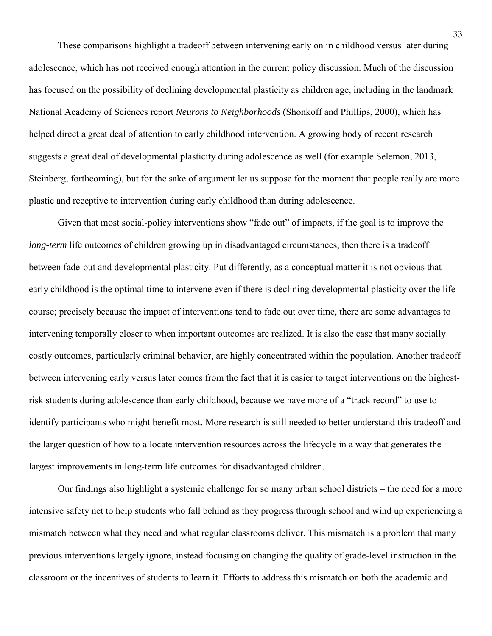These comparisons highlight a tradeoff between intervening early on in childhood versus later during adolescence, which has not received enough attention in the current policy discussion. Much of the discussion has focused on the possibility of declining developmental plasticity as children age, including in the landmark National Academy of Sciences report *Neurons to Neighborhoods* (Shonkoff and Phillips, 2000), which has helped direct a great deal of attention to early childhood intervention. A growing body of recent research suggests a great deal of developmental plasticity during adolescence as well (for example Selemon, 2013, Steinberg, forthcoming), but for the sake of argument let us suppose for the moment that people really are more plastic and receptive to intervention during early childhood than during adolescence.

Given that most social-policy interventions show "fade out" of impacts, if the goal is to improve the *long-term* life outcomes of children growing up in disadvantaged circumstances, then there is a tradeoff between fade-out and developmental plasticity. Put differently, as a conceptual matter it is not obvious that early childhood is the optimal time to intervene even if there is declining developmental plasticity over the life course; precisely because the impact of interventions tend to fade out over time, there are some advantages to intervening temporally closer to when important outcomes are realized. It is also the case that many socially costly outcomes, particularly criminal behavior, are highly concentrated within the population. Another tradeoff between intervening early versus later comes from the fact that it is easier to target interventions on the highestrisk students during adolescence than early childhood, because we have more of a "track record" to use to identify participants who might benefit most. More research is still needed to better understand this tradeoff and the larger question of how to allocate intervention resources across the lifecycle in a way that generates the largest improvements in long-term life outcomes for disadvantaged children.

Our findings also highlight a systemic challenge for so many urban school districts – the need for a more intensive safety net to help students who fall behind as they progress through school and wind up experiencing a mismatch between what they need and what regular classrooms deliver. This mismatch is a problem that many previous interventions largely ignore, instead focusing on changing the quality of grade-level instruction in the classroom or the incentives of students to learn it. Efforts to address this mismatch on both the academic and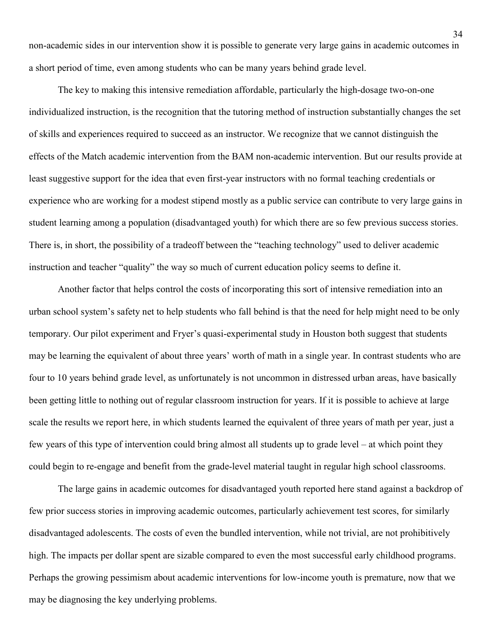non-academic sides in our intervention show it is possible to generate very large gains in academic outcomes in a short period of time, even among students who can be many years behind grade level.

The key to making this intensive remediation affordable, particularly the high-dosage two-on-one individualized instruction, is the recognition that the tutoring method of instruction substantially changes the set of skills and experiences required to succeed as an instructor. We recognize that we cannot distinguish the effects of the Match academic intervention from the BAM non-academic intervention. But our results provide at least suggestive support for the idea that even first-year instructors with no formal teaching credentials or experience who are working for a modest stipend mostly as a public service can contribute to very large gains in student learning among a population (disadvantaged youth) for which there are so few previous success stories. There is, in short, the possibility of a tradeoff between the "teaching technology" used to deliver academic instruction and teacher "quality" the way so much of current education policy seems to define it.

Another factor that helps control the costs of incorporating this sort of intensive remediation into an urban school system's safety net to help students who fall behind is that the need for help might need to be only temporary. Our pilot experiment and Fryer's quasi-experimental study in Houston both suggest that students may be learning the equivalent of about three years' worth of math in a single year. In contrast students who are four to 10 years behind grade level, as unfortunately is not uncommon in distressed urban areas, have basically been getting little to nothing out of regular classroom instruction for years. If it is possible to achieve at large scale the results we report here, in which students learned the equivalent of three years of math per year, just a few years of this type of intervention could bring almost all students up to grade level – at which point they could begin to re-engage and benefit from the grade-level material taught in regular high school classrooms.

The large gains in academic outcomes for disadvantaged youth reported here stand against a backdrop of few prior success stories in improving academic outcomes, particularly achievement test scores, for similarly disadvantaged adolescents. The costs of even the bundled intervention, while not trivial, are not prohibitively high. The impacts per dollar spent are sizable compared to even the most successful early childhood programs. Perhaps the growing pessimism about academic interventions for low-income youth is premature, now that we may be diagnosing the key underlying problems.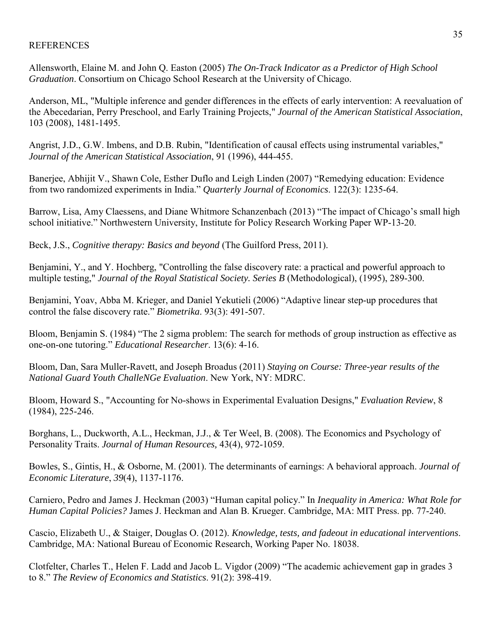## **REFERENCES**

Allensworth, Elaine M. and John Q. Easton (2005) *The On-Track Indicator as a Predictor of High School Graduation*. Consortium on Chicago School Research at the University of Chicago.

Anderson, ML, "Multiple inference and gender differences in the effects of early intervention: A reevaluation of the Abecedarian, Perry Preschool, and Early Training Projects," *Journal of the American Statistical Association*, 103 (2008), 1481-1495.

Angrist, J.D., G.W. Imbens, and D.B. Rubin, "Identification of causal effects using instrumental variables," *Journal of the American Statistical Association*, 91 (1996), 444-455.

Banerjee, Abhijit V., Shawn Cole, Esther Duflo and Leigh Linden (2007) "Remedying education: Evidence from two randomized experiments in India." *Quarterly Journal of Economics*. 122(3): 1235-64.

Barrow, Lisa, Amy Claessens, and Diane Whitmore Schanzenbach (2013) "The impact of Chicago's small high school initiative." Northwestern University, Institute for Policy Research Working Paper WP-13-20.

Beck, J.S., *Cognitive therapy: Basics and beyond* (The Guilford Press, 2011).

Benjamini, Y., and Y. Hochberg, "Controlling the false discovery rate: a practical and powerful approach to multiple testing," *Journal of the Royal Statistical Society. Series B* (Methodological), (1995), 289-300.

Benjamini, Yoav, Abba M. Krieger, and Daniel Yekutieli (2006) "Adaptive linear step-up procedures that control the false discovery rate." *Biometrika*. 93(3): 491-507.

Bloom, Benjamin S. (1984) "The 2 sigma problem: The search for methods of group instruction as effective as one-on-one tutoring." *Educational Researcher*. 13(6): 4-16.

Bloom, Dan, Sara Muller-Ravett, and Joseph Broadus (2011) *Staying on Course: Three-year results of the National Guard Youth ChalleNGe Evaluation*. New York, NY: MDRC.

Bloom, Howard S., "Accounting for No-shows in Experimental Evaluation Designs," *Evaluation Review*, 8 (1984), 225-246.

Borghans, L., Duckworth, A.L., Heckman, J.J., & Ter Weel, B. (2008). The Economics and Psychology of Personality Traits. *Journal of Human Resources,* 43(4), 972-1059.

Bowles, S., Gintis, H., & Osborne, M. (2001). The determinants of earnings: A behavioral approach. *Journal of Economic Literature*, *39*(4), 1137-1176.

Carniero, Pedro and James J. Heckman (2003) "Human capital policy." In *Inequality in America: What Role for Human Capital Policies?* James J. Heckman and Alan B. Krueger. Cambridge, MA: MIT Press. pp. 77-240.

Cascio, Elizabeth U., & Staiger, Douglas O. (2012). *Knowledge, tests, and fadeout in educational interventions*. Cambridge, MA: National Bureau of Economic Research, Working Paper No. 18038.

Clotfelter, Charles T., Helen F. Ladd and Jacob L. Vigdor (2009) "The academic achievement gap in grades 3 to 8." *The Review of Economics and Statistics*. 91(2): 398-419.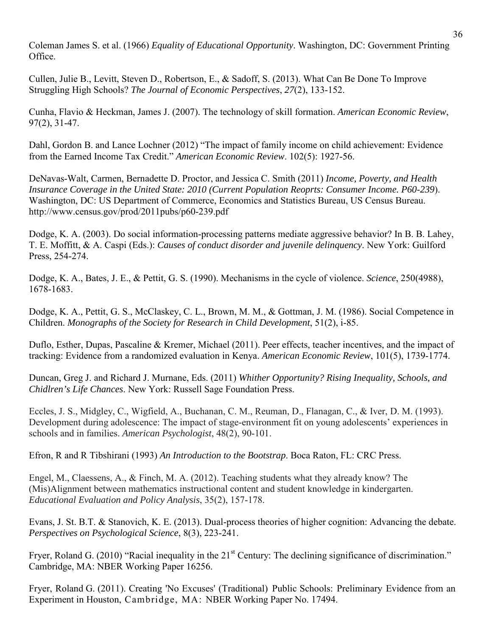Coleman James S. et al. (1966) *Equality of Educational Opportunity*. Washington, DC: Government Printing Office.

Cullen, Julie B., Levitt, Steven D., Robertson, E., & Sadoff, S. (2013). What Can Be Done To Improve Struggling High Schools? *The Journal of Economic Perspectives*, *27*(2), 133-152.

Cunha, Flavio & Heckman, James J. (2007). The technology of skill formation. *American Economic Review*, 97(2), 31-47.

Dahl, Gordon B. and Lance Lochner (2012) "The impact of family income on child achievement: Evidence from the Earned Income Tax Credit." *American Economic Review*. 102(5): 1927-56.

DeNavas-Walt, Carmen, Bernadette D. Proctor, and Jessica C. Smith (2011) *Income, Poverty, and Health Insurance Coverage in the United State: 2010 (Current Population Reoprts: Consumer Income. P60-239*). Washington, DC: US Department of Commerce, Economics and Statistics Bureau, US Census Bureau. http://www.census.gov/prod/2011pubs/p60-239.pdf

Dodge, K. A. (2003). Do social information-processing patterns mediate aggressive behavior? In B. B. Lahey, T. E. Moffitt, & A. Caspi (Eds.): *Causes of conduct disorder and juvenile delinquency*. New York: Guilford Press, 254-274.

Dodge, K. A., Bates, J. E., & Pettit, G. S. (1990). Mechanisms in the cycle of violence. *Science*, 250(4988), 1678-1683.

Dodge, K. A., Pettit, G. S., McClaskey, C. L., Brown, M. M., & Gottman, J. M. (1986). Social Competence in Children. *Monographs of the Society for Research in Child Development*, 51(2), i-85.

Duflo, Esther, Dupas, Pascaline & Kremer, Michael (2011). Peer effects, teacher incentives, and the impact of tracking: Evidence from a randomized evaluation in Kenya. *American Economic Review*, 101(5), 1739-1774.

Duncan, Greg J. and Richard J. Murnane, Eds. (2011) *Whither Opportunity? Rising Inequality, Schools, and Chidlren's Life Chances*. New York: Russell Sage Foundation Press.

Eccles, J. S., Midgley, C., Wigfield, A., Buchanan, C. M., Reuman, D., Flanagan, C., & Iver, D. M. (1993). Development during adolescence: The impact of stage-environment fit on young adolescents' experiences in schools and in families. *American Psychologist*, 48(2), 90-101.

Efron, R and R Tibshirani (1993) *An Introduction to the Bootstrap*. Boca Raton, FL: CRC Press.

Engel, M., Claessens, A., & Finch, M. A. (2012). Teaching students what they already know? The (Mis)Alignment between mathematics instructional content and student knowledge in kindergarten. *Educational Evaluation and Policy Analysis*, 35(2), 157-178.

Evans, J. St. B.T. & Stanovich, K. E. (2013). Dual-process theories of higher cognition: Advancing the debate. *Perspectives on Psychological Science*, 8(3), 223-241.

Fryer, Roland G. (2010) "Racial inequality in the 21<sup>st</sup> Century: The declining significance of discrimination." Cambridge, MA: NBER Working Paper 16256.

Fryer, Roland G. (2011). Creating 'No Excuses' (Traditional) Public Schools: Preliminary Evidence from an Experiment in Houston, Cambridge, MA: NBER Working Paper No. 17494.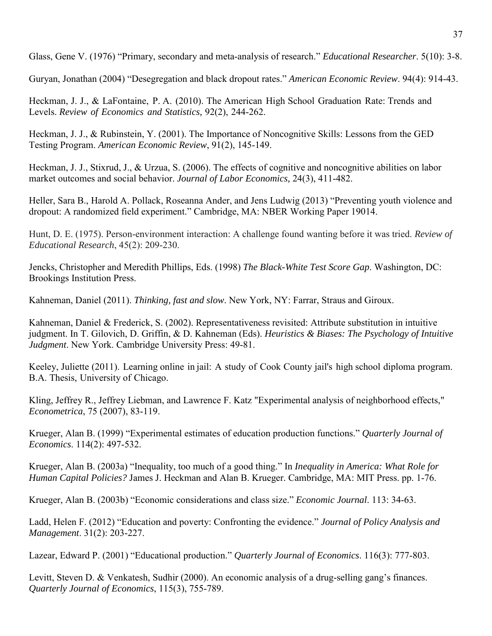Glass, Gene V. (1976) "Primary, secondary and meta-analysis of research." *Educational Researcher*. 5(10): 3-8.

Guryan, Jonathan (2004) "Desegregation and black dropout rates." *American Economic Review*. 94(4): 914-43.

Heckman, J. J., & LaFontaine, P. A. (2010). The American High School Graduation Rate: Trends and Levels. *Review of Economics and Statistics,* 92(2), 244-262.

Heckman, J. J., & Rubinstein, Y. (2001). The Importance of Noncognitive Skills: Lessons from the GED Testing Program. *American Economic Review*, 91(2), 145-149.

Heckman, J. J., Stixrud, J., & Urzua, S. (2006). The effects of cognitive and noncognitive abilities on labor market outcomes and social behavior. *Journal of Labor Economics,* 24(3), 411-482.

Heller, Sara B., Harold A. Pollack, Roseanna Ander, and Jens Ludwig (2013) "Preventing youth violence and dropout: A randomized field experiment." Cambridge, MA: NBER Working Paper 19014.

Hunt, D. E. (1975). Person-environment interaction: A challenge found wanting before it was tried. *Review of Educational Research*, 45(2): 209-230.

Jencks, Christopher and Meredith Phillips, Eds. (1998) *The Black-White Test Score Gap*. Washington, DC: Brookings Institution Press.

Kahneman, Daniel (2011). *Thinking, fast and slow*. New York, NY: Farrar, Straus and Giroux.

Kahneman, Daniel & Frederick, S. (2002). Representativeness revisited: Attribute substitution in intuitive judgment. In T. Gilovich, D. Griffin, & D. Kahneman (Eds). *Heuristics & Biases: The Psychology of Intuitive Judgment*. New York. Cambridge University Press: 49-81.

Keeley, Juliette (2011). Learning online in jail: A study of Cook County jail's high school diploma program. B.A. Thesis, University of Chicago.

Kling, Jeffrey R., Jeffrey Liebman, and Lawrence F. Katz "Experimental analysis of neighborhood effects," *Econometrica*, 75 (2007), 83-119.

Krueger, Alan B. (1999) "Experimental estimates of education production functions." *Quarterly Journal of Economics*. 114(2): 497-532.

Krueger, Alan B. (2003a) "Inequality, too much of a good thing." In *Inequality in America: What Role for Human Capital Policies?* James J. Heckman and Alan B. Krueger. Cambridge, MA: MIT Press. pp. 1-76.

Krueger, Alan B. (2003b) "Economic considerations and class size." *Economic Journal*. 113: 34-63.

Ladd, Helen F. (2012) "Education and poverty: Confronting the evidence." *Journal of Policy Analysis and Management*. 31(2): 203-227.

Lazear, Edward P. (2001) "Educational production." *Quarterly Journal of Economics*. 116(3): 777-803.

Levitt, Steven D. & Venkatesh, Sudhir (2000). An economic analysis of a drug-selling gang's finances. *Quarterly Journal of Economics*, 115(3), 755-789.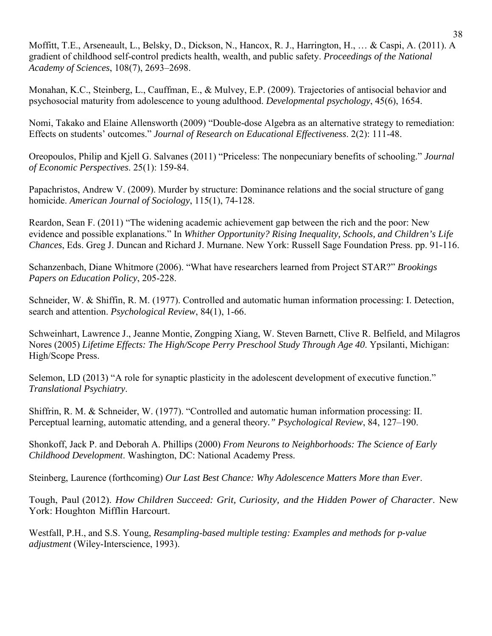Moffitt, T.E., Arseneault, L., Belsky, D., Dickson, N., Hancox, R. J., Harrington, H., … & Caspi, A. (2011). A gradient of childhood self-control predicts health, wealth, and public safety. *Proceedings of the National Academy of Sciences*, 108(7), 2693–2698.

Monahan, K.C., Steinberg, L., Cauffman, E., & Mulvey, E.P. (2009). Trajectories of antisocial behavior and psychosocial maturity from adolescence to young adulthood. *Developmental psychology*, 45(6), 1654.

Nomi, Takako and Elaine Allensworth (2009) "Double-dose Algebra as an alternative strategy to remediation: Effects on students' outcomes." *Journal of Research on Educational Effectiveness*. 2(2): 111-48.

Oreopoulos, Philip and Kjell G. Salvanes (2011) "Priceless: The nonpecuniary benefits of schooling." *Journal of Economic Perspectives*. 25(1): 159-84.

Papachristos, Andrew V. (2009). Murder by structure: Dominance relations and the social structure of gang homicide. *American Journal of Sociology*, 115(1), 74-128.

Reardon, Sean F. (2011) "The widening academic achievement gap between the rich and the poor: New evidence and possible explanations." In *Whither Opportunity? Rising Inequality, Schools, and Children's Life Chances*, Eds. Greg J. Duncan and Richard J. Murnane. New York: Russell Sage Foundation Press. pp. 91-116.

Schanzenbach, Diane Whitmore (2006). "What have researchers learned from Project STAR?" *Brookings Papers on Education Policy*, 205-228.

Schneider, W. & Shiffin, R. M. (1977). Controlled and automatic human information processing: I. Detection, search and attention. *Psychological Review*, 84(1), 1-66.

Schweinhart, Lawrence J., Jeanne Montie, Zongping Xiang, W. Steven Barnett, Clive R. Belfield, and Milagros Nores (2005) *Lifetime Effects: The High/Scope Perry Preschool Study Through Age 40*. Ypsilanti, Michigan: High/Scope Press.

Selemon, LD (2013) "A role for synaptic plasticity in the adolescent development of executive function." *Translational Psychiatry*.

Shiffrin, R. M. & Schneider, W. (1977). "Controlled and automatic human information processing: II. Perceptual learning, automatic attending, and a general theory*." Psychological Review*, 84, 127–190.

Shonkoff, Jack P. and Deborah A. Phillips (2000) *From Neurons to Neighborhoods: The Science of Early Childhood Development*. Washington, DC: National Academy Press.

Steinberg, Laurence (forthcoming) *Our Last Best Chance: Why Adolescence Matters More than Ever*.

Tough, Paul (2012). *How Children Succeed: Grit, Curiosity, and the Hidden Power of Character*. New York: Houghton Mifflin Harcourt.

Westfall, P.H., and S.S. Young, *Resampling-based multiple testing: Examples and methods for p-value adjustment* (Wiley-Interscience, 1993).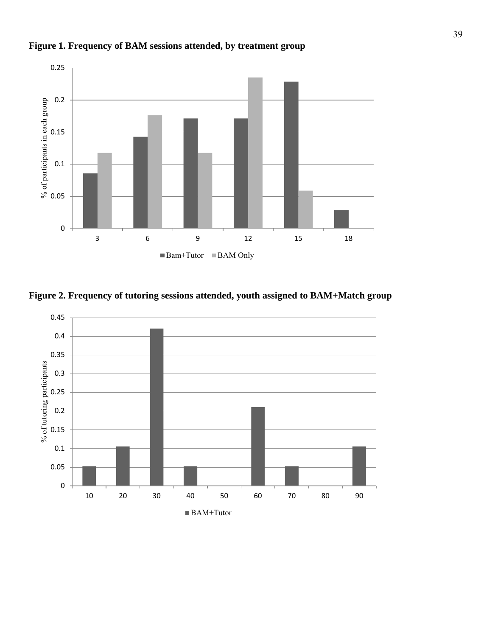

**Figure 1. Frequency of BAM sessions attended, by treatment group**



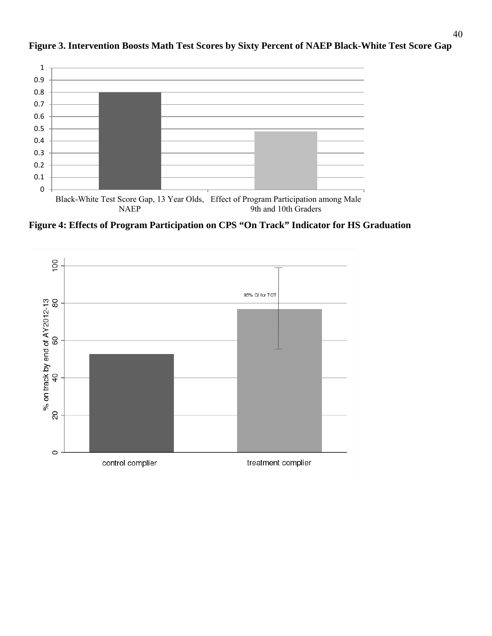

# **Figure 3. Intervention Boosts Math Test Scores by Sixty Percent of NAEP Black-White Test Score Gap**

**Figure 4: Effects of Program Participation on CPS "On Track" Indicator for HS Graduation**

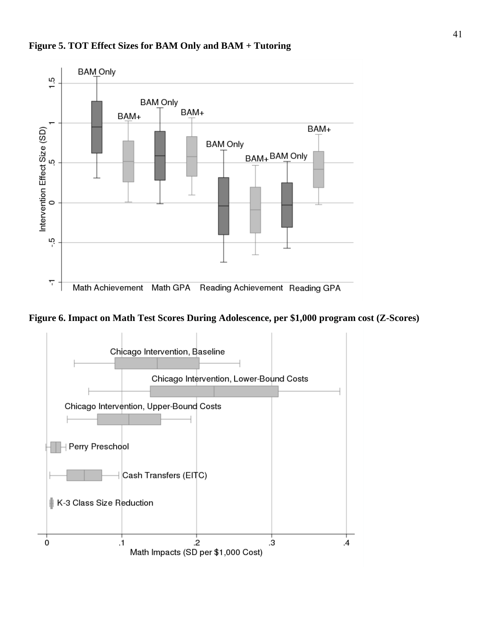

**Figure 5. TOT Effect Sizes for BAM Only and BAM + Tutoring**



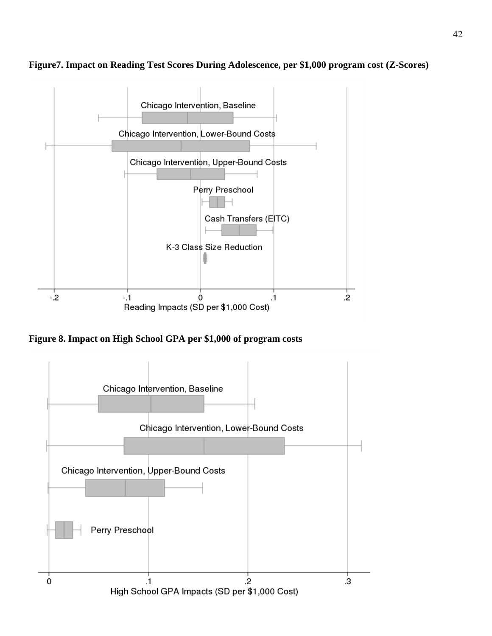



**Figure 8. Impact on High School GPA per \$1,000 of program costs** 

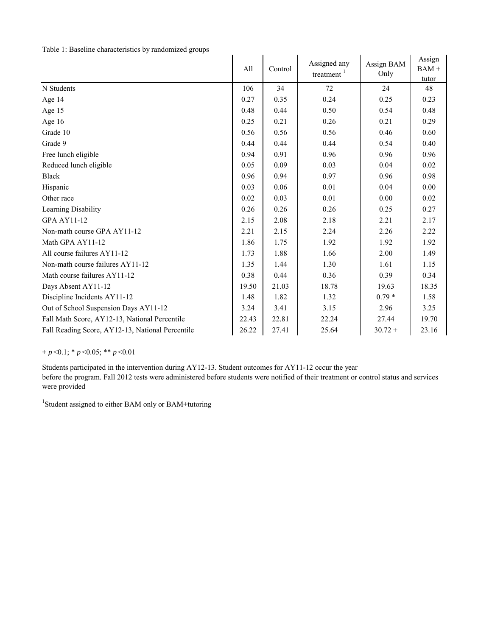| Table 1: Baseline characteristics by randomized groups |  |
|--------------------------------------------------------|--|
|--------------------------------------------------------|--|

| Table 1. Daschille characteristics by randomized groups | All   | Control | Assigned any<br>treatment $1$ | Assign BAM<br>Only | Assign<br>$BAM +$<br>tutor |
|---------------------------------------------------------|-------|---------|-------------------------------|--------------------|----------------------------|
| N Students                                              | 106   | 34      | 72                            | 24                 | 48                         |
| Age 14                                                  | 0.27  | 0.35    | 0.24                          | 0.25               | 0.23                       |
| Age 15                                                  | 0.48  | 0.44    | 0.50                          | 0.54               | 0.48                       |
| Age 16                                                  | 0.25  | 0.21    | 0.26                          | 0.21               | 0.29                       |
| Grade 10                                                | 0.56  | 0.56    | 0.56                          | 0.46               | 0.60                       |
| Grade 9                                                 | 0.44  | 0.44    | 0.44                          | 0.54               | 0.40                       |
| Free lunch eligible                                     | 0.94  | 0.91    | 0.96                          | 0.96               | 0.96                       |
| Reduced lunch eligible                                  | 0.05  | 0.09    | 0.03                          | 0.04               | 0.02                       |
| <b>Black</b>                                            | 0.96  | 0.94    | 0.97                          | 0.96               | 0.98                       |
| Hispanic                                                | 0.03  | 0.06    | 0.01                          | 0.04               | 0.00                       |
| Other race                                              | 0.02  | 0.03    | 0.01                          | 0.00               | 0.02                       |
| Learning Disability                                     | 0.26  | 0.26    | 0.26                          | 0.25               | 0.27                       |
| <b>GPA AY11-12</b>                                      | 2.15  | 2.08    | 2.18                          | 2.21               | 2.17                       |
| Non-math course GPA AY11-12                             | 2.21  | 2.15    | 2.24                          | 2.26               | 2.22                       |
| Math GPA AY11-12                                        | 1.86  | 1.75    | 1.92                          | 1.92               | 1.92                       |
| All course failures AY11-12                             | 1.73  | 1.88    | 1.66                          | 2.00               | 1.49                       |
| Non-math course failures AY11-12                        | 1.35  | 1.44    | 1.30                          | 1.61               | 1.15                       |
| Math course failures AY11-12                            | 0.38  | 0.44    | 0.36                          | 0.39               | 0.34                       |
| Days Absent AY11-12                                     | 19.50 | 21.03   | 18.78                         | 19.63              | 18.35                      |
| Discipline Incidents AY11-12                            | 1.48  | 1.82    | 1.32                          | $0.79*$            | 1.58                       |
| Out of School Suspension Days AY11-12                   | 3.24  | 3.41    | 3.15                          | 2.96               | 3.25                       |
| Fall Math Score, AY12-13, National Percentile           | 22.43 | 22.81   | 22.24                         | 27.44              | 19.70                      |
| Fall Reading Score, AY12-13, National Percentile        | 26.22 | 27.41   | 25.64                         | $30.72 +$          | 23.16                      |

# $+p < 0.1$ ; \* *p* < 0.05; \* \* *p* < 0.01

Students participated in the intervention during AY12-13. Student outcomes for AY11-12 occur the year before the program. Fall 2012 tests were administered before students were notified of their treatment or control status and services were provided

<sup>1</sup>Student assigned to either BAM only or BAM+tutoring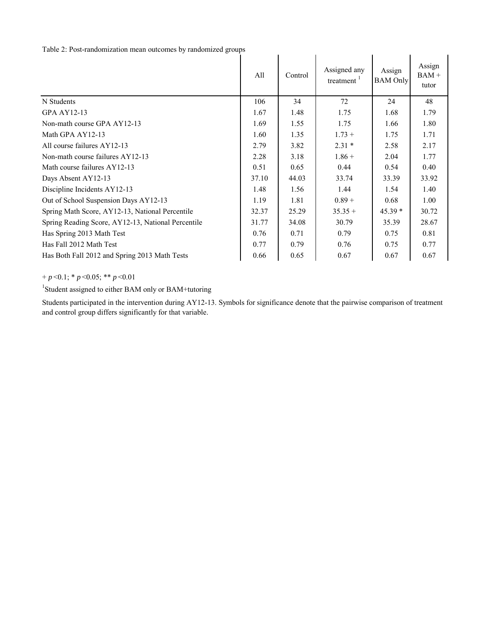# Table 2: Post-randomization mean outcomes by randomized groups

|                                                    | All   | Control | Assigned any<br>treatment <sup>1</sup> | Assign<br><b>BAM</b> Only | Assign<br>$BAM +$<br>tutor |
|----------------------------------------------------|-------|---------|----------------------------------------|---------------------------|----------------------------|
| N Students                                         | 106   | 34      | 72                                     | 24                        | 48                         |
| GPA AY12-13                                        | 1.67  | 1.48    | 1.75                                   | 1.68                      | 1.79                       |
| Non-math course GPA AY12-13                        | 1.69  | 1.55    | 1.75                                   | 1.66                      | 1.80                       |
| Math GPA AY12-13                                   | 1.60  | 1.35    | $1.73 +$                               | 1.75                      | 1.71                       |
| All course failures AY12-13                        | 2.79  | 3.82    | $2.31*$                                | 2.58                      | 2.17                       |
| Non-math course failures AY12-13                   | 2.28  | 3.18    | $1.86 +$                               | 2.04                      | 1.77                       |
| Math course failures AY12-13                       | 0.51  | 0.65    | 0.44                                   | 0.54                      | 0.40                       |
| Days Absent AY12-13                                | 37.10 | 44.03   | 33.74                                  | 33.39                     | 33.92                      |
| Discipline Incidents AY12-13                       | 1.48  | 1.56    | 1.44                                   | 1.54                      | 1.40                       |
| Out of School Suspension Days AY12-13              | 1.19  | 1.81    | $0.89 +$                               | 0.68                      | 1.00                       |
| Spring Math Score, AY12-13, National Percentile    | 32.37 | 25.29   | $35.35 +$                              | $45.39*$                  | 30.72                      |
| Spring Reading Score, AY12-13, National Percentile | 31.77 | 34.08   | 30.79                                  | 35.39                     | 28.67                      |
| Has Spring 2013 Math Test                          | 0.76  | 0.71    | 0.79                                   | 0.75                      | 0.81                       |
| Has Fall 2012 Math Test                            | 0.77  | 0.79    | 0.76                                   | 0.75                      | 0.77                       |
| Has Both Fall 2012 and Spring 2013 Math Tests      | 0.66  | 0.65    | 0.67                                   | 0.67                      | 0.67                       |

+ *p* <0.1; \* *p* <0.05; \*\* *p* <0.01

<sup>1</sup>Student assigned to either BAM only or BAM+tutoring

Students participated in the intervention during AY12-13. Symbols for significance denote that the pairwise comparison of treatment and control group differs significantly for that variable.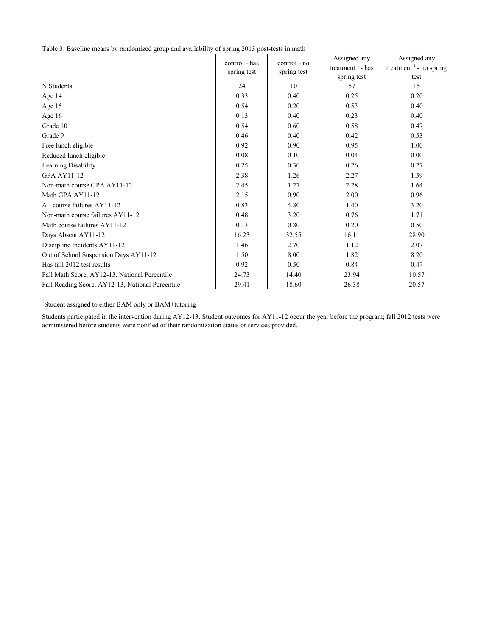Table 3: Baseline means by randomized group and availability of spring 2013 post-tests in math

|                                                  | control - has | control - no | Assigned any        | Assigned any                        |
|--------------------------------------------------|---------------|--------------|---------------------|-------------------------------------|
|                                                  | spring test   | spring test  | treatment $1$ - has | treatment $\frac{1}{1}$ - no spring |
|                                                  |               |              | spring test         | test                                |
| N Students                                       | 24            | 10           | 57                  | 15                                  |
| Age 14                                           | 0.33          | 0.40         | 0.25                | 0.20                                |
| Age 15                                           | 0.54          | 0.20         | 0.53                | 0.40                                |
| Age 16                                           | 0.13          | 0.40         | 0.23                | 0.40                                |
| Grade 10                                         | 0.54          | 0.60         | 0.58                | 0.47                                |
| Grade 9                                          | 0.46          | 0.40         | 0.42                | 0.53                                |
| Free lunch eligible                              | 0.92          | 0.90         | 0.95                | 1.00                                |
| Reduced lunch eligible                           | 0.08          | 0.10         | 0.04                | 0.00                                |
| Learning Disability                              | 0.25          | 0.30         | 0.26                | 0.27                                |
| <b>GPA AY11-12</b>                               | 2.38          | 1.26         | 2.27                | 1.59                                |
| Non-math course GPA AY11-12                      | 2.45          | 1.27         | 2.28                | 1.64                                |
| Math GPA AY11-12                                 | 2.15          | 0.90         | 2.00                | 0.96                                |
| All course failures AY11-12                      | 0.83          | 4.80         | 1.40                | 3.20                                |
| Non-math course failures AY11-12                 | 0.48          | 3.20         | 0.76                | 1.71                                |
| Math course failures AY11-12                     | 0.13          | 0.80         | 0.20                | 0.50                                |
| Days Absent AY11-12                              | 16.23         | 32.55        | 16.11               | 28.90                               |
| Discipline Incidents AY11-12                     | 1.46          | 2.70         | 1.12                | 2.07                                |
| Out of School Suspension Days AY11-12            | 1.50          | 8.00         | 1.82                | 8.20                                |
| Has fall 2012 test results                       | 0.92          | 0.50         | 0.84                | 0.47                                |
| Fall Math Score, AY12-13, National Percentile    | 24.73         | 14.40        | 23.94               | 10.57                               |
| Fall Reading Score, AY12-13, National Percentile | 29.41         | 18.60        | 26.38               | 20.57                               |

<sup>1</sup>Student assigned to either BAM only or BAM+tutoring

Students participated in the intervention during AY12-13. Student outcomes for AY11-12 occur the year before the program; fall 2012 tests were administered before students were notified of their randomization status or services provided.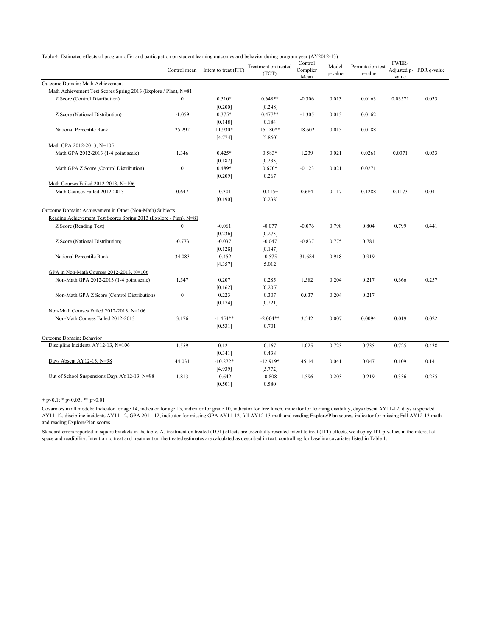| rable 4. Estimated effects of program offer and participation on student learning outcomes and behavior during program year (AT 2012-13) |                  | Control mean Intent to treat (ITT) | Treatment on treated<br>(TOT) | Control<br>Complier<br>Mean | Model<br>p-value | Permutation test<br>p-value | <b>FWER-</b><br>value | Adjusted p- FDR q-value |
|------------------------------------------------------------------------------------------------------------------------------------------|------------------|------------------------------------|-------------------------------|-----------------------------|------------------|-----------------------------|-----------------------|-------------------------|
| Outcome Domain: Math Achievement                                                                                                         |                  |                                    |                               |                             |                  |                             |                       |                         |
| Math Achievement Test Scores Spring 2013 (Explore / Plan), N=81                                                                          |                  |                                    |                               |                             |                  |                             |                       |                         |
| Z Score (Control Distribution)                                                                                                           | $\mathbf{0}$     | $0.510*$                           | $0.648**$                     | $-0.306$                    | 0.013            | 0.0163                      | 0.03571               | 0.033                   |
|                                                                                                                                          |                  | [0.200]                            | [0.248]                       |                             |                  |                             |                       |                         |
| Z Score (National Distribution)                                                                                                          | $-1.059$         | 0.375*                             | $0.477**$                     | $-1.305$                    | 0.013            | 0.0162                      |                       |                         |
|                                                                                                                                          |                  | [0.148]                            | [0.184]                       |                             |                  |                             |                       |                         |
| National Percentile Rank                                                                                                                 | 25.292           | 11.930*                            | 15.180**                      | 18.602                      | 0.015            | 0.0188                      |                       |                         |
|                                                                                                                                          |                  | [4.774]                            | [5.860]                       |                             |                  |                             |                       |                         |
| Math GPA 2012-2013, N=105                                                                                                                |                  |                                    |                               |                             |                  |                             |                       |                         |
| Math GPA 2012-2013 (1-4 point scale)                                                                                                     | 1.346            | $0.425*$                           | $0.583*$                      | 1.239                       | 0.021            | 0.0261                      | 0.0371                | 0.033                   |
|                                                                                                                                          |                  | [0.182]                            | [0.233]                       |                             |                  |                             |                       |                         |
| Math GPA Z Score (Control Distribution)                                                                                                  | $\boldsymbol{0}$ | 0.489*                             | $0.670*$                      | $-0.123$                    | 0.021            | 0.0271                      |                       |                         |
|                                                                                                                                          |                  | [0.209]                            | [0.267]                       |                             |                  |                             |                       |                         |
| Math Courses Failed 2012-2013, N=106                                                                                                     |                  |                                    |                               |                             |                  |                             |                       |                         |
| Math Courses Failed 2012-2013                                                                                                            | 0.647            | $-0.301$                           | $-0.415+$                     | 0.684                       | 0.117            | 0.1288                      | 0.1173                | 0.041                   |
|                                                                                                                                          |                  | [0.190]                            | [0.238]                       |                             |                  |                             |                       |                         |
| Outcome Domain: Achievement in Other (Non-Math) Subjects                                                                                 |                  |                                    |                               |                             |                  |                             |                       |                         |
| Reading Achievement Test Scores Spring 2013 (Explore / Plan), N=81                                                                       |                  |                                    |                               |                             |                  |                             |                       |                         |
| Z Score (Reading Test)                                                                                                                   | $\boldsymbol{0}$ | $-0.061$                           | $-0.077$                      | $-0.076$                    | 0.798            | 0.804                       | 0.799                 | 0.441                   |
|                                                                                                                                          |                  | [0.236]                            | [0.273]                       |                             |                  |                             |                       |                         |
| Z Score (National Distribution)                                                                                                          | $-0.773$         | $-0.037$                           | $-0.047$                      | $-0.837$                    | 0.775            | 0.781                       |                       |                         |
|                                                                                                                                          |                  | [0.128]                            | [0.147]                       |                             |                  |                             |                       |                         |
| National Percentile Rank                                                                                                                 | 34.083           | $-0.452$                           | $-0.575$                      | 31.684                      | 0.918            | 0.919                       |                       |                         |
|                                                                                                                                          |                  | [4.357]                            | [5.012]                       |                             |                  |                             |                       |                         |
| GPA in Non-Math Courses 2012-2013, N=106                                                                                                 |                  |                                    |                               |                             |                  |                             |                       |                         |
| Non-Math GPA 2012-2013 (1-4 point scale)                                                                                                 | 1.547            | 0.207                              | 0.285                         | 1.582                       | 0.204            | 0.217                       | 0.366                 | 0.257                   |
|                                                                                                                                          |                  | [0.162]                            | [0.205]                       |                             |                  |                             |                       |                         |
| Non-Math GPA Z Score (Control Distribution)                                                                                              | $\boldsymbol{0}$ | 0.223                              | 0.307                         | 0.037                       | 0.204            | 0.217                       |                       |                         |
|                                                                                                                                          |                  | [0.174]                            | [0.221]                       |                             |                  |                             |                       |                         |
| Non-Math Courses Failed 2012-2013, N=106                                                                                                 |                  |                                    |                               |                             |                  |                             |                       |                         |
| Non-Math Courses Failed 2012-2013                                                                                                        | 3.176            | $-1.454**$                         | $-2.004**$                    | 3.542                       | 0.007            | 0.0094                      | 0.019                 | 0.022                   |
|                                                                                                                                          |                  | [0.531]                            | [0.701]                       |                             |                  |                             |                       |                         |
|                                                                                                                                          |                  |                                    |                               |                             |                  |                             |                       |                         |
| Outcome Domain: Behavior                                                                                                                 |                  |                                    |                               |                             |                  |                             |                       |                         |
| Discipline Incidents AY12-13, N=106                                                                                                      | 1.559            | 0.121                              | 0.167                         | 1.025                       | 0.723            | 0.735                       | 0.725                 | 0.438                   |
|                                                                                                                                          |                  | [0.341]                            | [0.438]                       |                             |                  |                             |                       |                         |
| Days Absent AY12-13, N=98                                                                                                                | 44.031           | $-10.272*$                         | $-12.919*$                    | 45.14                       | 0.041            | 0.047                       | 0.109                 | 0.141                   |
|                                                                                                                                          |                  | [4.939]                            | [5.772]                       |                             |                  |                             |                       |                         |
| Out of School Suspensions Days AY12-13, N=98                                                                                             | 1.813            | $-0.642$                           | $-0.808$                      | 1.596                       | 0.203            | 0.219                       | 0.336                 | 0.255                   |
|                                                                                                                                          |                  | [0.501]                            | [0.580]                       |                             |                  |                             |                       |                         |

Table 4: Estimated effects of program offer and participation on student learning outcomes and behavior during program year (AY2012-13)

+ p<0.1; \* p<0.05; \*\* p<0.01

Covariates in all models: Indicator for age 14, indicator for age 15, indicator for grade 10, indicator for free lunch, indicator for learning disability, days absent AY11-12, days suspended AY11-12, discipline incidents AY11-12, GPA 2011-12, indicator for missing GPA AY11-12, fall AY12-13 math and reading Explore/Plan scores, indicator for missing Fall AY12-13 math and reading Explore/Plan scores

Standard errors reported in square brackets in the table. As treatment on treated (TOT) effects are essentially rescaled intent to treat (ITT) effects, we display ITT p-values in the interest of space and readibility. Intention to treat and treatment on the treated estimates are calculated as described in text, controlling for baseline covariates listed in Table 1.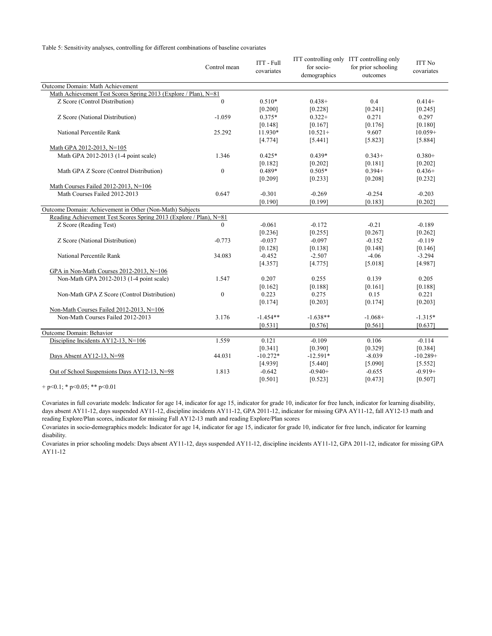Table 5: Sensitivity analyses, controlling for different combinations of baseline covariates

|                                                                    | Control mean   | <b>ITT</b> - Full<br>covariates | for socio-<br>demographics | ITT controlling only ITT controlling only<br>for prior schooling<br>outcomes | <b>ITT No</b><br>covariates |
|--------------------------------------------------------------------|----------------|---------------------------------|----------------------------|------------------------------------------------------------------------------|-----------------------------|
| Outcome Domain: Math Achievement                                   |                |                                 |                            |                                                                              |                             |
| Math Achievement Test Scores Spring 2013 (Explore / Plan), N=81    |                |                                 |                            |                                                                              |                             |
| Z Score (Control Distribution)                                     | $\overline{0}$ | $0.510*$                        | $0.438+$                   | 0.4                                                                          | $0.414+$                    |
|                                                                    |                | [0.200]                         | [0.228]                    | [0.241]                                                                      | [0.245]                     |
| Z Score (National Distribution)                                    | $-1.059$       | $0.375*$                        | $0.322+$                   | 0.271                                                                        | 0.297                       |
|                                                                    |                | [0.148]                         | [0.167]                    | [0.176]                                                                      | [0.180]                     |
| National Percentile Rank                                           | 25.292         | 11.930*                         | $10.521+$                  | 9.607                                                                        | $10.059+$                   |
|                                                                    |                | [4.774]                         | [5.441]                    | [5.823]                                                                      | [5.884]                     |
| Math GPA 2012-2013, N=105                                          |                |                                 |                            |                                                                              |                             |
| Math GPA 2012-2013 (1-4 point scale)                               | 1.346          | $0.425*$                        | $0.439*$                   | $0.343+$                                                                     | $0.380+$                    |
|                                                                    |                | [0.182]                         | [0.202]                    | [0.181]                                                                      | [0.202]                     |
| Math GPA Z Score (Control Distribution)                            | $\overline{0}$ | 0.489*                          | $0.505*$                   | $0.394+$                                                                     | $0.436+$                    |
|                                                                    |                | [0.209]                         | [0.233]                    | [0.208]                                                                      | [0.232]                     |
| Math Courses Failed 2012-2013, N=106                               |                |                                 |                            |                                                                              |                             |
| Math Courses Failed 2012-2013                                      | 0.647          | $-0.301$                        | $-0.269$                   | $-0.254$                                                                     | $-0.203$                    |
|                                                                    |                | [0.190]                         | [0.199]                    | [0.183]                                                                      | [0.202]                     |
| Outcome Domain: Achievement in Other (Non-Math) Subjects           |                |                                 |                            |                                                                              |                             |
| Reading Achievement Test Scores Spring 2013 (Explore / Plan), N=81 |                |                                 |                            |                                                                              |                             |
| Z Score (Reading Test)                                             | $\Omega$       | $-0.061$                        | $-0.172$                   | $-0.21$                                                                      | $-0.189$                    |
|                                                                    |                | [0.236]                         | [0.255]                    | [0.267]                                                                      | [0.262]                     |
| Z Score (National Distribution)                                    | $-0.773$       | $-0.037$                        | $-0.097$                   | $-0.152$                                                                     | $-0.119$                    |
|                                                                    |                | [0.128]                         | [0.138]                    | [0.148]                                                                      | [0.146]                     |
| National Percentile Rank                                           | 34.083         | $-0.452$                        | $-2.507$                   | $-4.06$                                                                      | $-3.294$                    |
|                                                                    |                | [4.357]                         | [4.775]                    | [5.018]                                                                      | [4.987]                     |
| GPA in Non-Math Courses 2012-2013, N=106                           |                |                                 |                            |                                                                              |                             |
| Non-Math GPA 2012-2013 (1-4 point scale)                           | 1.547          | 0.207                           | 0.255                      | 0.139                                                                        | 0.205                       |
|                                                                    |                | [0.162]                         | [0.188]                    | [0.161]                                                                      | [0.188]                     |
| Non-Math GPA Z Score (Control Distribution)                        | $\mathbf{0}$   | 0.223                           | 0.275                      | 0.15                                                                         | 0.221                       |
|                                                                    |                | [0.174]                         | [0.203]                    | [0.174]                                                                      | [0.203]                     |
| Non-Math Courses Failed 2012-2013, N=106                           |                |                                 |                            |                                                                              |                             |
| Non-Math Courses Failed 2012-2013                                  | 3.176          | $-1.454**$                      | $-1.638**$                 | $-1.068+$                                                                    | $-1.315*$                   |
|                                                                    |                | [0.531]                         | [0.576]                    | [0.561]                                                                      | [0.637]                     |
| Outcome Domain: Behavior                                           |                |                                 |                            |                                                                              |                             |
| Discipline Incidents AY12-13, N=106                                | 1.559          | 0.121                           | $-0.109$                   | 0.106                                                                        | $-0.114$                    |
|                                                                    |                | [0.341]                         | [0.390]                    | [0.329]                                                                      | [0.384]                     |
| Days Absent AY12-13, N=98                                          | 44.031         | $-10.272*$                      | $-12.591*$                 | $-8.039$                                                                     | $-10.289+$                  |
|                                                                    |                | [4.939]                         | [5.440]                    | [5.090]                                                                      | [5.552]                     |
| Out of School Suspensions Days AY12-13, N=98                       | 1.813          | $-0.642$                        | $-0.940+$                  | $-0.655$                                                                     | $-0.919+$                   |
|                                                                    |                | [0.501]                         | [0.523]                    | [0.473]                                                                      | [0.507]                     |

+ p<0.1; \* p<0.05; \*\* p<0.01

Covariates in full covariate models: Indicator for age 14, indicator for age 15, indicator for grade 10, indicator for free lunch, indicator for learning disability, days absent AY11-12, days suspended AY11-12, discipline incidents AY11-12, GPA 2011-12, indicator for missing GPA AY11-12, fall AY12-13 math and reading Explore/Plan scores, indicator for missing Fall AY12-13 math and reading Explore/Plan scores

Covariates in socio-demographics models: Indicator for age 14, indicator for age 15, indicator for grade 10, indicator for free lunch, indicator for learning disability.

Covariates in prior schooling models: Days absent AY11-12, days suspended AY11-12, discipline incidents AY11-12, GPA 2011-12, indicator for missing GPA AY11-12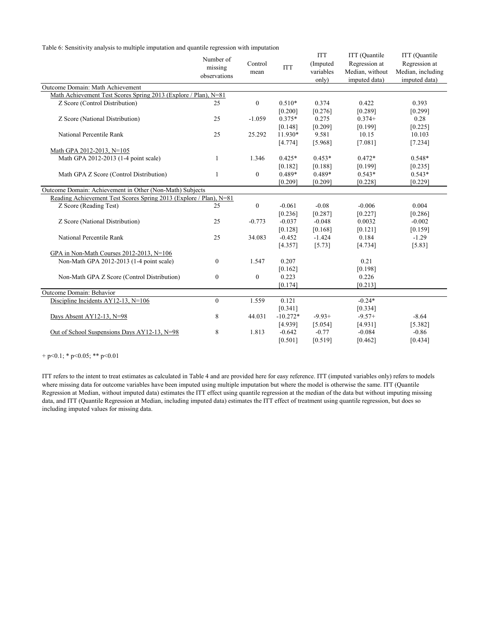Table 6: Sensitivity analysis to multiple imputation and quantile regression with imputation

|                                                                    | Number of<br>missing<br>observations | Control<br>mean  | <b>ITT</b> | <b>ITT</b><br>(Imputed<br>variables<br>only) | ITT (Quantile<br>Regression at<br>Median, without<br>imputed data) | ITT (Quantile<br>Regression at<br>Median, including<br>imputed data) |
|--------------------------------------------------------------------|--------------------------------------|------------------|------------|----------------------------------------------|--------------------------------------------------------------------|----------------------------------------------------------------------|
| Outcome Domain: Math Achievement                                   |                                      |                  |            |                                              |                                                                    |                                                                      |
| Math Achievement Test Scores Spring 2013 (Explore / Plan), N=81    |                                      |                  |            |                                              |                                                                    |                                                                      |
| Z Score (Control Distribution)                                     | 25                                   | $\boldsymbol{0}$ | $0.510*$   | 0.374                                        | 0.422                                                              | 0.393                                                                |
|                                                                    |                                      |                  | [0.200]    | [0.276]                                      | [0.289]                                                            | [0.299]                                                              |
| Z Score (National Distribution)                                    | 25                                   | $-1.059$         | $0.375*$   | 0.275                                        | $0.374+$                                                           | 0.28                                                                 |
|                                                                    |                                      |                  | [0.148]    | [0.209]                                      | [0.199]                                                            | [0.225]                                                              |
| National Percentile Rank                                           | 25                                   | 25.292           | 11.930*    | 9.581                                        | 10.15                                                              | 10.103                                                               |
|                                                                    |                                      |                  | [4.774]    | [5.968]                                      | [7.081]                                                            | $[7.234]$                                                            |
| Math GPA 2012-2013, N=105                                          |                                      |                  |            |                                              |                                                                    |                                                                      |
| Math GPA 2012-2013 (1-4 point scale)                               | $\mathbf{1}$                         | 1.346            | $0.425*$   | $0.453*$                                     | $0.472*$                                                           | $0.548*$                                                             |
|                                                                    |                                      |                  | [0.182]    | [0.188]                                      | [0.199]                                                            | [0.235]                                                              |
| Math GPA Z Score (Control Distribution)                            | 1                                    | $\mathbf{0}$     | 0.489*     | 0.489*                                       | $0.543*$                                                           | $0.543*$                                                             |
|                                                                    |                                      |                  | [0.209]    | [0.209]                                      | [0.228]                                                            | [0.229]                                                              |
| Outcome Domain: Achievement in Other (Non-Math) Subjects           |                                      |                  |            |                                              |                                                                    |                                                                      |
| Reading Achievement Test Scores Spring 2013 (Explore / Plan), N=81 |                                      |                  |            |                                              |                                                                    |                                                                      |
| Z Score (Reading Test)                                             | 25                                   | $\mathbf{0}$     | $-0.061$   | $-0.08$                                      | $-0.006$                                                           | 0.004                                                                |
|                                                                    |                                      |                  | [0.236]    | [0.287]                                      | [0.227]                                                            | [0.286]                                                              |
| Z Score (National Distribution)                                    | 25                                   | $-0.773$         | $-0.037$   | $-0.048$                                     | 0.0032                                                             | $-0.002$                                                             |
|                                                                    |                                      |                  | [0.128]    | [0.168]                                      | [0.121]                                                            | [0.159]                                                              |
| National Percentile Rank                                           | 25                                   | 34.083           | $-0.452$   | $-1.424$                                     | 0.184                                                              | $-1.29$                                                              |
|                                                                    |                                      |                  | [4.357]    | [5.73]                                       | [4.734]                                                            | [5.83]                                                               |
| GPA in Non-Math Courses 2012-2013, N=106                           |                                      |                  |            |                                              |                                                                    |                                                                      |
| Non-Math GPA 2012-2013 (1-4 point scale)                           | $\mathbf{0}$                         | 1.547            | 0.207      |                                              | 0.21                                                               |                                                                      |
|                                                                    |                                      |                  | [0.162]    |                                              | [0.198]                                                            |                                                                      |
| Non-Math GPA Z Score (Control Distribution)                        | $\boldsymbol{0}$                     | $\mathbf{0}$     | 0.223      |                                              | 0.226                                                              |                                                                      |
|                                                                    |                                      |                  | [0.174]    |                                              | [0.213]                                                            |                                                                      |
| Outcome Domain: Behavior                                           |                                      |                  |            |                                              |                                                                    |                                                                      |
| Discipline Incidents AY12-13, N=106                                | $\overline{0}$                       | 1.559            | 0.121      |                                              | $-0.24*$                                                           |                                                                      |
|                                                                    |                                      |                  | [0.341]    |                                              | [0.334]                                                            |                                                                      |
| Days Absent AY12-13, N=98                                          | 8                                    | 44.031           | $-10.272*$ | $-9.93+$                                     | $-9.57+$                                                           | $-8.64$                                                              |
|                                                                    |                                      |                  | [4.939]    | [5.054]                                      | [4.931]                                                            | [5.382]                                                              |
| Out of School Suspensions Days AY12-13, N=98                       | 8                                    | 1.813            | $-0.642$   | $-0.77$                                      | $-0.084$                                                           | $-0.86$                                                              |
|                                                                    |                                      |                  | [0.501]    | [0.519]                                      | [0.462]                                                            | [0.434]                                                              |

 $+ p<0.1$ ; \*  $p<0.05$ ; \*\*  $p<0.01$ 

ITT refers to the intent to treat estimates as calculated in Table 4 and are provided here for easy reference. ITT (imputed variables only) refers to models where missing data for outcome variables have been imputed using multiple imputation but where the model is otherwise the same. ITT (Quantile Regression at Median, without imputed data) estimates the ITT effect using quantile regression at the median of the data but without imputing missing data, and ITT (Quantile Regression at Median, including imputed data) estimates the ITT effect of treatment using quantile regression, but does so including imputed values for missing data.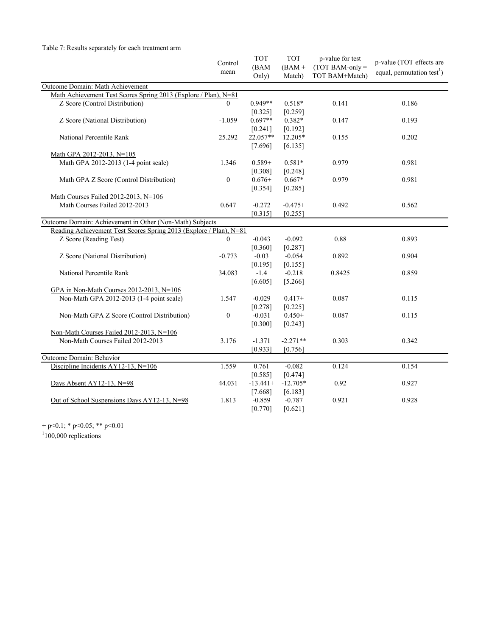#### Table 7: Results separately for each treatment arm

|                                                                    | Control          | <b>TOT</b> | <b>TOT</b> | p-value for test | p-value (TOT effects are               |
|--------------------------------------------------------------------|------------------|------------|------------|------------------|----------------------------------------|
|                                                                    | mean             | (BAM       | $(BAM +$   | $(TOTBAM-only =$ | equal, permutation test <sup>1</sup> ) |
|                                                                    |                  | Only)      | Match)     | TOT BAM+Match)   |                                        |
| Outcome Domain: Math Achievement                                   |                  |            |            |                  |                                        |
| Math Achievement Test Scores Spring 2013 (Explore / Plan), N=81    |                  |            |            |                  |                                        |
| Z Score (Control Distribution)                                     | $\theta$         | $0.949**$  | $0.518*$   | 0.141            | 0.186                                  |
|                                                                    |                  | [0.325]    | [0.259]    |                  |                                        |
| Z Score (National Distribution)                                    | $-1.059$         | $0.697**$  | $0.382*$   | 0.147            | 0.193                                  |
|                                                                    |                  | [0.241]    | [0.192]    |                  |                                        |
| National Percentile Rank                                           | 25.292           | 22.057**   | 12.205*    | 0.155            | 0.202                                  |
|                                                                    |                  | [7.696]    | [6.135]    |                  |                                        |
| Math GPA 2012-2013, N=105                                          |                  |            |            |                  |                                        |
| Math GPA 2012-2013 (1-4 point scale)                               | 1.346            | $0.589+$   | $0.581*$   | 0.979            | 0.981                                  |
|                                                                    |                  | [0.308]    | [0.248]    |                  |                                        |
| Math GPA Z Score (Control Distribution)                            | $\boldsymbol{0}$ | $0.676+$   | $0.667*$   | 0.979            | 0.981                                  |
|                                                                    |                  | [0.354]    | [0.285]    |                  |                                        |
| Math Courses Failed 2012-2013, N=106                               |                  |            |            |                  |                                        |
| Math Courses Failed 2012-2013                                      | 0.647            | $-0.272$   | $-0.475+$  | 0.492            | 0.562                                  |
|                                                                    |                  | [0.315]    | $[0.255]$  |                  |                                        |
| Outcome Domain: Achievement in Other (Non-Math) Subjects           |                  |            |            |                  |                                        |
| Reading Achievement Test Scores Spring 2013 (Explore / Plan), N=81 |                  |            |            |                  |                                        |
| Z Score (Reading Test)                                             | $\theta$         | $-0.043$   | $-0.092$   | 0.88             | 0.893                                  |
|                                                                    |                  | [0.360]    | [0.287]    |                  |                                        |
| Z Score (National Distribution)                                    | $-0.773$         | $-0.03$    | $-0.054$   | 0.892            | 0.904                                  |
|                                                                    |                  | [0.195]    | [0.155]    |                  |                                        |
| National Percentile Rank                                           | 34.083           | $-1.4$     | $-0.218$   | 0.8425           | 0.859                                  |
|                                                                    |                  | [6.605]    | [5.266]    |                  |                                        |
| GPA in Non-Math Courses 2012-2013, N=106                           |                  |            |            |                  |                                        |
| Non-Math GPA 2012-2013 (1-4 point scale)                           | 1.547            | $-0.029$   | $0.417+$   | 0.087            | 0.115                                  |
|                                                                    |                  | [0.278]    | [0.225]    |                  |                                        |
| Non-Math GPA Z Score (Control Distribution)                        | $\boldsymbol{0}$ | $-0.031$   | $0.450+$   | 0.087            | 0.115                                  |
|                                                                    |                  | [0.300]    | [0.243]    |                  |                                        |
| Non-Math Courses Failed 2012-2013, N=106                           |                  |            |            |                  |                                        |
| Non-Math Courses Failed 2012-2013                                  | 3.176            | $-1.371$   | $-2.271**$ | 0.303            | 0.342                                  |
|                                                                    |                  | [0.933]    | [0.756]    |                  |                                        |
| Outcome Domain: Behavior                                           |                  |            |            |                  |                                        |
| Discipline Incidents AY12-13, N=106                                | 1.559            | 0.761      | $-0.082$   | 0.124            | 0.154                                  |
|                                                                    |                  | [0.585]    | [0.474]    |                  |                                        |
| Days Absent AY12-13, N=98                                          | 44.031           | $-13.441+$ | $-12.705*$ | 0.92             | 0.927                                  |
|                                                                    |                  | [7.668]    | [6.183]    |                  |                                        |
| Out of School Suspensions Days AY12-13, N=98                       | 1.813            | $-0.859$   | $-0.787$   | 0.921            | 0.928                                  |
|                                                                    |                  |            |            |                  |                                        |
|                                                                    |                  | [0.770]    | [0.621]    |                  |                                        |

+ p<0.1; \* p<0.05; \*\* p<0.01<br><sup>1</sup>100,000 replications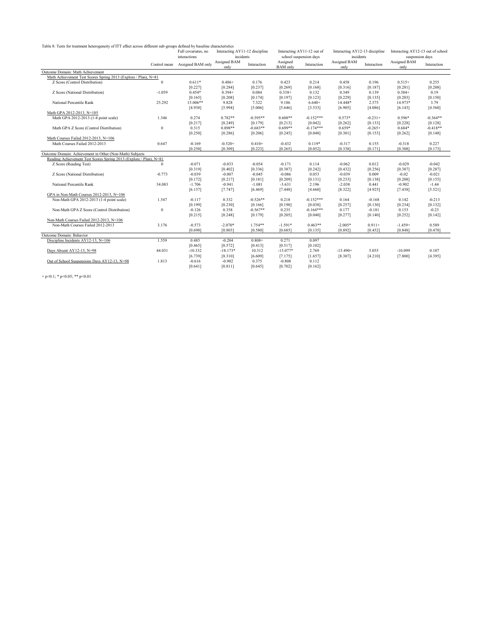Table 8: Tests for treatment heterogeneity of ITT effect across different sub-groups defined by baseline characteristics

|                                                                    |              | Full covariates, no | Interacting AY11-12 discipline |             | Interacting AY11-12 out of  |                        | Interacting AY12-13 discipline |             | Interacting AY12-13 out of school |                 |
|--------------------------------------------------------------------|--------------|---------------------|--------------------------------|-------------|-----------------------------|------------------------|--------------------------------|-------------|-----------------------------------|-----------------|
|                                                                    |              | interactions        | incidents                      |             |                             | school suspension days | incidents                      |             |                                   | suspension days |
|                                                                    | Control mean | Assigned BAM only   | Assigned BAM<br>only           | Interaction | Assigned<br><b>BAM</b> only | Interaction            | Assigned BAM<br>only           | Interaction | Assigned BAM<br>only              | Interaction     |
| Outcome Domain: Math Achievement                                   |              |                     |                                |             |                             |                        |                                |             |                                   |                 |
| Math Achievement Test Scores Spring 2013 (Explore / Plan), N=81    |              |                     |                                |             |                             |                        |                                |             |                                   |                 |
| Z Score (Control Distribution)                                     | $\mathbf{0}$ | $0.611*$            | $0.486+$                       | 0.176       | 0.423                       | 0.214                  | 0.458                          | 0.196       | $0.515+$                          | 0.255           |
|                                                                    |              | [0.227]             | [0.284]                        | [0.237]     | [0.269]                     | [0.168]                | [0.316]                        | [0.187]     | [0.281]                           | [0.208]         |
| Z Score (National Distribution)                                    | $-1.059$     | $0.454*$            | $0.394+$                       | 0.084       | $0.338+$                    | 0.132                  | 0.349                          | 0.139       | $0.384+$                          | 0.19            |
|                                                                    |              | [0.165]             | [0.208]                        | [0.174]     | [0.197]                     | [0.123]                | [0.229]                        | [0.135]     | [0.203]                           | [0.150]         |
| National Percentile Rank                                           | 25.292       | 15.006**            | 9.828                          | 7.322       | 9.186                       | $6.640+$               | 14.448*                        | 2.575       | 14.973*                           | 3.79            |
|                                                                    |              | [4.938]             | [5.994]                        | [5.006]     | [5.646]                     | [3.533]                | [6.905]                        | [4.086]     | [6.143]                           | [4.560]         |
| Math GPA 2012-2013. N=105                                          |              |                     |                                |             |                             |                        |                                |             |                                   |                 |
| Math GPA 2012-2013 (1-4 point scale)                               | 1.346        | 0.274               | $0.782**$                      | $-0.595**$  | $0.608**$                   | $-0.152***$            | $0.573*$                       | $-0.231+$   | $0.596*$                          | $-0.364**$      |
|                                                                    |              | [0.217]             | [0.249]                        | [0.179]     | [0.213]                     | [0.042]                | [0.262]                        | [0.133]     | [0.228]                           | [0.128]         |
| Math GPA Z Score (Control Distribution)                            | $\bf{0}$     | 0.315               | $0.898**$                      | $-0.683**$  | $0.699**$                   | $-0.174***$            | $0.659*$                       | $-0.265+$   | $0.684*$                          | $-0.418**$      |
|                                                                    |              | [0.250]             | [0.286]                        | [0.206]     | [0.245]                     | [0.048]                | [0.301]                        | [0.153]     | [0.262]                           | [0.148]         |
| Math Courses Failed 2012-2013, N=106                               |              |                     |                                |             |                             |                        |                                |             |                                   |                 |
| Math Courses Failed 2012-2013                                      | 0.647        | $-0.169$            | $-0.520+$                      | $0.410+$    | $-0.432$                    | $0.119*$               | $-0.317$                       | 0.155       | $-0.318$                          | 0.227           |
|                                                                    |              | [0.250]             | [0.309]                        | [0.223]     | [0.265]                     | [0.052]                | [0.338]                        | [0.171]     | [0.308]                           | [0.173]         |
| Outcome Domain: Achievement in Other (Non-Math) Subjects           |              |                     |                                |             |                             |                        |                                |             |                                   |                 |
| Reading Achievement Test Scores Spring 2013 (Explore / Plan), N=81 |              |                     |                                |             |                             |                        |                                |             |                                   |                 |
| Z Score (Reading Test)                                             | $\theta$     | $-0.071$            | $-0.033$                       | $-0.054$    | $-0.171$                    | 0.114                  | $-0.062$                       | 0.012       | $-0.029$                          | $-0.042$        |
|                                                                    |              | [0.319]             | [0.402]                        | [0.336]     | [0.387]                     | [0.242]                | [0.432]                        | [0.256]     | [0.387]                           | [0.287]         |
| Z Score (National Distribution)                                    | $-0.773$     | $-0.039$            | $-0.007$                       | $-0.045$    | $-0.086$                    | 0.053                  | $-0.039$                       | 0.009       | $-0.02$                           | $-0.021$        |
|                                                                    |              | [0.172]             | [0.217]                        | [0.181]     | [0.209]                     | [0.131]                | [0.233]                        | [0.138]     | [0.208]                           | [0.155]         |
| National Percentile Rank                                           | 34.083       | $-1.706$            | $-0.941$                       | $-1.081$    | $-3.631$                    | 2.196                  | $-2.038$                       | 0.441       | $-0.902$                          | $-1.44$         |
|                                                                    |              | [6.137]             | [7.747]                        | [6.469]     | [7.448]                     | [4.660]                | [8.322]                        | [4.925]     | [7.438]                           | [5.521]         |
| GPA in Non-Math Courses 2012-2013, N=106                           |              |                     |                                |             |                             |                        |                                |             |                                   |                 |
| Non-Math GPA 2012-2013 (1-4 point scale)                           | 1.547        | $-0.117$            | 0.332                          | $-0.526**$  | 0.218                       | $-0.152***$            | 0.164                          | $-0.168$    | 0.142                             | $-0.213$        |
|                                                                    |              | [0.199]             | [0.230]                        | [0.166]     | [0.190]                     | [0.038]                | [0.257]                        | [0.130]     | [0.234]                           | [0.132]         |
| Non-Math GPA Z Score (Control Distribution)                        | $\bf{0}$     | $-0.126$            | 0.358                          | $-0.567**$  | 0.235                       | $-0.164***$            | 0.177                          | $-0.181$    | 0.153                             | $-0.23$         |
|                                                                    |              | [0.215]             | [0.248]                        | [0.179]     | [0.205]                     | [0.040]                | [0.277]                        | [0.140]     | [0.252]                           | [0.142]         |
| Non-Math Courses Failed 2012-2013, N=106                           |              |                     |                                |             |                             |                        |                                |             |                                   |                 |
| Non-Math Courses Failed 2012-2013                                  | 3.176        | $-0.573$            | $-2.070*$                      | 1.754**     | $-1.591*$                   | $0.463**$              | $-2.005*$                      | $0.911+$    | $-1.459+$                         | 0.589           |
|                                                                    |              | [0.690]             | [0.803]                        | [0.580]     | [0.685]                     | [0.135]                | [0.892]                        | [0.452]     | [0.848]                           | [0.478]         |
| Outcome Domain: Behavior                                           |              |                     |                                |             |                             |                        |                                |             |                                   |                 |
| Discipline Incidents AY12-13, N=106                                | 1.559        | 0.485               | $-0.204$                       | $0.808+$    | 0.271                       | 0.097                  |                                |             |                                   |                 |
|                                                                    |              | [0.465]             | [0.572]                        | [0.413]     | [0.517]                     | [0.102]                |                                |             |                                   |                 |
| Days Absent AY12-13, N=98                                          | 44.031       | $-10.332$           | $-18.173*$                     | 10.312      | $-15.077*$                  | 2.769                  | $-15.490+$                     | 5.055       | $-10.099$                         | 0.107           |
|                                                                    |              | [6.739]             | [8.310]                        | [6.609]     | [7.175]                     | [1.657]                | [8.307]                        | [4.210]     | [7.800]                           | [4.395]         |
| Out of School Suspensions Days AY12-13, N=98                       | 1.813        | $-0.616$            | $-0.902$                       | 0.375       | $-0.808$                    | 0.112                  |                                |             |                                   |                 |
|                                                                    |              | [0.641]             | [0.811]                        | [0.645]     | [0.702]                     | [0.162]                |                                |             |                                   |                 |

+ p<0.1; \* p<0.05; \*\* p<0.01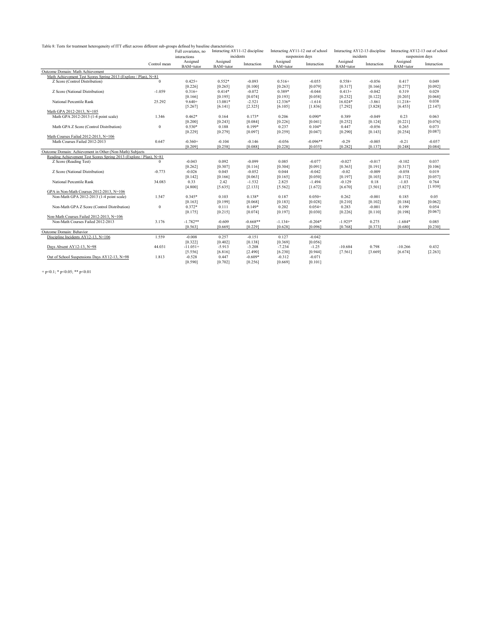Table 8: Tests for treatment heterogeneity of ITT effect across different sub-groups defined by baseline characteristics

|                                                                    |              | Full covariates, no<br>interactions | Interacting AY11-12 discipline | incidents   |                       | Interacting AY11-12 out of school<br>suspension days | incidents                          | Interacting AY12-13 discipline | Interacting AY12-13 out of school | suspension days |
|--------------------------------------------------------------------|--------------|-------------------------------------|--------------------------------|-------------|-----------------------|------------------------------------------------------|------------------------------------|--------------------------------|-----------------------------------|-----------------|
|                                                                    | Control mean | Assigned<br>BAM+tutor               | Assigned<br>BAM+tutor          | Interaction | Assigned<br>BAM+tutor | Interaction                                          | Assigned<br>BAM <sup>+</sup> tutor | Interaction                    | Assigned<br>BAM+tutor             | Interaction     |
| Outcome Domain: Math Achievement                                   |              |                                     |                                |             |                       |                                                      |                                    |                                |                                   |                 |
| Math Achievement Test Scores Spring 2013 (Explore / Plan), N=81    |              |                                     |                                |             |                       |                                                      |                                    |                                |                                   |                 |
| Z Score (Control Distribution)                                     | $\Omega$     | $0.425+$                            | $0.552*$                       | $-0.093$    | $0.516+$              | $-0.055$                                             | $0.558+$                           | $-0.056$                       | 0.417                             | 0.049           |
|                                                                    |              | [0.226]                             | [0.265]                        | [0.100]     | [0.263]               | [0.079]                                              | [0.317]                            | [0.166]                        | [0.277]                           | [0.092]         |
| Z Score (National Distribution)                                    | $-1.059$     | $0.316+$                            | $0.414*$                       | $-0.072$    | $0.389*$              | $-0.044$                                             | $0.413+$                           | $-0.042$                       | 0.319                             | 0.029           |
|                                                                    |              | [0.166]                             | [0.195]                        | [0.074]     | [0.193]               | [0.058]                                              | [0.232]                            | [0.122]                        | [0.203]                           | [0.068]         |
| National Percentile Rank                                           | 25.292       | $9.640+$                            | 13.081*                        | $-2.521$    | 12.336*               | $-1.614$                                             | $16.024*$                          | $-3.861$                       | $11.218+$                         | 0.038           |
|                                                                    |              | [5.267]                             | [6.141]                        | [2.325]     | [6.105]               | [1.836]                                              | [7.292]                            | [3.828]                        | [6.453]                           | [2.147]         |
| Math GPA 2012-2013, N=105                                          |              |                                     |                                |             |                       |                                                      |                                    |                                |                                   |                 |
| Math GPA 2012-2013 (1-4 point scale)                               | 1.346        | $0.462*$                            | 0.164                          | $0.173*$    | 0.206                 | $0.090*$                                             | 0.389                              | $-0.049$                       | 0.23                              | 0.063           |
|                                                                    |              | [0.200]                             | [0.243]                        | [0.084]     | [0.226]               | [0.041]                                              | [0.252]                            | [0.124]                        | [0.221]                           | [0.076]         |
| Math GPA Z Score (Control Distribution)                            | $\mathbf{0}$ | $0.530*$                            | 0.188                          | 0.199*      | 0.237                 | $0.104*$                                             | 0.447                              | $-0.056$                       | 0.265                             | 0.073           |
|                                                                    |              | [0.229]                             | [0.279]                        | [0.097]     | [0.259]               | [0.047]                                              | [0.290]                            | [0.143]                        | [0.254]                           | [0.087]         |
| Math Courses Failed 2012-2013, N=106                               |              |                                     |                                |             |                       |                                                      |                                    |                                |                                   |                 |
| Math Courses Failed 2012-2013                                      | 0.647        | $-0.360+$                           | $-0.104$                       | $-0.146$    | $-0.056$              | $-0.096**$                                           | $-0.29$                            | $-0.005$                       | $-0.21$                           | $-0.057$        |
|                                                                    |              | [0.209]                             | [0.258]                        | [0.088]     | [0.228]               | [0.035]                                              | [0.282]                            | [0.137]                        | [0.248]                           | [0.084]         |
| Outcome Domain: Achievement in Other (Non-Math) Subjects           |              |                                     |                                |             |                       |                                                      |                                    |                                |                                   |                 |
| Reading Achievement Test Scores Spring 2013 (Explore / Plan), N=81 |              |                                     |                                |             |                       |                                                      |                                    |                                |                                   |                 |
| Z Score (Reading Test)                                             | $^{\circ}$   | $-0.043$                            | 0.092                          | $-0.099$    | 0.085                 | $-0.077$                                             | $-0.027$                           | $-0.017$                       | $-0.102$                          | 0.037           |
|                                                                    |              | [0.262]                             | [0.307]                        | [0.116]     | [0.304]               | [0.091]                                              | [0.363]                            | [0.191]                        | [0.317]                           | [0.106]         |
| Z Score (National Distribution)                                    | $-0.773$     | $-0.026$                            | 0.045                          | $-0.052$    | 0.044                 | $-0.042$                                             | $-0.02$                            | $-0.009$                       | $-0.058$                          | 0.019           |
|                                                                    |              | [0.142]                             | [0.166]                        | [0.063]     | [0.165]               | [0.050]                                              | [0.197]                            | [0.103]                        | [0.172]                           | [0.057]         |
| National Percentile Rank                                           | 34.083       | 0.33                                | 2.42                           | $-1.532$    | 2.825                 | $-1.494$                                             | $-0.129$                           | 0.18                           | $-1.03$                           | 0.764           |
|                                                                    |              | [4.800]                             | [5.635]                        | [2.133]     | [5.562]               | [1.672]                                              | [6.670]                            | [3.501]                        | [5.827]                           | [1.939]         |
| GPA in Non-Math Courses 2012-2013, N=106                           |              |                                     |                                |             |                       |                                                      |                                    |                                |                                   |                 |
| Non-Math GPA 2012-2013 (1-4 point scale)                           | 1.547        | $0.345*$                            | 0.103                          | $0.138*$    | 0.187                 | $0.050+$                                             | 0.262                              | $-0.001$                       | 0.185                             | 0.05            |
|                                                                    |              | [0.163]                             | [0.199]                        | [0.068]     | [0.183]               | [0.028]                                              | [0.210]                            | [0.102]                        | [0.184]                           | [0.062]         |
| Non-Math GPA Z Score (Control Distribution)                        | $\theta$     | $0.372*$                            | 0.111                          | $0.149*$    | 0.202                 | $0.054+$                                             | 0.283                              | $-0.001$                       | 0.199                             | 0.054           |
|                                                                    |              | [0.175]                             | [0.215]                        | [0.074]     | [0.197]               | [0.030]                                              | [0.226]                            | [0.110]                        | [0.198]                           | [0.067]         |
| Non-Math Courses Failed 2012-2013, N=106                           |              |                                     |                                |             |                       |                                                      |                                    |                                |                                   |                 |
| Non-Math Courses Failed 2012-2013                                  | 3.176        | $-1.782**$                          | $-0.609$                       | $-0.668**$  | $-1.134+$             | $-0.204*$                                            | $-1.925*$                          | 0.275                          | $-1.684*$                         | 0.085           |
|                                                                    |              | [0.563]                             | [0.669]                        | [0.229]     | [0.628]               | [0.096]                                              | [0.768]                            | [0.373]                        | [0.680]                           | [0.230]         |
| Outcome Domain: Behavior                                           |              |                                     |                                |             |                       |                                                      |                                    |                                |                                   |                 |
| Discipline Incidents AY12-13, N=106                                | 1.559        | $-0.008$                            | 0.257                          | $-0.151$    | 0.127                 | $-0.042$                                             |                                    |                                |                                   |                 |
|                                                                    |              | [0.322]                             | [0.402]                        | [0.138]     | [0.369]               | [0.056]                                              |                                    |                                |                                   |                 |
| Days Absent AY12-13, N=98                                          | 44.031       | $-11.051+$                          | $-5.913$                       | $-3.208$    | $-7.234$              | $-1.25$                                              | $-10.684$                          | 0.798                          | $-10.266$                         | 0.432           |
|                                                                    |              | [5.556]                             | [6.816]                        | [2.490]     | [6.230]               | [0.944]                                              | [7.561]                            | [3.669]                        | [6.674]                           | [2.263]         |
| Out of School Suspensions Days AY12-13, N=98                       | 1.813        | $-0.528$                            | 0.447                          | $-0.609*$   | $-0.312$              | $-0.071$                                             |                                    |                                |                                   |                 |
|                                                                    |              | [0.590]                             | [0.702]                        | [0.256]     | [0.669]               | [0.101]                                              |                                    |                                |                                   |                 |

+ p<0.1; \* p<0.05; \*\* p<0.01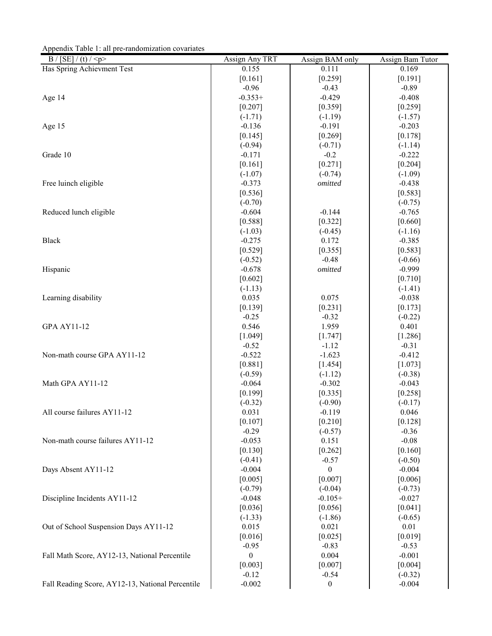Appendix Table 1: all pre-randomization covariates

| B / [SE] / (t) / < p                             | Assign Any TRT   | Assign BAM only    | Assign Bam Tutor |
|--------------------------------------------------|------------------|--------------------|------------------|
| Has Spring Achievment Test                       | 0.155            | 0.111              | 0.169            |
|                                                  | [0.161]          | [0.259]            | [0.191]          |
|                                                  | $-0.96$          | $-0.43$            | $-0.89$          |
| Age 14                                           | $-0.353+$        | $-0.429$           | $-0.408$         |
|                                                  | $[0.207]$        | [0.359]            | [0.259]          |
|                                                  | $(-1.71)$        | $(-1.19)$          | $(-1.57)$        |
| Age 15                                           | $-0.136$         | $-0.191$           | $-0.203$         |
|                                                  | [0.145]          | [0.269]            | [0.178]          |
|                                                  | $(-0.94)$        | $(-0.71)$          | $(-1.14)$        |
| Grade 10                                         | $-0.171$         | $-0.2$             | $-0.222$         |
|                                                  | [0.161]          | [0.271]            | [0.204]          |
|                                                  | $(-1.07)$        | $(-0.74)$          | $(-1.09)$        |
| Free luinch eligible                             | $-0.373$         | omitted            | $-0.438$         |
|                                                  | [0.536]          |                    | [0.583]          |
|                                                  | $(-0.70)$        |                    | $(-0.75)$        |
| Reduced lunch eligible                           | $-0.604$         | $-0.144$           | $-0.765$         |
|                                                  | [0.588]          | [0.322]            | [0.660]          |
|                                                  | $(-1.03)$        | $(-0.45)$          | $(-1.16)$        |
| <b>Black</b>                                     | $-0.275$         | 0.172              | $-0.385$         |
|                                                  | [0.529]          | [0.355]            | [0.583]          |
|                                                  | $(-0.52)$        | $-0.48$            | $(-0.66)$        |
| Hispanic                                         | $-0.678$         | omitted            | $-0.999$         |
|                                                  | [0.602]          |                    | [0.710]          |
|                                                  | $(-1.13)$        |                    | $(-1.41)$        |
| Learning disability                              | 0.035            | 0.075              | $-0.038$         |
|                                                  | [0.139]          | [0.231]            | [0.173]          |
|                                                  | $-0.25$          | $-0.32$            | $(-0.22)$        |
| <b>GPA AY11-12</b>                               | 0.546            | 1.959              | 0.401            |
|                                                  | [1.049]          | [1.747]            | [1.286]          |
|                                                  | $-0.52$          | $-1.12$            | $-0.31$          |
| Non-math course GPA AY11-12                      | $-0.522$         | $-1.623$           | $-0.412$         |
|                                                  | [0.881]          | [1.454]            | [1.073]          |
|                                                  | $(-0.59)$        | $(-1.12)$          | $(-0.38)$        |
| Math GPA AY11-12                                 | $-0.064$         | $-0.302$           | $-0.043$         |
|                                                  | [0.199]          | [0.335]            | [0.258]          |
|                                                  | $(-0.32)$        | $(-0.90)$          | $(-0.17)$        |
| All course failures AY11-12                      | 0.031            | $-0.119$           | 0.046            |
|                                                  | [0.107]          | [0.210]            | [0.128]          |
|                                                  | $-0.29$          | $(-0.57)$          | $-0.36$          |
| Non-math course failures AY11-12                 | $-0.053$         | 0.151              | $-0.08$          |
|                                                  | [0.130]          | [0.262]            | [0.160]          |
|                                                  | $(-0.41)$        | $-0.57$            | $(-0.50)$        |
| Days Absent AY11-12                              | $-0.004$         | $\mathbf{0}$       | $-0.004$         |
|                                                  | [0.005]          | [0.007]            | [0.006]          |
|                                                  | $(-0.79)$        | $(-0.04)$          | $(-0.73)$        |
| Discipline Incidents AY11-12                     | $-0.048$         | $-0.105+$          | $-0.027$         |
|                                                  | [0.036]          | [0.056]            | $[0.041]$        |
|                                                  | $(-1.33)$        |                    | $(-0.65)$        |
| Out of School Suspension Days AY11-12            | 0.015            | $(-1.86)$<br>0.021 | 0.01             |
|                                                  |                  |                    |                  |
|                                                  | [0.016]          | [0.025]            | [0.019]          |
|                                                  | $-0.95$          | $-0.83$            | $-0.53$          |
| Fall Math Score, AY12-13, National Percentile    | $\boldsymbol{0}$ | 0.004              | $-0.001$         |
|                                                  | [0.003]          | [0.007]            | [0.004]          |
|                                                  | $-0.12$          | $-0.54$            | $(-0.32)$        |
| Fall Reading Score, AY12-13, National Percentile | $-0.002$         | $\boldsymbol{0}$   | $-0.004$         |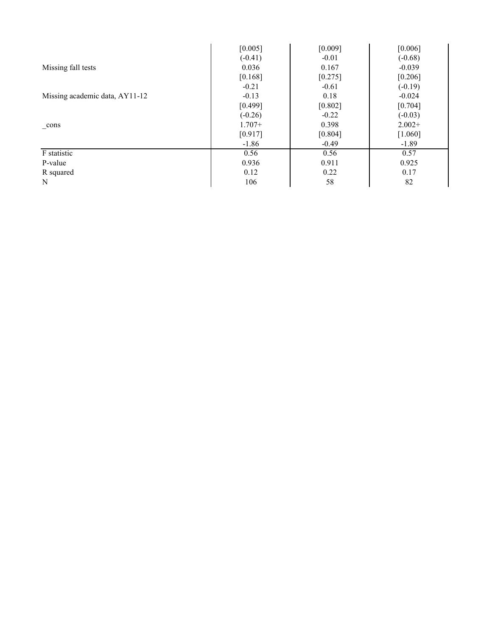|                                | [0.005]   | [0.009] | [0.006]   |
|--------------------------------|-----------|---------|-----------|
|                                | $(-0.41)$ | $-0.01$ | $(-0.68)$ |
| Missing fall tests             | 0.036     | 0.167   | $-0.039$  |
|                                | [0.168]   | [0.275] | [0.206]   |
|                                | $-0.21$   | $-0.61$ | $(-0.19)$ |
| Missing academic data, AY11-12 | $-0.13$   | 0.18    | $-0.024$  |
|                                | [0.499]   | [0.802] | [0.704]   |
|                                | $(-0.26)$ | $-0.22$ | $(-0.03)$ |
| cons                           | $1.707+$  | 0.398   | $2.002+$  |
|                                | [0.917]   | [0.804] | [1.060]   |
|                                | $-1.86$   | $-0.49$ | $-1.89$   |
| F statistic                    | 0.56      | 0.56    | 0.57      |
| P-value                        | 0.936     | 0.911   | 0.925     |
| R squared                      | 0.12      | 0.22    | 0.17      |
| N                              | 106       | 58      | 82        |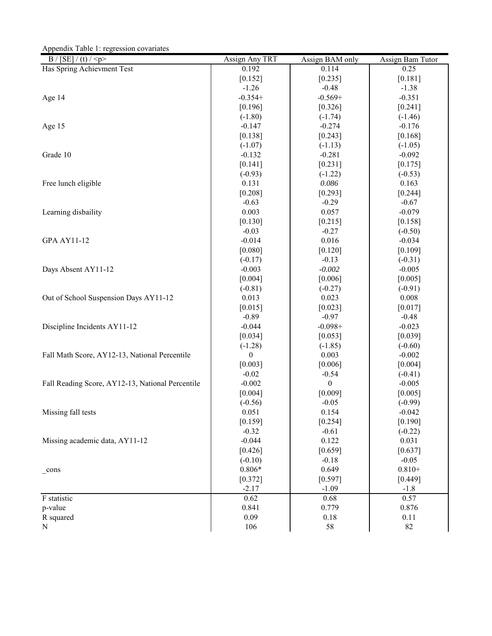Appendix Table 1: regression covariates

| $\overline{B/[SE]}/(t)/$                         | Assign Any TRT        | Assign BAM only       | Assign Bam Tutor     |
|--------------------------------------------------|-----------------------|-----------------------|----------------------|
| Has Spring Achievment Test                       | 0.192                 | 0.114                 | 0.25                 |
|                                                  | $[0.152]$             | $[0.235]$             | $[0.181]$            |
|                                                  | $-1.26$               | $-0.48$               | $-1.38$              |
| Age 14                                           | $-0.354+$             | $-0.569+$             | $-0.351$             |
|                                                  | [0.196]               | [0.326]               | $[0.241]$            |
|                                                  | $(-1.80)$             | $(-1.74)$             | $(-1.46)$            |
| Age 15                                           | $-0.147$              | $-0.274$              | $-0.176$             |
|                                                  | [0.138]               | $[0.243]$             | [0.168]              |
|                                                  | $(-1.07)$             | $(-1.13)$             | $(-1.05)$            |
| Grade 10                                         | $-0.132$              | $-0.281$              | $-0.092$             |
|                                                  | $[0.141]$             | [0.231]               | $[0.175]$            |
|                                                  | $(-0.93)$             | $(-1.22)$             | $(-0.53)$            |
| Free lunch eligible                              | 0.131                 | 0.086                 | 0.163                |
|                                                  | $[0.208]$             | [0.293]               | [0.244]              |
|                                                  | $-0.63$               | $-0.29$               | $-0.67$              |
| Learning disbaility                              | 0.003                 | 0.057                 | $-0.079$             |
|                                                  | $[0.130]$             | [0.215]               | [0.158]              |
|                                                  | $-0.03$               | $-0.27$               | $(-0.50)$            |
| <b>GPA AY11-12</b>                               | $-0.014$              | 0.016                 | $-0.034$             |
|                                                  | [0.080]               | [0.120]               | [0.109]              |
|                                                  | $(-0.17)$             | $-0.13$               | $(-0.31)$            |
| Days Absent AY11-12                              | $-0.003$              | $-0.002$              | $-0.005$             |
|                                                  | [0.004]               | [0.006]               | [0.005]              |
|                                                  | $(-0.81)$             | $(-0.27)$             | $(-0.91)$            |
| Out of School Suspension Days AY11-12            | 0.013                 | 0.023                 | 0.008                |
|                                                  | [0.015]               | [0.023]               | [0.017]              |
| Discipline Incidents AY11-12                     | $-0.89$<br>$-0.044$   | $-0.97$<br>$-0.098 +$ | $-0.48$<br>$-0.023$  |
|                                                  | [0.034]               |                       |                      |
|                                                  |                       | [0.053]<br>$(-1.85)$  | [0.039]<br>$(-0.60)$ |
| Fall Math Score, AY12-13, National Percentile    | $(-1.28)$<br>$\theta$ | 0.003                 | $-0.002$             |
|                                                  | [0.003]               | [0.006]               | [0.004]              |
|                                                  | $-0.02$               | $-0.54$               | $(-0.41)$            |
| Fall Reading Score, AY12-13, National Percentile | $-0.002$              | $\overline{0}$        | $-0.005$             |
|                                                  | [0.004]               | [0.009]               | [0.005]              |
|                                                  | $(-0.56)$             | $-0.05$               | $(-0.99)$            |
| Missing fall tests                               | 0.051                 | 0.154                 | $-0.042$             |
|                                                  | [0.159]               | [0.254]               | [0.190]              |
|                                                  | $-0.32$               | $-0.61$               | $(-0.22)$            |
| Missing academic data, AY11-12                   | $-0.044$              | 0.122                 | 0.031                |
|                                                  | [0.426]               | [0.659]               | [0.637]              |
|                                                  | $(-0.10)$             | $-0.18$               | $-0.05$              |
| _cons                                            | $0.806*$              | 0.649                 | $0.810+$             |
|                                                  | [0.372]               | [0.597]               | [0.449]              |
|                                                  | $-2.17$               | $-1.09$               | $-1.8$               |
| F statistic                                      | 0.62                  | 0.68                  | 0.57                 |
| p-value                                          | 0.841                 | 0.779                 | 0.876                |
| R squared                                        | 0.09                  | 0.18                  | 0.11                 |
| N                                                | 106                   | 58                    | 82                   |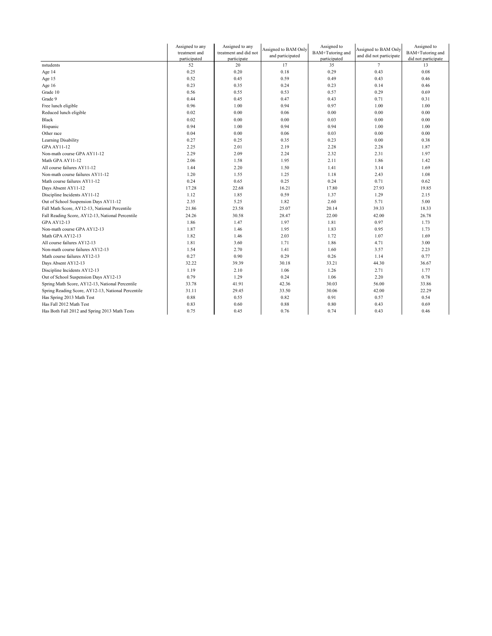|                                                    | Assigned to any | Assigned to any       | Assigned to BAM Only | Assigned to      | Assigned to BAM Only    | Assigned to         |
|----------------------------------------------------|-----------------|-----------------------|----------------------|------------------|-------------------------|---------------------|
|                                                    | treatment and   | treatment and did not | and participated     | BAM+Tutoring and | and did not participate | BAM+Tutoring and    |
|                                                    | participated    | participate           |                      | participated     |                         | did not participate |
| nstudents                                          | 52              | 20                    | 17                   | 35               | $7\overline{ }$         | 13                  |
| Age 14                                             | 0.25            | 0.20                  | 0.18                 | 0.29             | 0.43                    | 0.08                |
| Age 15                                             | 0.52            | 0.45                  | 0.59                 | 0.49             | 0.43                    | 0.46                |
| Age 16                                             | 0.23            | 0.35                  | 0.24                 | 0.23             | 0.14                    | 0.46                |
| Grade 10                                           | 0.56            | 0.55                  | 0.53                 | 0.57             | 0.29                    | 0.69                |
| Grade 9                                            | 0.44            | 0.45                  | 0.47                 | 0.43             | 0.71                    | 0.31                |
| Free lunch eligible                                | 0.96            | 1.00                  | 0.94                 | 0.97             | 1.00                    | 1.00                |
| Reduced lunch eligible                             | 0.02            | 0.00                  | 0.06                 | 0.00             | 0.00                    | 0.00                |
| Black                                              | 0.02            | 0.00                  | 0.00                 | 0.03             | 0.00                    | 0.00                |
| Hispanic                                           | 0.94            | 1.00                  | 0.94                 | 0.94             | 1.00                    | 1.00                |
| Other race                                         | 0.04            | 0.00                  | 0.06                 | 0.03             | 0.00                    | 0.00                |
| Learning Disability                                | 0.27            | 0.25                  | 0.35                 | 0.23             | 0.00                    | 0.38                |
| <b>GPA AY11-12</b>                                 | 2.25            | 2.01                  | 2.19                 | 2.28             | 2.28                    | 1.87                |
| Non-math course GPA AY11-12                        | 2.29            | 2.09                  | 2.24                 | 2.32             | 2.31                    | 1.97                |
| Math GPA AY11-12                                   | 2.06            | 1.58                  | 1.95                 | 2.11             | 1.86                    | 1.42                |
| All course failures AY11-12                        | 1.44            | 2.20                  | 1.50                 | 1.41             | 3.14                    | 1.69                |
| Non-math course failures AY11-12                   | 1.20            | 1.55                  | 1.25                 | 1.18             | 2.43                    | 1.08                |
| Math course failures AY11-12                       | 0.24            | 0.65                  | 0.25                 | 0.24             | 0.71                    | 0.62                |
| Days Absent AY11-12                                | 17.28           | 22.68                 | 16.21                | 17.80            | 27.93                   | 19.85               |
| Discipline Incidents AY11-12                       | 1.12            | 1.85                  | 0.59                 | 1.37             | 1.29                    | 2.15                |
| Out of School Suspension Days AY11-12              | 2.35            | 5.25                  | 1.82                 | 2.60             | 5.71                    | 5.00                |
| Fall Math Score, AY12-13, National Percentile      | 21.86           | 23.58                 | 25.07                | 20.14            | 39.33                   | 18.33               |
| Fall Reading Score, AY12-13, National Percentile   | 24.26           | 30.58                 | 28.47                | 22.00            | 42.00                   | 26.78               |
| <b>GPA AY12-13</b>                                 | 1.86            | 1.47                  | 1.97                 | 1.81             | 0.97                    | 1.73                |
| Non-math course GPA AY12-13                        | 1.87            | 1.46                  | 1.95                 | 1.83             | 0.95                    | 1.73                |
| Math GPA AY12-13                                   | 1.82            | 1.46                  | 2.03                 | 1.72             | 1.07                    | 1.69                |
| All course failures AY12-13                        | 1.81            | 3.60                  | 1.71                 | 1.86             | 4.71                    | 3.00                |
| Non-math course failures AY12-13                   | 1.54            | 2.70                  | 1.41                 | 1.60             | 3.57                    | 2.23                |
| Math course failures AY12-13                       | 0.27            | 0.90                  | 0.29                 | 0.26             | 1.14                    | 0.77                |
| Days Absent AY12-13                                | 32.22           | 39.39                 | 30.18                | 33.21            | 44.30                   | 36.67               |
| Discipline Incidents AY12-13                       | 1.19            | 2.10                  | 1.06                 | 1.26             | 2.71                    | 1.77                |
| Out of School Suspension Days AY12-13              | 0.79            | 1.29                  | 0.24                 | 1.06             | 2.20                    | 0.78                |
| Spring Math Score, AY12-13, National Percentile    | 33.78           | 41.91                 | 42.36                | 30.03            | 56.00                   | 33.86               |
| Spring Reading Score, AY12-13, National Percentile | 31.11           | 29.45                 | 33.50                | 30.06            | 42.00                   | 22.29               |
| Has Spring 2013 Math Test                          | 0.88            | 0.55                  | 0.82                 | 0.91             | 0.57                    | 0.54                |
| Has Fall 2012 Math Test                            | 0.83            | 0.60                  | 0.88                 | 0.80             | 0.43                    | 0.69                |
| Has Both Fall 2012 and Spring 2013 Math Tests      | 0.75            | 0.45                  | 0.76                 | 0.74             | 0.43                    | 0.46                |